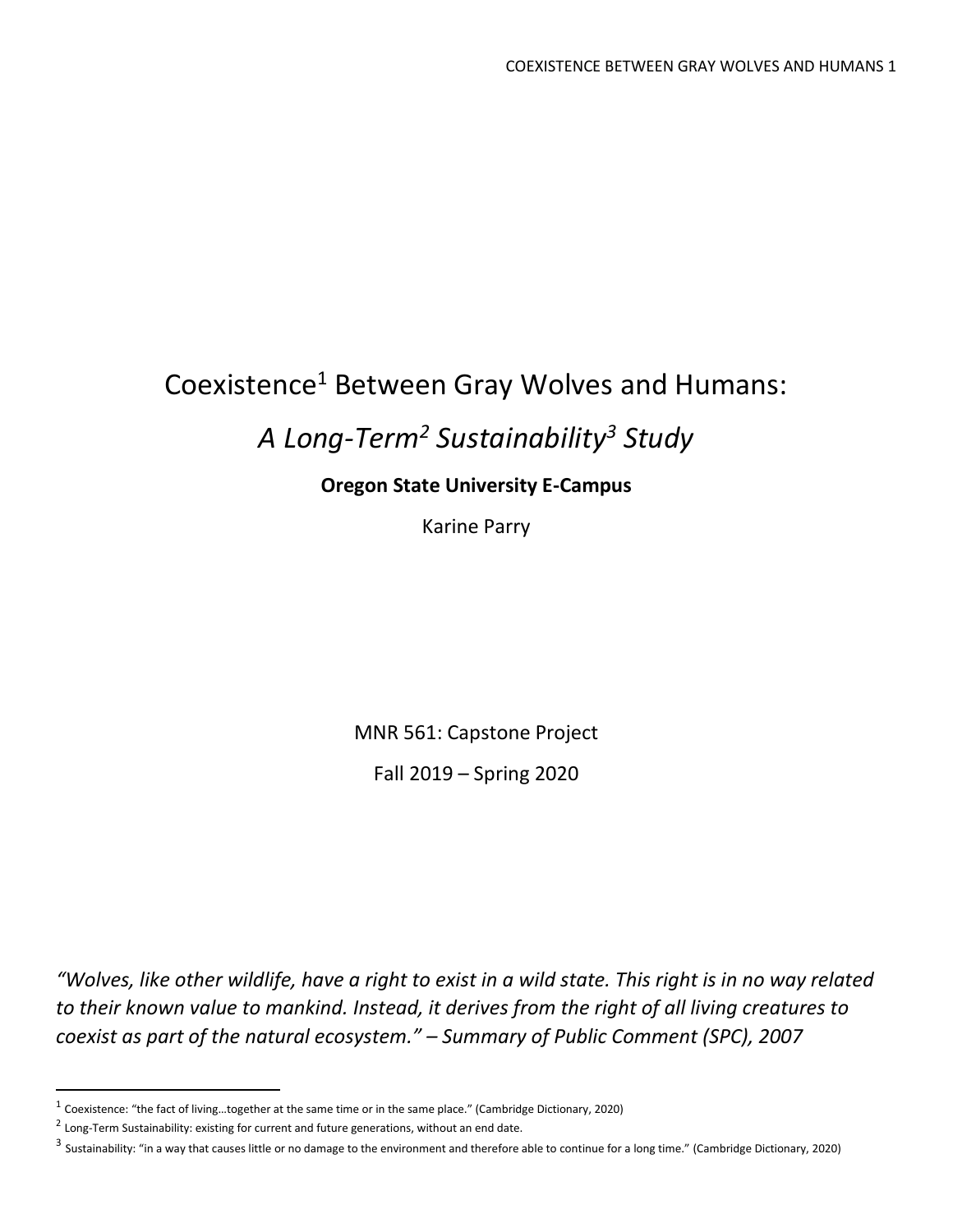# Coexistence<sup>1</sup> Between Gray Wolves and Humans:

# *A Long-Term<sup>2</sup> Sustainability <sup>3</sup> Study*

## **Oregon State University E-Campus**

Karine Parry

MNR 561: Capstone Project

Fall 2019 – Spring 2020

*"Wolves, like other wildlife, have a right to exist in a wild state. This right is in no way related to their known value to mankind. Instead, it derives from the right of all living creatures to coexist as part of the natural ecosystem." – Summary of Public Comment (SPC), 2007*

<sup>&</sup>lt;sup>1</sup> Coexistence: "the fact of living...together at the same time or in the same place." (Cambridge Dictionary, 2020)

 $^2$  Long-Term Sustainability: existing for current and future generations, without an end date.

<sup>&</sup>lt;sup>3</sup> Sustainability: "in a way that causes little or no damage to the environment and therefore able to continue for a long time." (Cambridge Dictionary, 2020)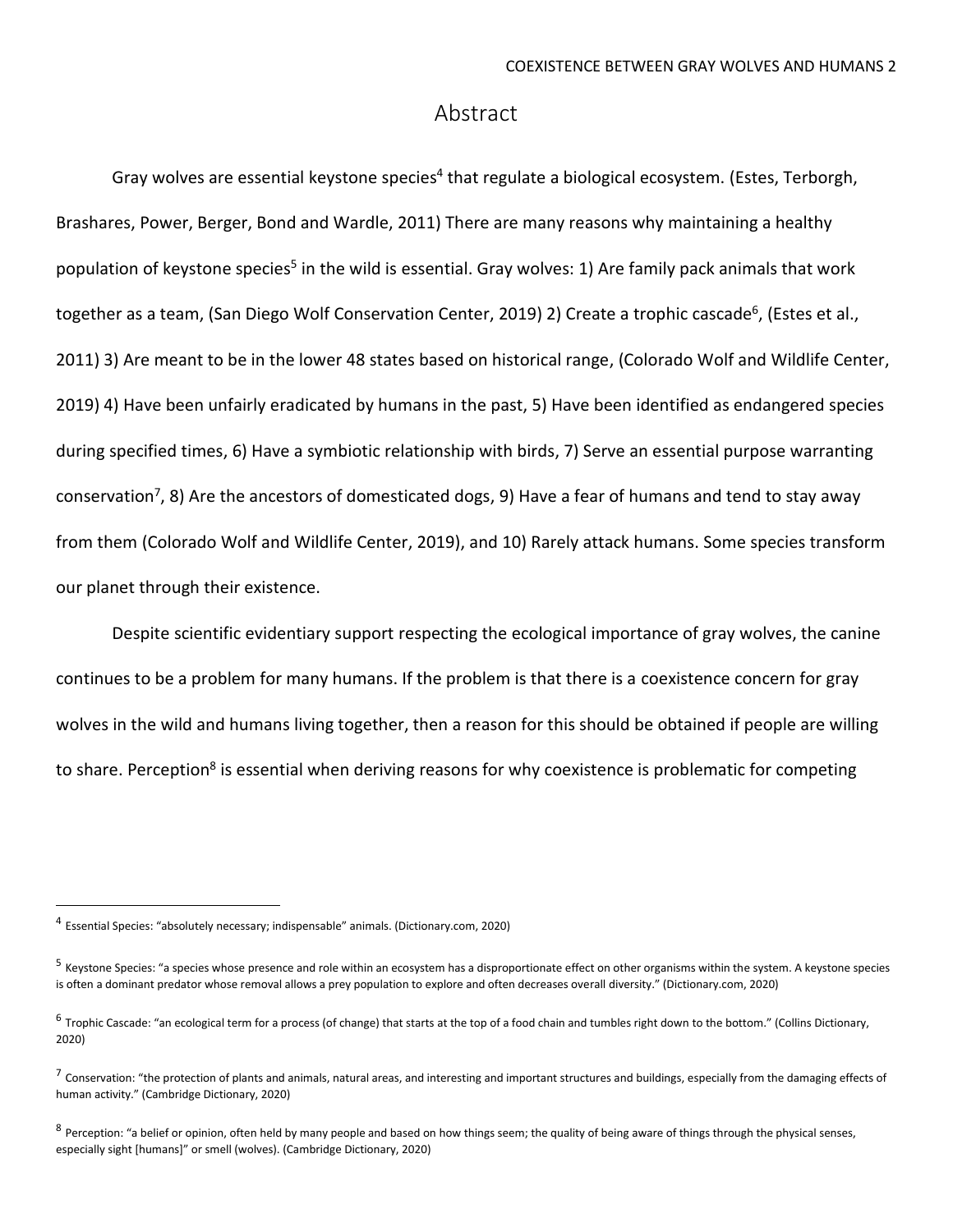## Abstract

Gray wolves are essential keystone species<sup>4</sup> that regulate a biological ecosystem. (Estes, Terborgh, Brashares, Power, Berger, Bond and Wardle, 2011) There are many reasons why maintaining a healthy population of keystone species<sup>5</sup> in the wild is essential. Gray wolves: 1) Are family pack animals that work together as a team, (San Diego Wolf Conservation Center, 2019) 2) Create a trophic cascade<sup>6</sup>, (Estes et al., 2011) 3) Are meant to be in the lower 48 states based on historical range, (Colorado Wolf and Wildlife Center, 2019) 4) Have been unfairly eradicated by humans in the past, 5) Have been identified as endangered species during specified times, 6) Have a symbiotic relationship with birds, 7) Serve an essential purpose warranting conservation<sup>7</sup>, 8) Are the ancestors of domesticated dogs, 9) Have a fear of humans and tend to stay away from them (Colorado Wolf and Wildlife Center, 2019), and 10) Rarely attack humans. Some species transform our planet through their existence.

Despite scientific evidentiary support respecting the ecological importance of gray wolves, the canine continues to be a problem for many humans. If the problem is that there is a coexistence concern for gray wolves in the wild and humans living together, then a reason for this should be obtained if people are willing to share. Perception<sup>8</sup> is essential when deriving reasons for why coexistence is problematic for competing

<sup>4</sup> Essential Species: "absolutely necessary; indispensable" animals. (Dictionary.com, 2020)

<sup>&</sup>lt;sup>5</sup> Keystone Species: "a species whose presence and role within an ecosystem has a disproportionate effect on other organisms within the system. A keystone species is often a dominant predator whose removal allows a prey population to explore and often decreases overall diversity." (Dictionary.com, 2020)

 $^6$  Trophic Cascade: "an ecological term for a process (of change) that starts at the top of a food chain and tumbles right down to the bottom." (Collins Dictionary, 2020)

 $^7$  Conservation: "the protection of plants and animals, natural areas, and interesting and important structures and buildings, especially from the damaging effects of human activity." (Cambridge Dictionary, 2020)

 $^8$  Perception: "a belief or opinion, often held by many people and based on how things seem; the quality of being aware of things through the physical senses, especially sight [humans]" or smell (wolves). (Cambridge Dictionary, 2020)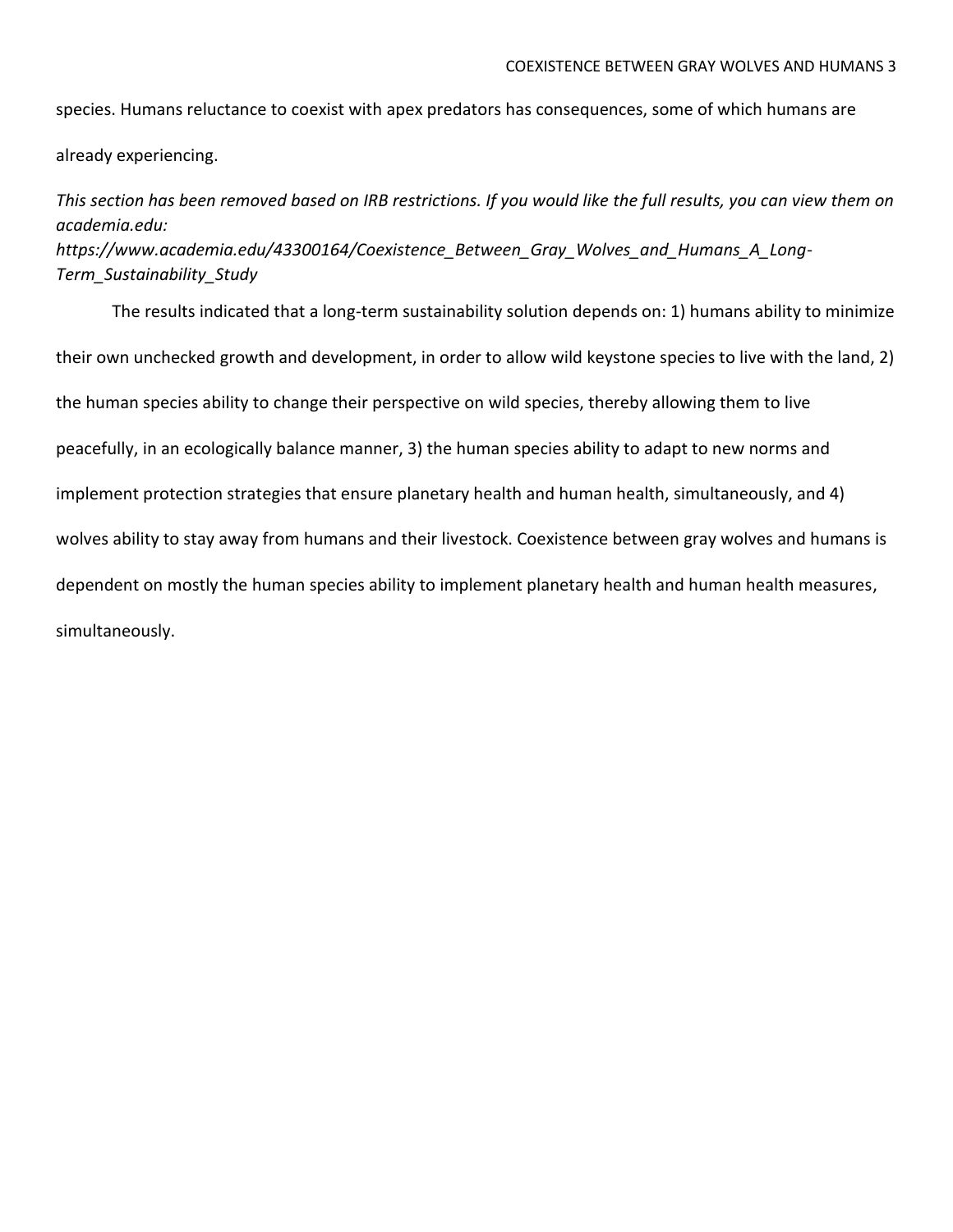species. Humans reluctance to coexist with apex predators has consequences, some of which humans are

already experiencing.

*This section has been removed based on IRB restrictions. If you would like the full results, you can view them on academia.edu: [https://www.academia.edu/43300164/Coexistence\\_Between\\_Gray\\_Wolves\\_and\\_Humans\\_A\\_Long-](https://www.academia.edu/43300164/Coexistence_Between_Gray_Wolves_and_Humans_A_Long-Term_Sustainability_Study)[Term\\_Sustainability\\_Study](https://www.academia.edu/43300164/Coexistence_Between_Gray_Wolves_and_Humans_A_Long-Term_Sustainability_Study)*

The results indicated that a long-term sustainability solution depends on: 1) humans ability to minimize their own unchecked growth and development, in order to allow wild keystone species to live with the land, 2) the human species ability to change their perspective on wild species, thereby allowing them to live peacefully, in an ecologically balance manner, 3) the human species ability to adapt to new norms and implement protection strategies that ensure planetary health and human health, simultaneously, and 4) wolves ability to stay away from humans and their livestock. Coexistence between gray wolves and humans is dependent on mostly the human species ability to implement planetary health and human health measures, simultaneously.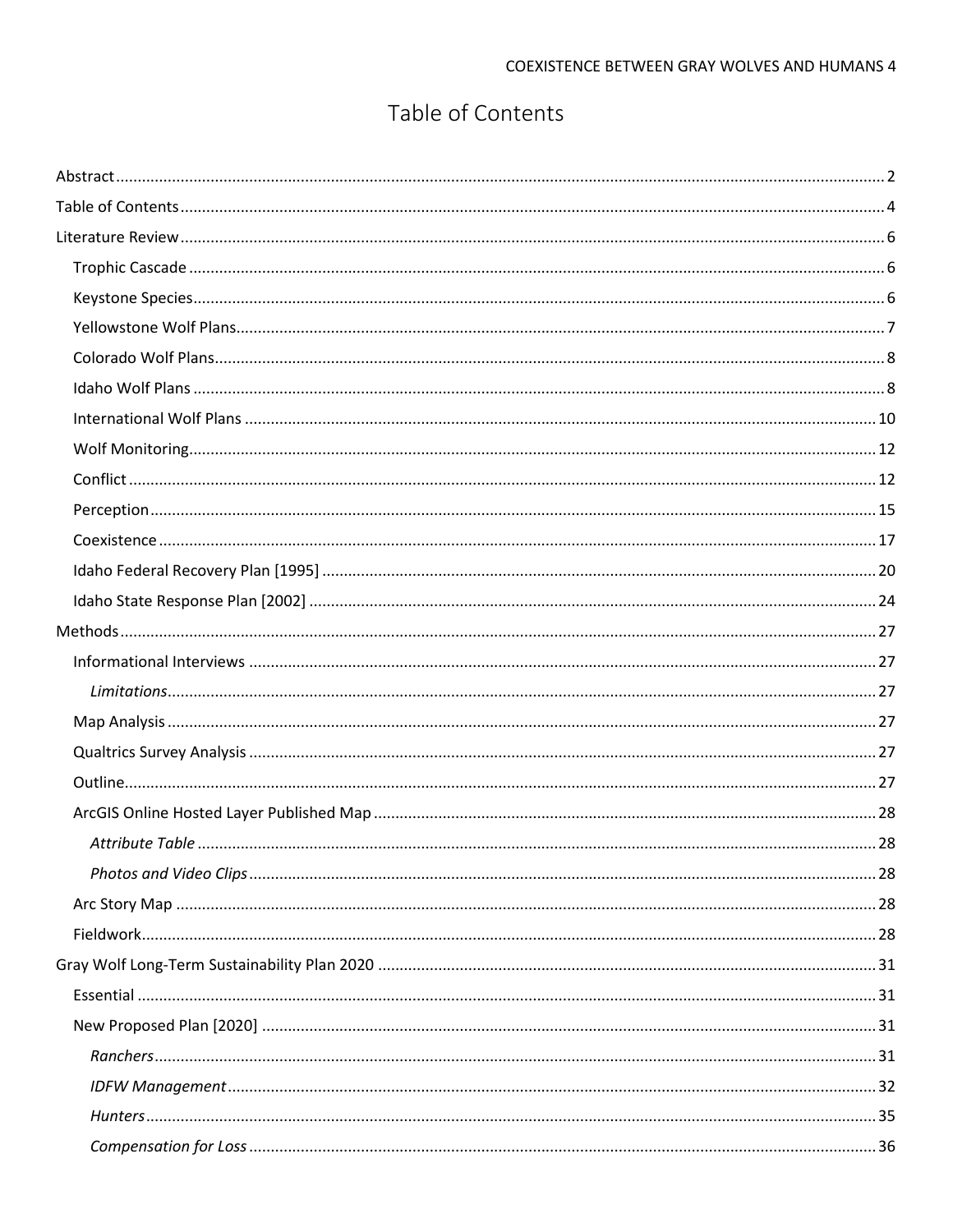## Table of Contents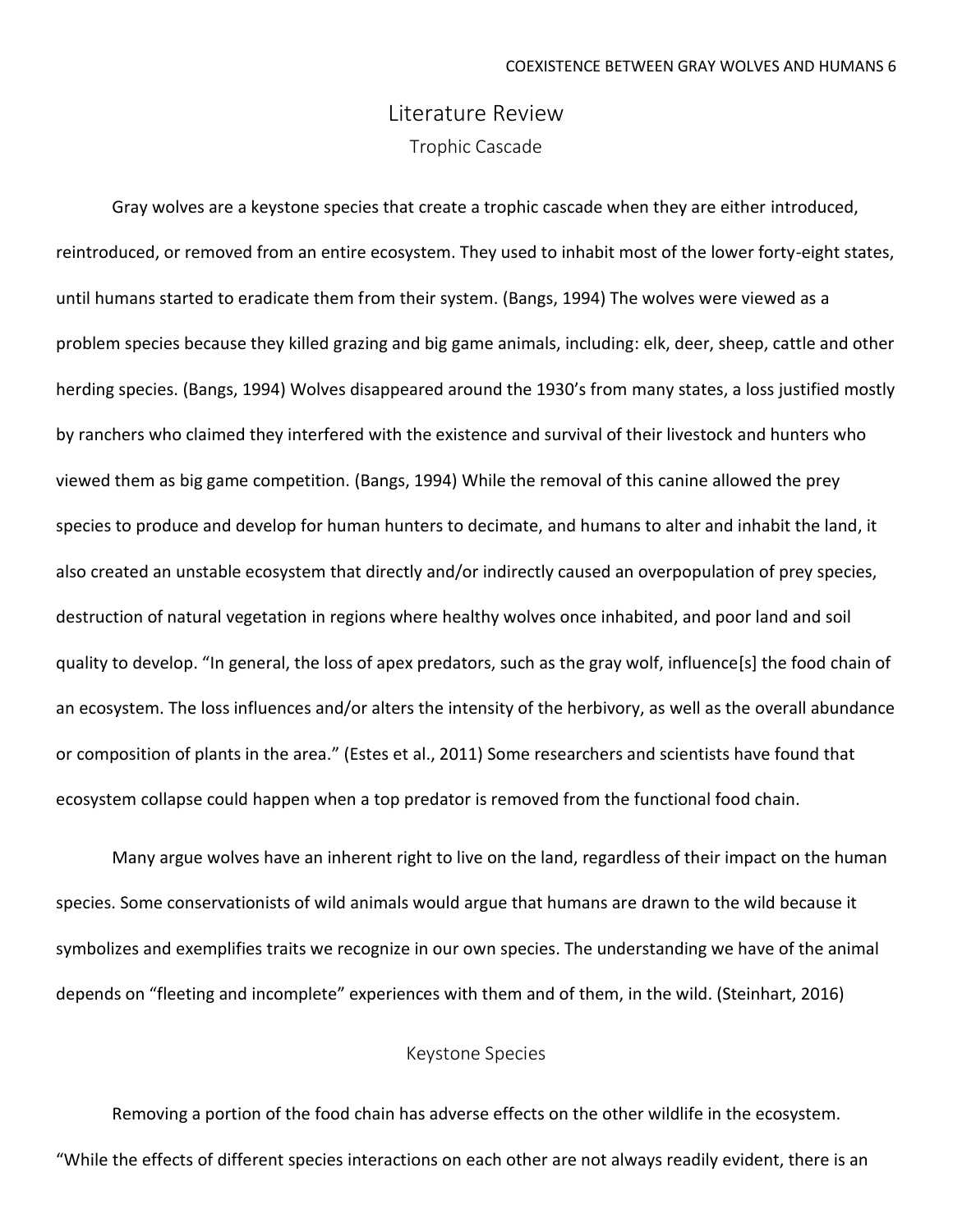## Literature Review Trophic Cascade

Gray wolves are a keystone species that create a trophic cascade when they are either introduced, reintroduced, or removed from an entire ecosystem. They used to inhabit most of the lower forty-eight states, until humans started to eradicate them from their system. (Bangs, 1994) The wolves were viewed as a problem species because they killed grazing and big game animals, including: elk, deer, sheep, cattle and other herding species. (Bangs, 1994) Wolves disappeared around the 1930's from many states, a loss justified mostly by ranchers who claimed they interfered with the existence and survival of their livestock and hunters who viewed them as big game competition. (Bangs, 1994) While the removal of this canine allowed the prey species to produce and develop for human hunters to decimate, and humans to alter and inhabit the land, it also created an unstable ecosystem that directly and/or indirectly caused an overpopulation of prey species, destruction of natural vegetation in regions where healthy wolves once inhabited, and poor land and soil quality to develop. "In general, the loss of apex predators, such as the gray wolf, influence[s] the food chain of an ecosystem. The loss influences and/or alters the intensity of the herbivory, as well as the overall abundance or composition of plants in the area." (Estes et al., 2011) Some researchers and scientists have found that ecosystem collapse could happen when a top predator is removed from the functional food chain.

Many argue wolves have an inherent right to live on the land, regardless of their impact on the human species. Some conservationists of wild animals would argue that humans are drawn to the wild because it symbolizes and exemplifies traits we recognize in our own species. The understanding we have of the animal depends on "fleeting and incomplete" experiences with them and of them, in the wild. (Steinhart, 2016)

#### Keystone Species

Removing a portion of the food chain has adverse effects on the other wildlife in the ecosystem. "While the effects of different species interactions on each other are not always readily evident, there is an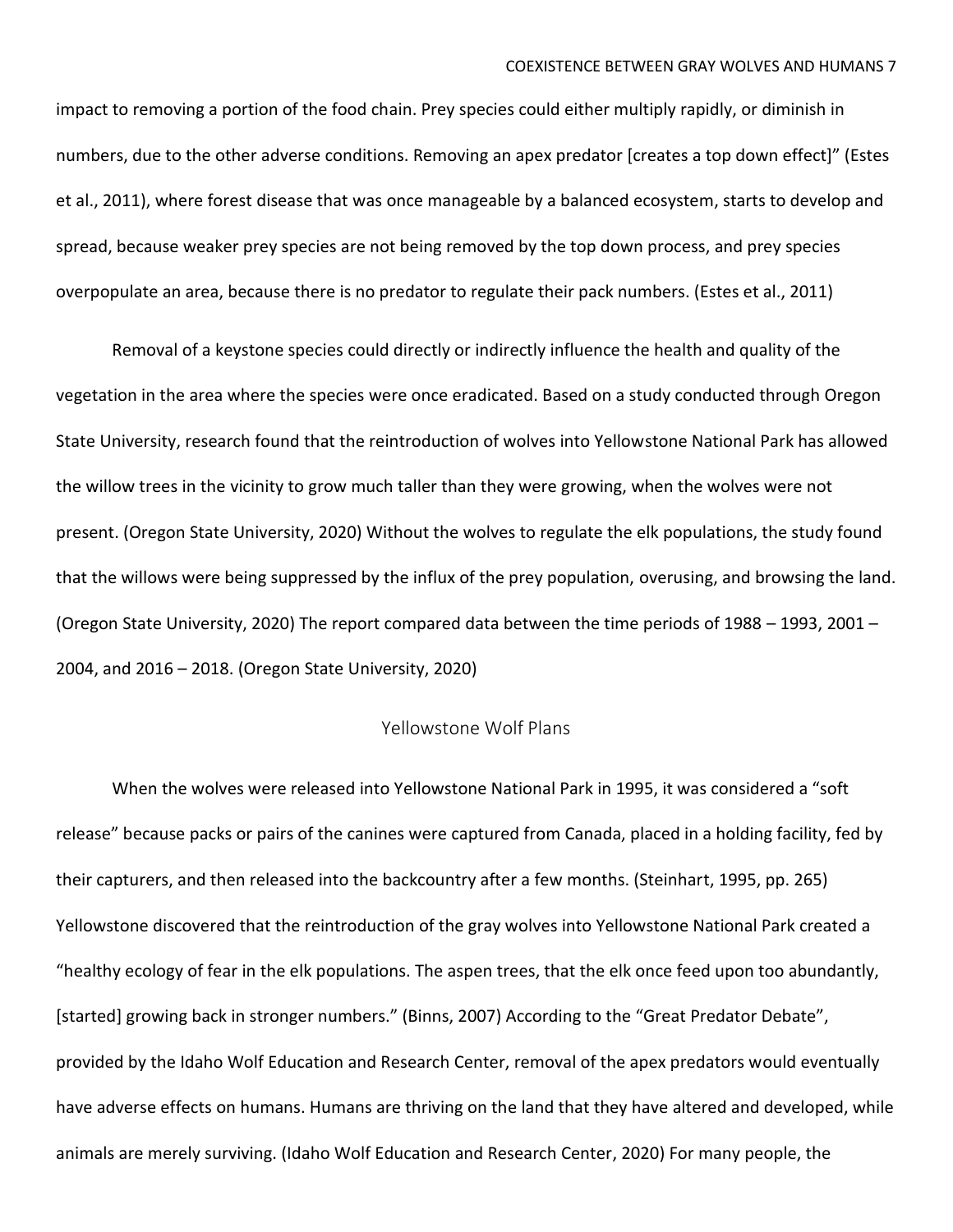impact to removing a portion of the food chain. Prey species could either multiply rapidly, or diminish in numbers, due to the other adverse conditions. Removing an apex predator [creates a top down effect]" (Estes et al., 2011), where forest disease that was once manageable by a balanced ecosystem, starts to develop and spread, because weaker prey species are not being removed by the top down process, and prey species overpopulate an area, because there is no predator to regulate their pack numbers. (Estes et al., 2011)

Removal of a keystone species could directly or indirectly influence the health and quality of the vegetation in the area where the species were once eradicated. Based on a study conducted through Oregon State University, research found that the reintroduction of wolves into Yellowstone National Park has allowed the willow trees in the vicinity to grow much taller than they were growing, when the wolves were not present. (Oregon State University, 2020) Without the wolves to regulate the elk populations, the study found that the willows were being suppressed by the influx of the prey population, overusing, and browsing the land. (Oregon State University, 2020) The report compared data between the time periods of 1988 – 1993, 2001 – 2004, and 2016 – 2018. (Oregon State University, 2020)

#### Yellowstone Wolf Plans

When the wolves were released into Yellowstone National Park in 1995, it was considered a "soft release" because packs or pairs of the canines were captured from Canada, placed in a holding facility, fed by their capturers, and then released into the backcountry after a few months. (Steinhart, 1995, pp. 265) Yellowstone discovered that the reintroduction of the gray wolves into Yellowstone National Park created a "healthy ecology of fear in the elk populations. The aspen trees, that the elk once feed upon too abundantly, [started] growing back in stronger numbers." (Binns, 2007) According to the "Great Predator Debate", provided by the Idaho Wolf Education and Research Center, removal of the apex predators would eventually have adverse effects on humans. Humans are thriving on the land that they have altered and developed, while animals are merely surviving. (Idaho Wolf Education and Research Center, 2020) For many people, the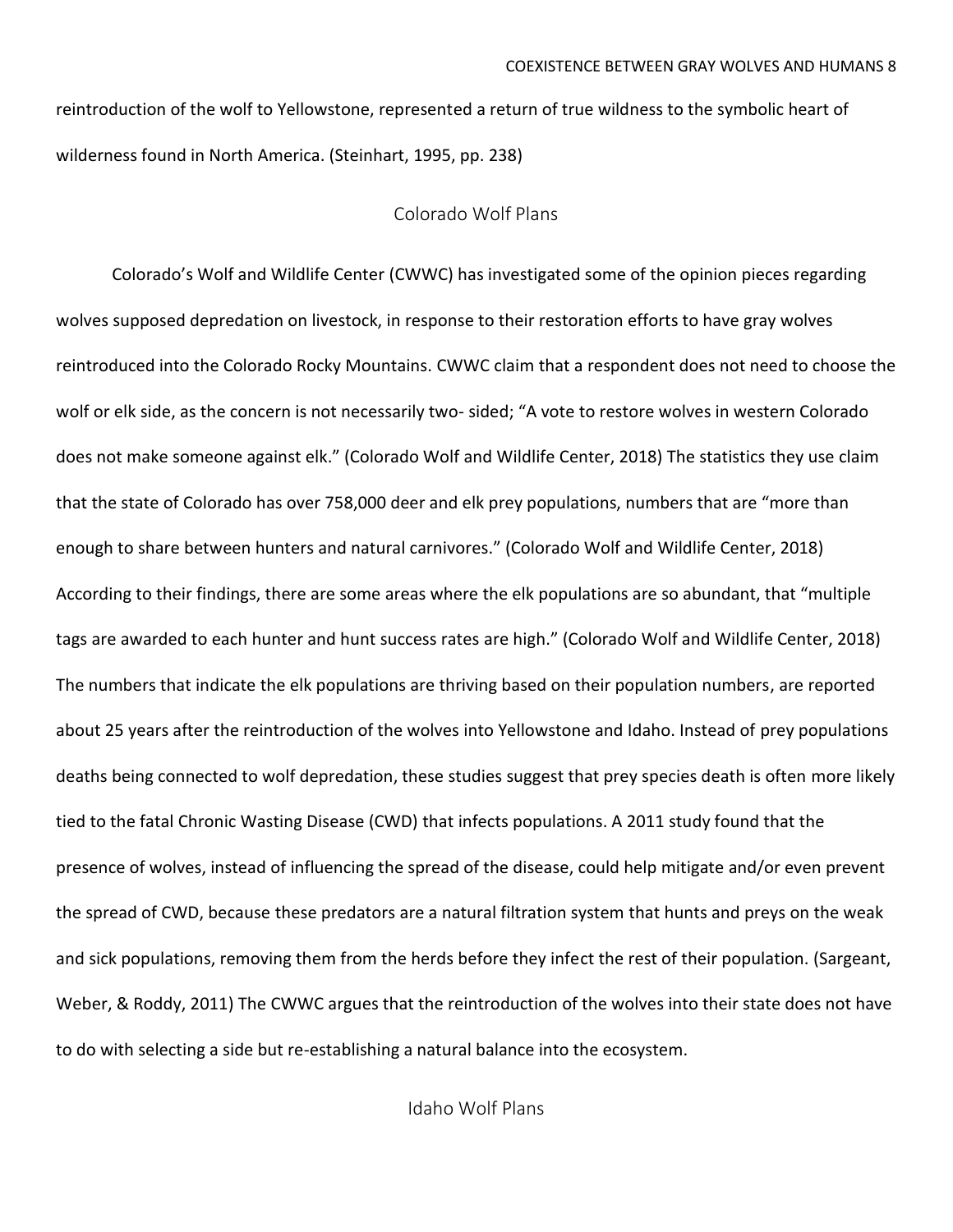reintroduction of the wolf to Yellowstone, represented a return of true wildness to the symbolic heart of wilderness found in North America. (Steinhart, 1995, pp. 238)

## Colorado Wolf Plans

Colorado's Wolf and Wildlife Center (CWWC) has investigated some of the opinion pieces regarding wolves supposed depredation on livestock, in response to their restoration efforts to have gray wolves reintroduced into the Colorado Rocky Mountains. CWWC claim that a respondent does not need to choose the wolf or elk side, as the concern is not necessarily two- sided; "A vote to restore wolves in western Colorado does not make someone against elk." (Colorado Wolf and Wildlife Center, 2018) The statistics they use claim that the state of Colorado has over 758,000 deer and elk prey populations, numbers that are "more than enough to share between hunters and natural carnivores." (Colorado Wolf and Wildlife Center, 2018) According to their findings, there are some areas where the elk populations are so abundant, that "multiple tags are awarded to each hunter and hunt success rates are high." (Colorado Wolf and Wildlife Center, 2018) The numbers that indicate the elk populations are thriving based on their population numbers, are reported about 25 years after the reintroduction of the wolves into Yellowstone and Idaho. Instead of prey populations deaths being connected to wolf depredation, these studies suggest that prey species death is often more likely tied to the fatal Chronic Wasting Disease (CWD) that infects populations. A 2011 study found that the presence of wolves, instead of influencing the spread of the disease, could help mitigate and/or even prevent the spread of CWD, because these predators are a natural filtration system that hunts and preys on the weak and sick populations, removing them from the herds before they infect the rest of their population. (Sargeant, Weber, & Roddy, 2011) The CWWC argues that the reintroduction of the wolves into their state does not have to do with selecting a side but re-establishing a natural balance into the ecosystem.

Idaho Wolf Plans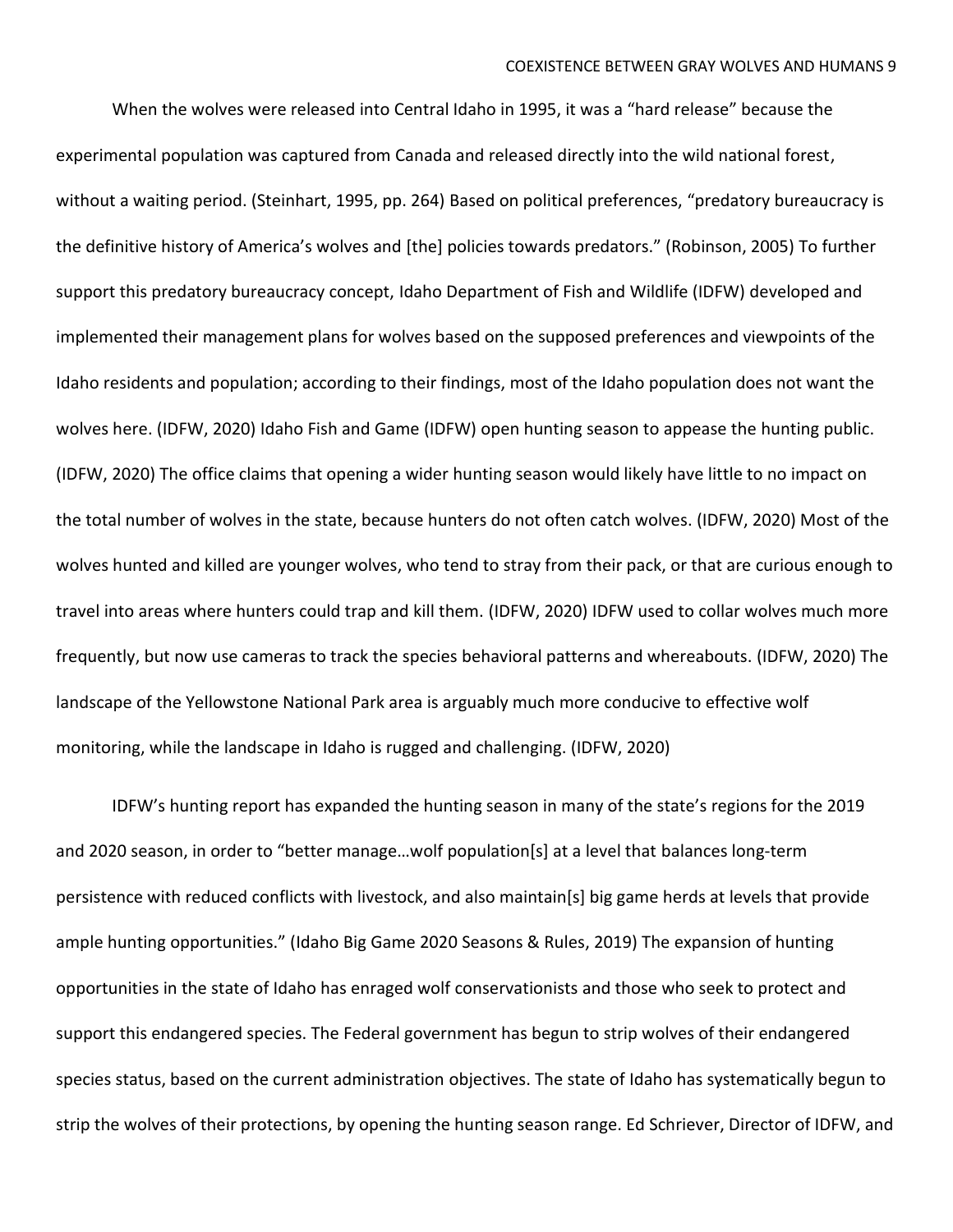When the wolves were released into Central Idaho in 1995, it was a "hard release" because the experimental population was captured from Canada and released directly into the wild national forest, without a waiting period. (Steinhart, 1995, pp. 264) Based on political preferences, "predatory bureaucracy is the definitive history of America's wolves and [the] policies towards predators." (Robinson, 2005) To further support this predatory bureaucracy concept, Idaho Department of Fish and Wildlife (IDFW) developed and implemented their management plans for wolves based on the supposed preferences and viewpoints of the Idaho residents and population; according to their findings, most of the Idaho population does not want the wolves here. (IDFW, 2020) Idaho Fish and Game (IDFW) open hunting season to appease the hunting public. (IDFW, 2020) The office claims that opening a wider hunting season would likely have little to no impact on the total number of wolves in the state, because hunters do not often catch wolves. (IDFW, 2020) Most of the wolves hunted and killed are younger wolves, who tend to stray from their pack, or that are curious enough to travel into areas where hunters could trap and kill them. (IDFW, 2020) IDFW used to collar wolves much more frequently, but now use cameras to track the species behavioral patterns and whereabouts. (IDFW, 2020) The landscape of the Yellowstone National Park area is arguably much more conducive to effective wolf monitoring, while the landscape in Idaho is rugged and challenging. (IDFW, 2020)

IDFW's hunting report has expanded the hunting season in many of the state's regions for the 2019 and 2020 season, in order to "better manage…wolf population[s] at a level that balances long-term persistence with reduced conflicts with livestock, and also maintain[s] big game herds at levels that provide ample hunting opportunities." (Idaho Big Game 2020 Seasons & Rules, 2019) The expansion of hunting opportunities in the state of Idaho has enraged wolf conservationists and those who seek to protect and support this endangered species. The Federal government has begun to strip wolves of their endangered species status, based on the current administration objectives. The state of Idaho has systematically begun to strip the wolves of their protections, by opening the hunting season range. Ed Schriever, Director of IDFW, and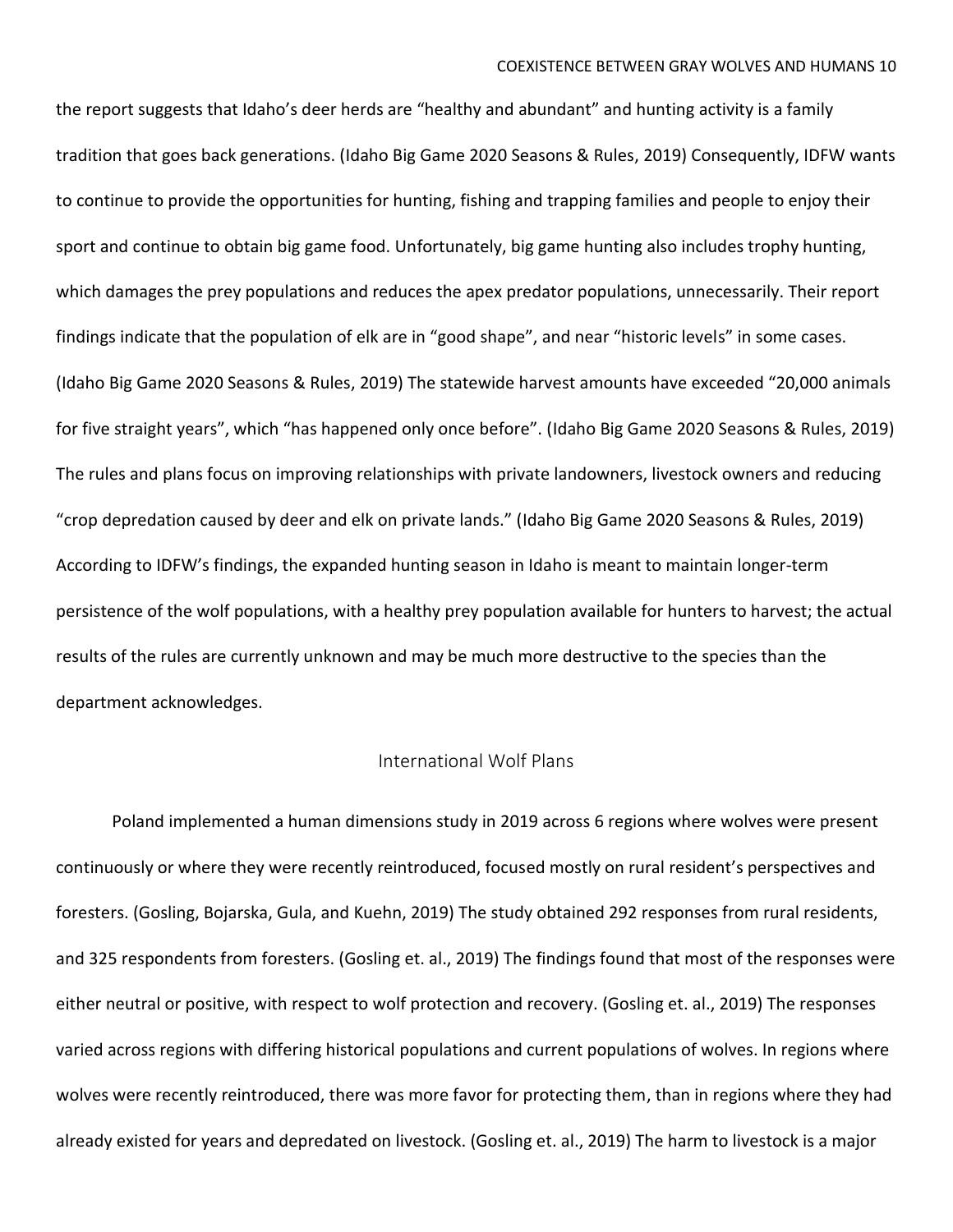the report suggests that Idaho's deer herds are "healthy and abundant" and hunting activity is a family tradition that goes back generations. (Idaho Big Game 2020 Seasons & Rules, 2019) Consequently, IDFW wants to continue to provide the opportunities for hunting, fishing and trapping families and people to enjoy their sport and continue to obtain big game food. Unfortunately, big game hunting also includes trophy hunting, which damages the prey populations and reduces the apex predator populations, unnecessarily. Their report findings indicate that the population of elk are in "good shape", and near "historic levels" in some cases. (Idaho Big Game 2020 Seasons & Rules, 2019) The statewide harvest amounts have exceeded "20,000 animals for five straight years", which "has happened only once before". (Idaho Big Game 2020 Seasons & Rules, 2019) The rules and plans focus on improving relationships with private landowners, livestock owners and reducing "crop depredation caused by deer and elk on private lands." (Idaho Big Game 2020 Seasons & Rules, 2019) According to IDFW's findings, the expanded hunting season in Idaho is meant to maintain longer-term persistence of the wolf populations, with a healthy prey population available for hunters to harvest; the actual results of the rules are currently unknown and may be much more destructive to the species than the department acknowledges.

### International Wolf Plans

Poland implemented a human dimensions study in 2019 across 6 regions where wolves were present continuously or where they were recently reintroduced, focused mostly on rural resident's perspectives and foresters. (Gosling, Bojarska, Gula, and Kuehn, 2019) The study obtained 292 responses from rural residents, and 325 respondents from foresters. (Gosling et. al., 2019) The findings found that most of the responses were either neutral or positive, with respect to wolf protection and recovery. (Gosling et. al., 2019) The responses varied across regions with differing historical populations and current populations of wolves. In regions where wolves were recently reintroduced, there was more favor for protecting them, than in regions where they had already existed for years and depredated on livestock. (Gosling et. al., 2019) The harm to livestock is a major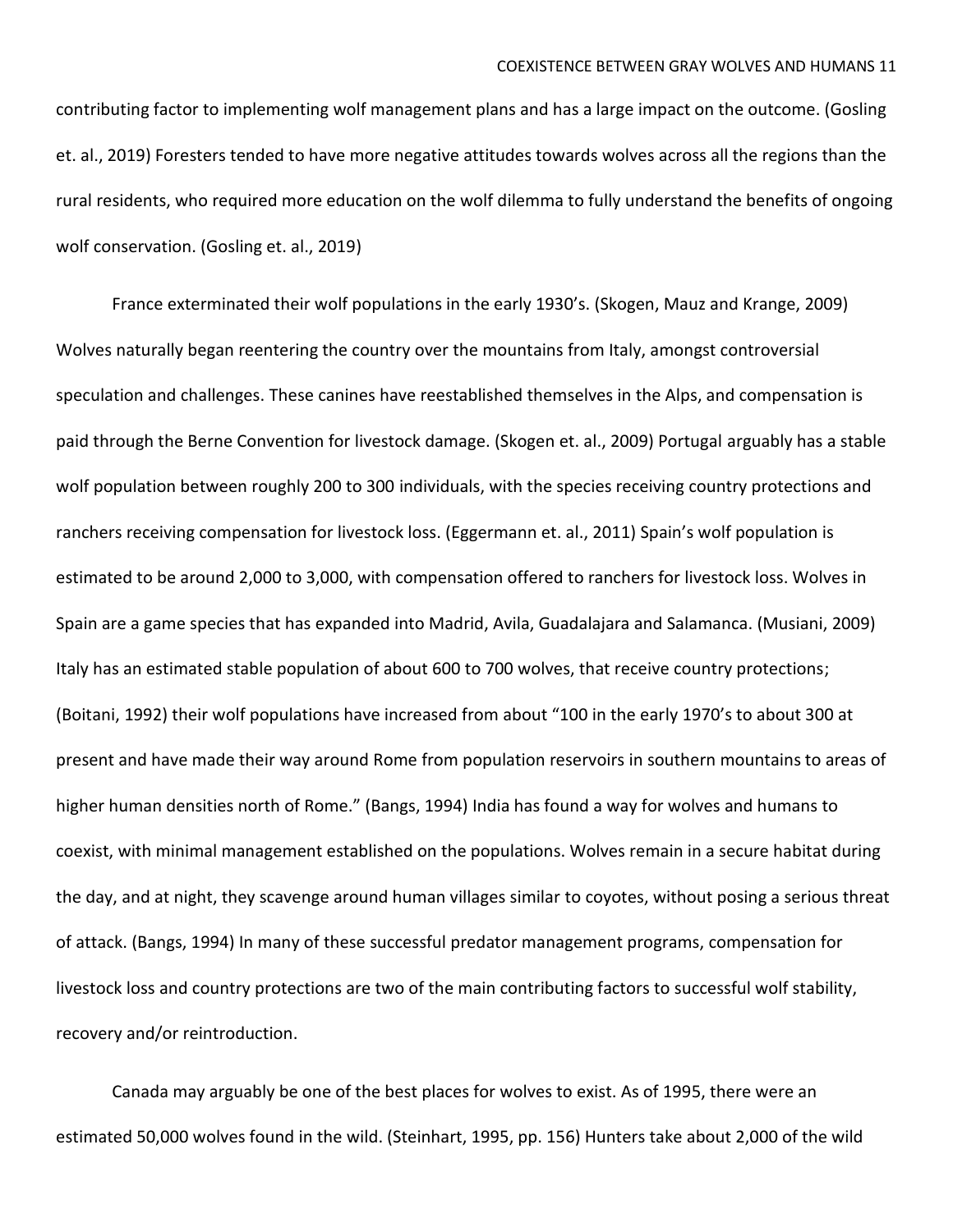contributing factor to implementing wolf management plans and has a large impact on the outcome. (Gosling et. al., 2019) Foresters tended to have more negative attitudes towards wolves across all the regions than the rural residents, who required more education on the wolf dilemma to fully understand the benefits of ongoing wolf conservation. (Gosling et. al., 2019)

France exterminated their wolf populations in the early 1930's. (Skogen, Mauz and Krange, 2009) Wolves naturally began reentering the country over the mountains from Italy, amongst controversial speculation and challenges. These canines have reestablished themselves in the Alps, and compensation is paid through the Berne Convention for livestock damage. (Skogen et. al., 2009) Portugal arguably has a stable wolf population between roughly 200 to 300 individuals, with the species receiving country protections and ranchers receiving compensation for livestock loss. (Eggermann et. al., 2011) Spain's wolf population is estimated to be around 2,000 to 3,000, with compensation offered to ranchers for livestock loss. Wolves in Spain are a game species that has expanded into Madrid, Avila, Guadalajara and Salamanca. (Musiani, 2009) Italy has an estimated stable population of about 600 to 700 wolves, that receive country protections; (Boitani, 1992) their wolf populations have increased from about "100 in the early 1970's to about 300 at present and have made their way around Rome from population reservoirs in southern mountains to areas of higher human densities north of Rome." (Bangs, 1994) India has found a way for wolves and humans to coexist, with minimal management established on the populations. Wolves remain in a secure habitat during the day, and at night, they scavenge around human villages similar to coyotes, without posing a serious threat of attack. (Bangs, 1994) In many of these successful predator management programs, compensation for livestock loss and country protections are two of the main contributing factors to successful wolf stability, recovery and/or reintroduction.

Canada may arguably be one of the best places for wolves to exist. As of 1995, there were an estimated 50,000 wolves found in the wild. (Steinhart, 1995, pp. 156) Hunters take about 2,000 of the wild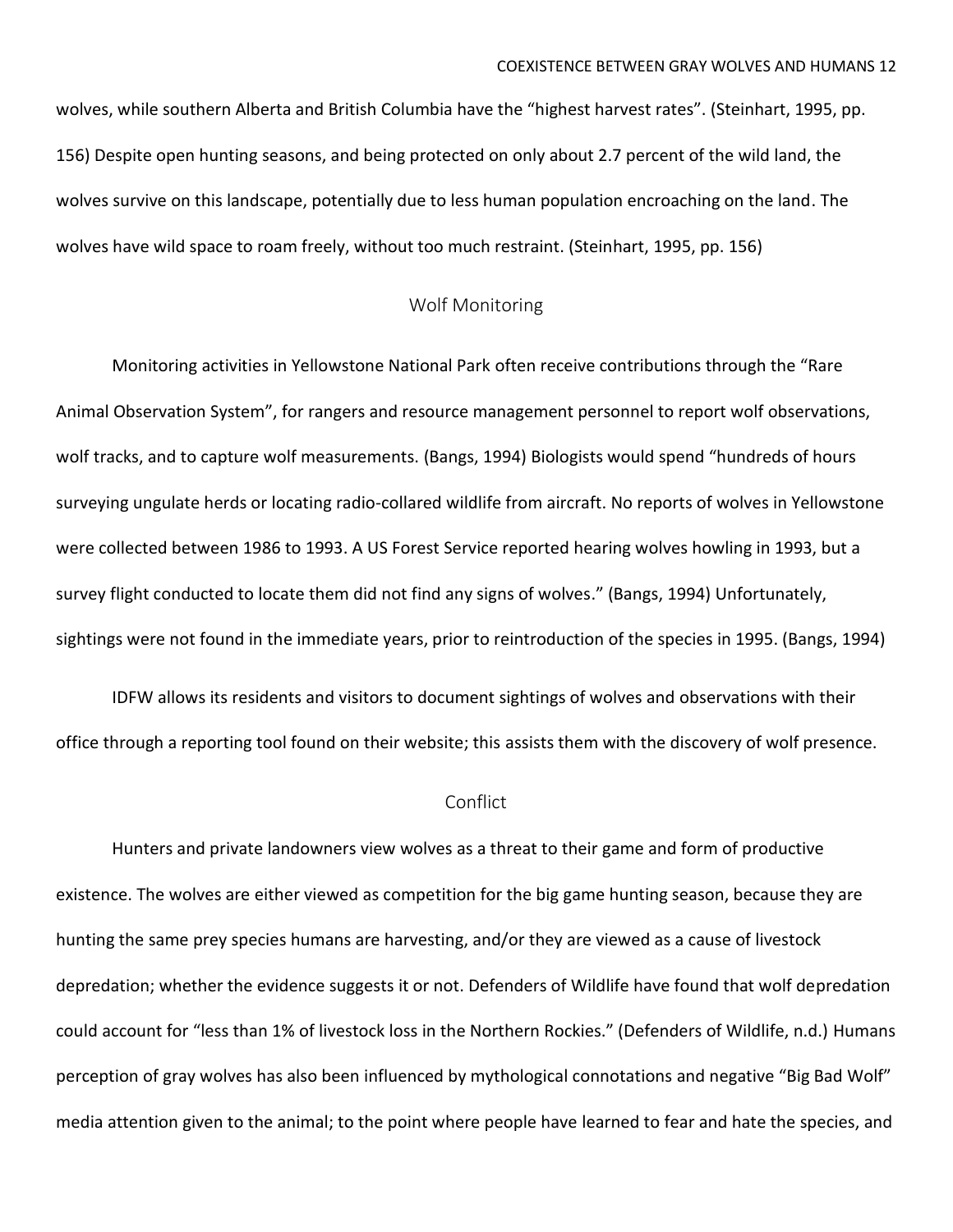wolves, while southern Alberta and British Columbia have the "highest harvest rates". (Steinhart, 1995, pp. 156) Despite open hunting seasons, and being protected on only about 2.7 percent of the wild land, the wolves survive on this landscape, potentially due to less human population encroaching on the land. The wolves have wild space to roam freely, without too much restraint. (Steinhart, 1995, pp. 156)

#### Wolf Monitoring

Monitoring activities in Yellowstone National Park often receive contributions through the "Rare Animal Observation System", for rangers and resource management personnel to report wolf observations, wolf tracks, and to capture wolf measurements. (Bangs, 1994) Biologists would spend "hundreds of hours surveying ungulate herds or locating radio-collared wildlife from aircraft. No reports of wolves in Yellowstone were collected between 1986 to 1993. A US Forest Service reported hearing wolves howling in 1993, but a survey flight conducted to locate them did not find any signs of wolves." (Bangs, 1994) Unfortunately, sightings were not found in the immediate years, prior to reintroduction of the species in 1995. (Bangs, 1994)

IDFW allows its residents and visitors to document sightings of wolves and observations with their office through a reporting tool found on their website; this assists them with the discovery of wolf presence.

#### **Conflict**

Hunters and private landowners view wolves as a threat to their game and form of productive existence. The wolves are either viewed as competition for the big game hunting season, because they are hunting the same prey species humans are harvesting, and/or they are viewed as a cause of livestock depredation; whether the evidence suggests it or not. Defenders of Wildlife have found that wolf depredation could account for "less than 1% of livestock loss in the Northern Rockies." (Defenders of Wildlife, n.d.) Humans perception of gray wolves has also been influenced by mythological connotations and negative "Big Bad Wolf" media attention given to the animal; to the point where people have learned to fear and hate the species, and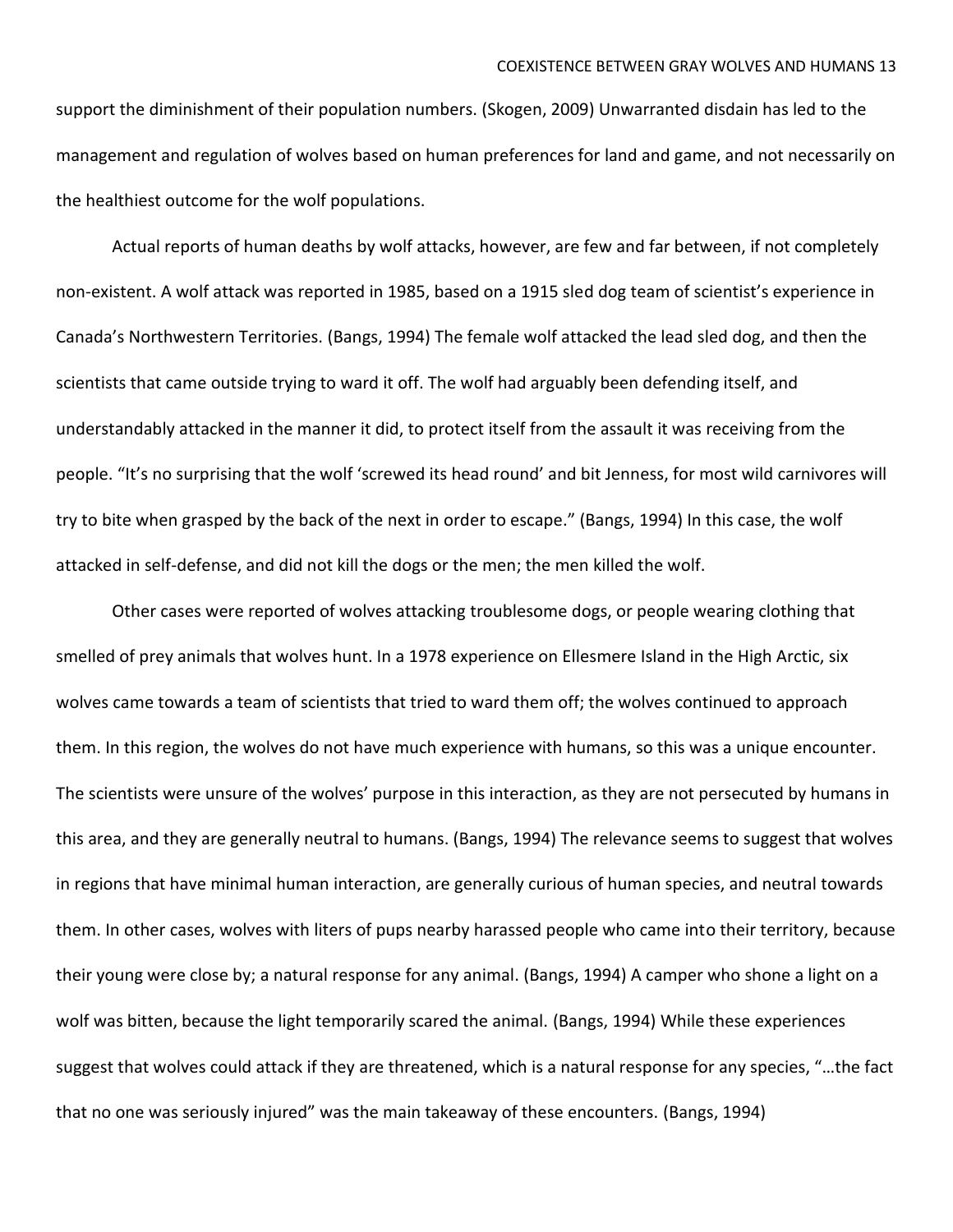support the diminishment of their population numbers. (Skogen, 2009) Unwarranted disdain has led to the management and regulation of wolves based on human preferences for land and game, and not necessarily on the healthiest outcome for the wolf populations.

Actual reports of human deaths by wolf attacks, however, are few and far between, if not completely non-existent. A wolf attack was reported in 1985, based on a 1915 sled dog team of scientist's experience in Canada's Northwestern Territories. (Bangs, 1994) The female wolf attacked the lead sled dog, and then the scientists that came outside trying to ward it off. The wolf had arguably been defending itself, and understandably attacked in the manner it did, to protect itself from the assault it was receiving from the people. "It's no surprising that the wolf 'screwed its head round' and bit Jenness, for most wild carnivores will try to bite when grasped by the back of the next in order to escape." (Bangs, 1994) In this case, the wolf attacked in self-defense, and did not kill the dogs or the men; the men killed the wolf.

Other cases were reported of wolves attacking troublesome dogs, or people wearing clothing that smelled of prey animals that wolves hunt. In a 1978 experience on Ellesmere Island in the High Arctic, six wolves came towards a team of scientists that tried to ward them off; the wolves continued to approach them. In this region, the wolves do not have much experience with humans, so this was a unique encounter. The scientists were unsure of the wolves' purpose in this interaction, as they are not persecuted by humans in this area, and they are generally neutral to humans. (Bangs, 1994) The relevance seems to suggest that wolves in regions that have minimal human interaction, are generally curious of human species, and neutral towards them. In other cases, wolves with liters of pups nearby harassed people who came into their territory, because their young were close by; a natural response for any animal. (Bangs, 1994) A camper who shone a light on a wolf was bitten, because the light temporarily scared the animal. (Bangs, 1994) While these experiences suggest that wolves could attack if they are threatened, which is a natural response for any species, "…the fact that no one was seriously injured" was the main takeaway of these encounters. (Bangs, 1994)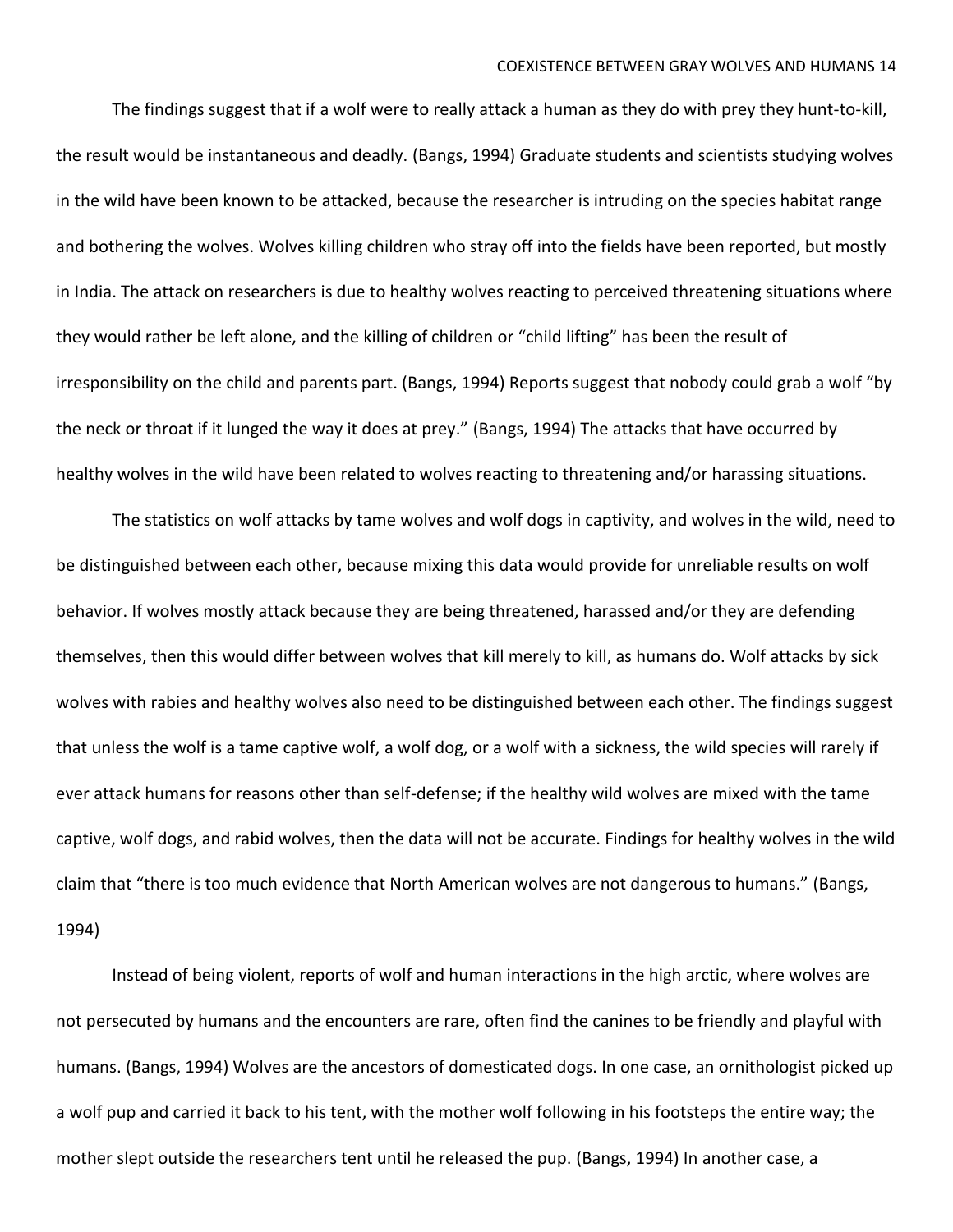The findings suggest that if a wolf were to really attack a human as they do with prey they hunt-to-kill, the result would be instantaneous and deadly. (Bangs, 1994) Graduate students and scientists studying wolves in the wild have been known to be attacked, because the researcher is intruding on the species habitat range and bothering the wolves. Wolves killing children who stray off into the fields have been reported, but mostly in India. The attack on researchers is due to healthy wolves reacting to perceived threatening situations where they would rather be left alone, and the killing of children or "child lifting" has been the result of irresponsibility on the child and parents part. (Bangs, 1994) Reports suggest that nobody could grab a wolf "by the neck or throat if it lunged the way it does at prey." (Bangs, 1994) The attacks that have occurred by healthy wolves in the wild have been related to wolves reacting to threatening and/or harassing situations.

The statistics on wolf attacks by tame wolves and wolf dogs in captivity, and wolves in the wild, need to be distinguished between each other, because mixing this data would provide for unreliable results on wolf behavior. If wolves mostly attack because they are being threatened, harassed and/or they are defending themselves, then this would differ between wolves that kill merely to kill, as humans do. Wolf attacks by sick wolves with rabies and healthy wolves also need to be distinguished between each other. The findings suggest that unless the wolf is a tame captive wolf, a wolf dog, or a wolf with a sickness, the wild species will rarely if ever attack humans for reasons other than self-defense; if the healthy wild wolves are mixed with the tame captive, wolf dogs, and rabid wolves, then the data will not be accurate. Findings for healthy wolves in the wild claim that "there is too much evidence that North American wolves are not dangerous to humans." (Bangs, 1994)

Instead of being violent, reports of wolf and human interactions in the high arctic, where wolves are not persecuted by humans and the encounters are rare, often find the canines to be friendly and playful with humans. (Bangs, 1994) Wolves are the ancestors of domesticated dogs. In one case, an ornithologist picked up a wolf pup and carried it back to his tent, with the mother wolf following in his footsteps the entire way; the mother slept outside the researchers tent until he released the pup. (Bangs, 1994) In another case, a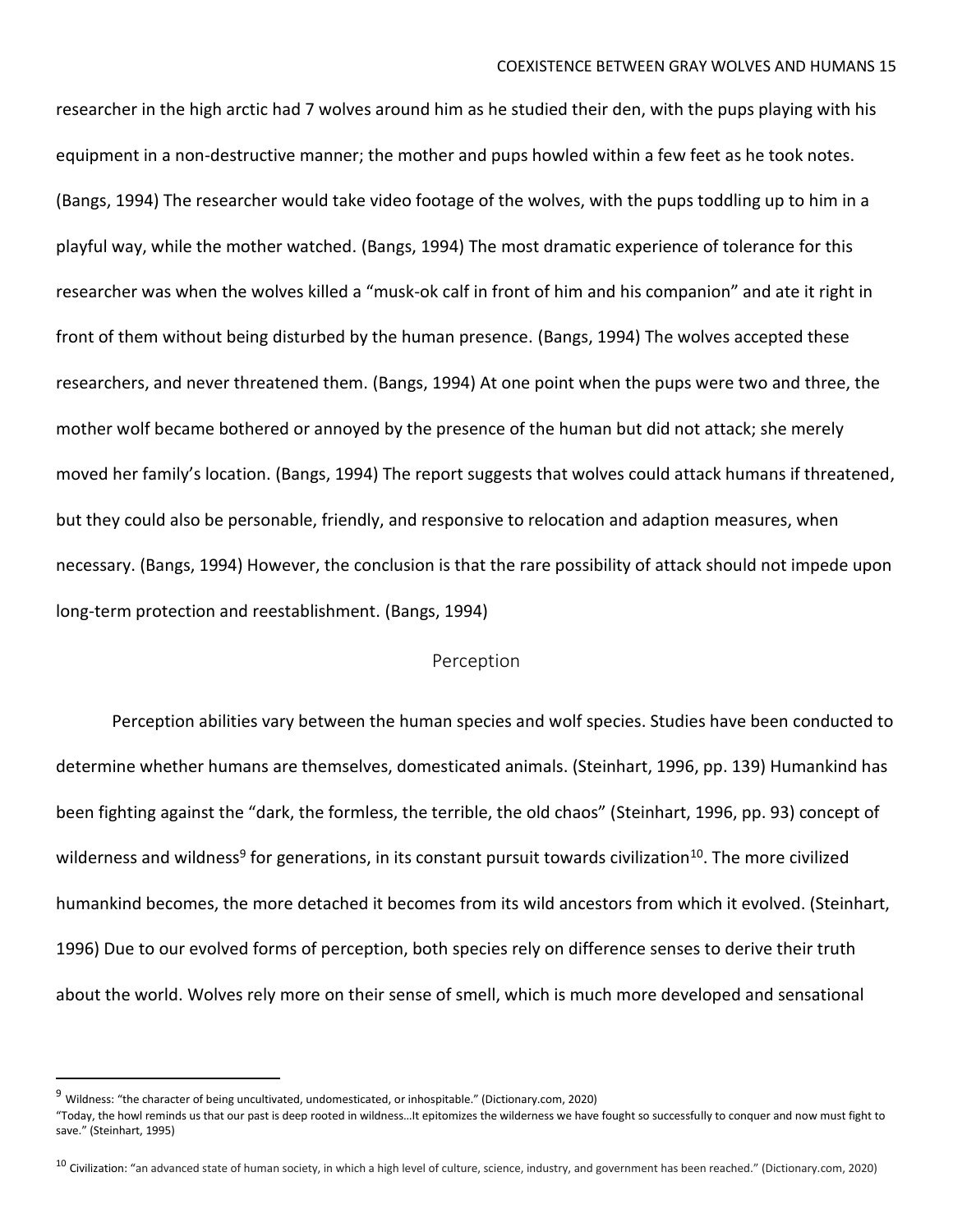researcher in the high arctic had 7 wolves around him as he studied their den, with the pups playing with his equipment in a non-destructive manner; the mother and pups howled within a few feet as he took notes. (Bangs, 1994) The researcher would take video footage of the wolves, with the pups toddling up to him in a playful way, while the mother watched. (Bangs, 1994) The most dramatic experience of tolerance for this researcher was when the wolves killed a "musk-ok calf in front of him and his companion" and ate it right in front of them without being disturbed by the human presence. (Bangs, 1994) The wolves accepted these researchers, and never threatened them. (Bangs, 1994) At one point when the pups were two and three, the mother wolf became bothered or annoyed by the presence of the human but did not attack; she merely moved her family's location. (Bangs, 1994) The report suggests that wolves could attack humans if threatened, but they could also be personable, friendly, and responsive to relocation and adaption measures, when necessary. (Bangs, 1994) However, the conclusion is that the rare possibility of attack should not impede upon long-term protection and reestablishment. (Bangs, 1994)

#### Perception

Perception abilities vary between the human species and wolf species. Studies have been conducted to determine whether humans are themselves, domesticated animals. (Steinhart, 1996, pp. 139) Humankind has been fighting against the "dark, the formless, the terrible, the old chaos" (Steinhart, 1996, pp. 93) concept of wilderness and wildness<sup>9</sup> for generations, in its constant pursuit towards civilization<sup>10</sup>. The more civilized humankind becomes, the more detached it becomes from its wild ancestors from which it evolved. (Steinhart, 1996) Due to our evolved forms of perception, both species rely on difference senses to derive their truth about the world. Wolves rely more on their sense of smell, which is much more developed and sensational

<sup>9</sup> Wildness: "the character of being uncultivated, undomesticated, or inhospitable." (Dictionary.com, 2020)

<sup>&</sup>quot;Today, the howl reminds us that our past is deep rooted in wildness…It epitomizes the wilderness we have fought so successfully to conquer and now must fight to save." (Steinhart, 1995)

<sup>&</sup>lt;sup>10</sup> Civilization: "an advanced state of human society, in which a high level of culture, science, industry, and government has been reached." (Dictionary.com, 2020)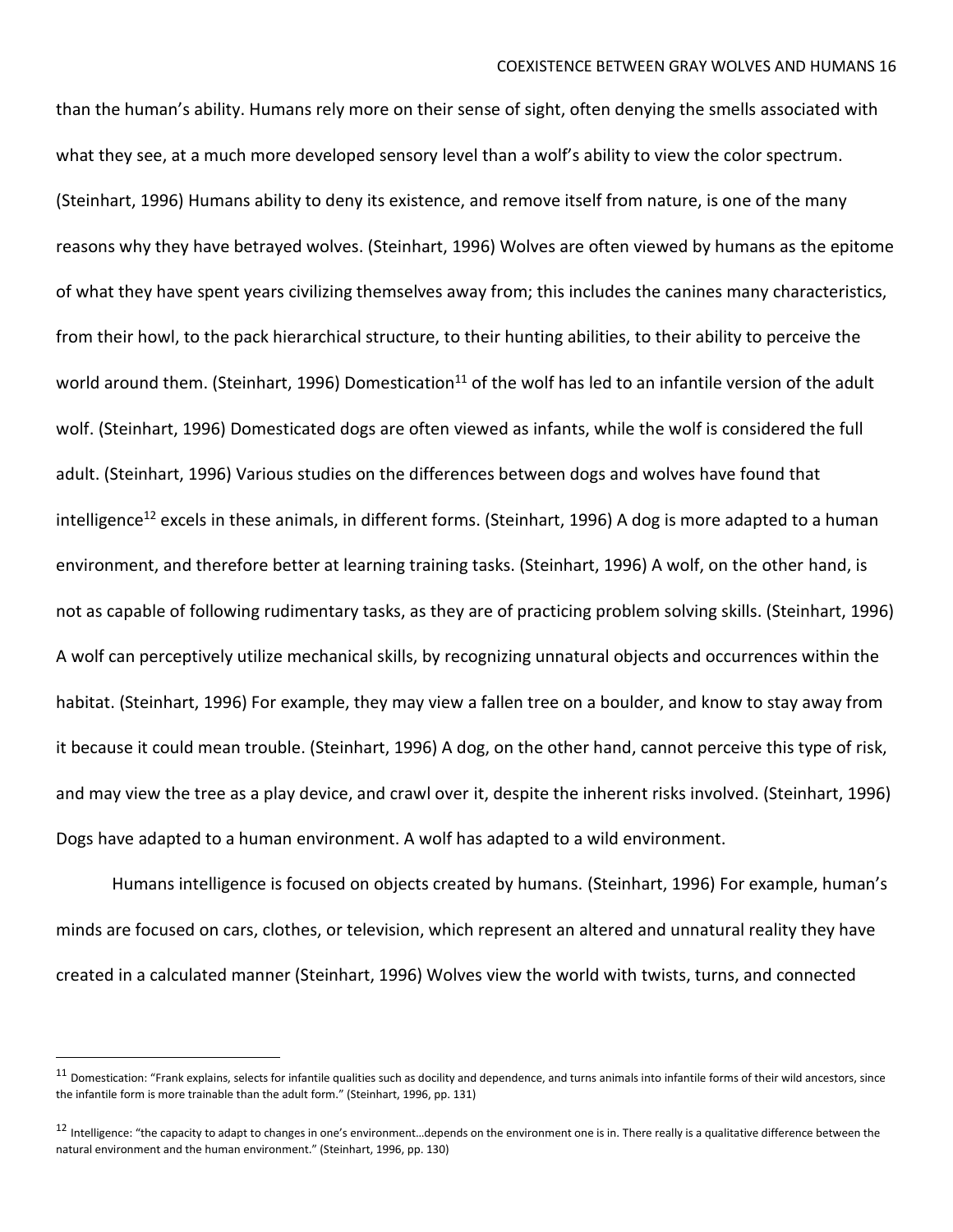than the human's ability. Humans rely more on their sense of sight, often denying the smells associated with what they see, at a much more developed sensory level than a wolf's ability to view the color spectrum. (Steinhart, 1996) Humans ability to deny its existence, and remove itself from nature, is one of the many reasons why they have betrayed wolves. (Steinhart, 1996) Wolves are often viewed by humans as the epitome of what they have spent years civilizing themselves away from; this includes the canines many characteristics, from their howl, to the pack hierarchical structure, to their hunting abilities, to their ability to perceive the world around them. (Steinhart, 1996) Domestication<sup>11</sup> of the wolf has led to an infantile version of the adult wolf. (Steinhart, 1996) Domesticated dogs are often viewed as infants, while the wolf is considered the full adult. (Steinhart, 1996) Various studies on the differences between dogs and wolves have found that intelligence<sup>12</sup> excels in these animals, in different forms. (Steinhart, 1996) A dog is more adapted to a human environment, and therefore better at learning training tasks. (Steinhart, 1996) A wolf, on the other hand, is not as capable of following rudimentary tasks, as they are of practicing problem solving skills. (Steinhart, 1996) A wolf can perceptively utilize mechanical skills, by recognizing unnatural objects and occurrences within the habitat. (Steinhart, 1996) For example, they may view a fallen tree on a boulder, and know to stay away from it because it could mean trouble. (Steinhart, 1996) A dog, on the other hand, cannot perceive this type of risk, and may view the tree as a play device, and crawl over it, despite the inherent risks involved. (Steinhart, 1996) Dogs have adapted to a human environment. A wolf has adapted to a wild environment.

Humans intelligence is focused on objects created by humans. (Steinhart, 1996) For example, human's minds are focused on cars, clothes, or television, which represent an altered and unnatural reality they have created in a calculated manner (Steinhart, 1996) Wolves view the world with twists, turns, and connected

 $11$  Domestication: "Frank explains, selects for infantile qualities such as docility and dependence, and turns animals into infantile forms of their wild ancestors, since the infantile form is more trainable than the adult form." (Steinhart, 1996, pp. 131)

<sup>&</sup>lt;sup>12</sup> Intelligence: "the capacity to adapt to changes in one's environment...depends on the environment one is in. There really is a qualitative difference between the natural environment and the human environment." (Steinhart, 1996, pp. 130)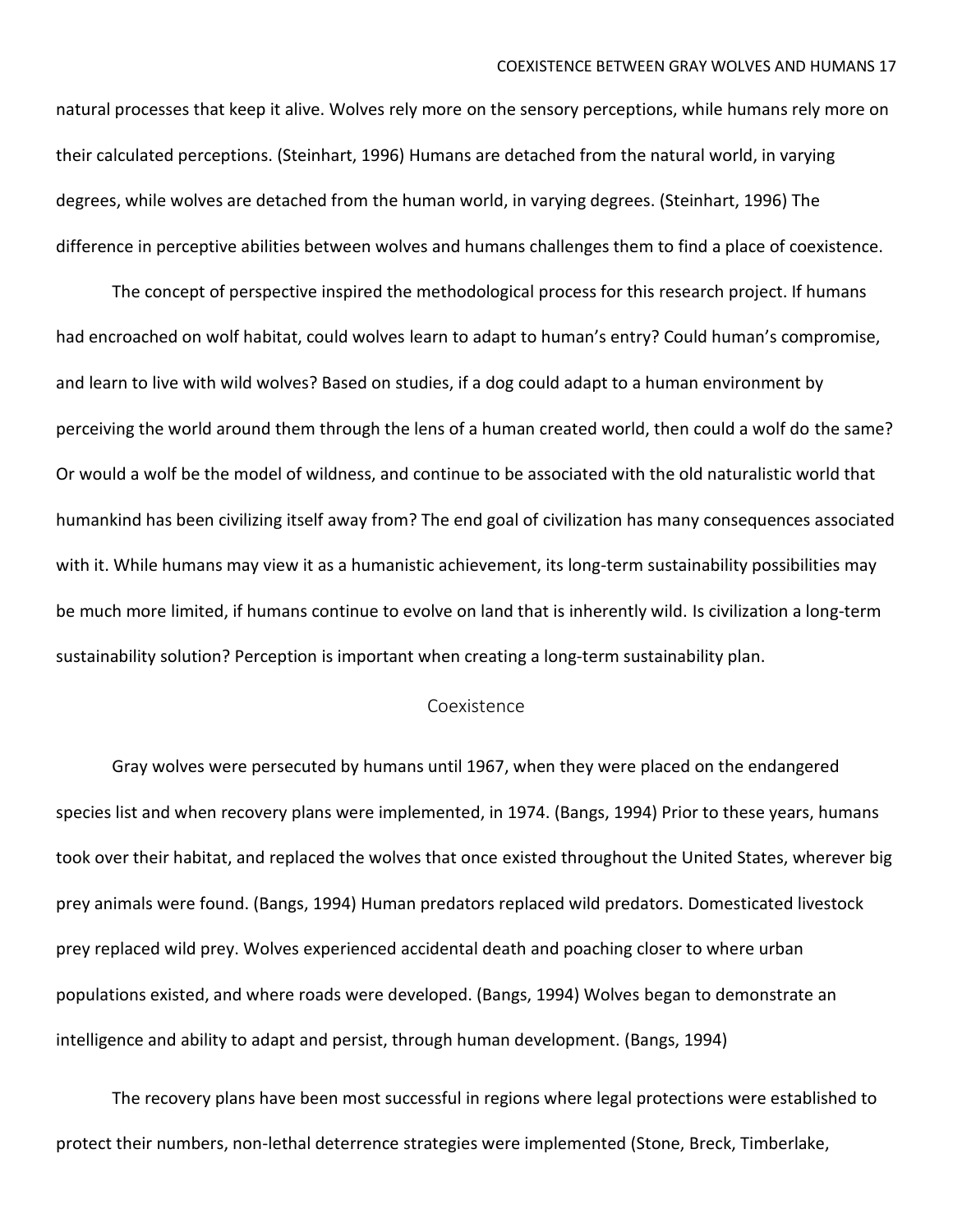natural processes that keep it alive. Wolves rely more on the sensory perceptions, while humans rely more on their calculated perceptions. (Steinhart, 1996) Humans are detached from the natural world, in varying degrees, while wolves are detached from the human world, in varying degrees. (Steinhart, 1996) The difference in perceptive abilities between wolves and humans challenges them to find a place of coexistence.

The concept of perspective inspired the methodological process for this research project. If humans had encroached on wolf habitat, could wolves learn to adapt to human's entry? Could human's compromise, and learn to live with wild wolves? Based on studies, if a dog could adapt to a human environment by perceiving the world around them through the lens of a human created world, then could a wolf do the same? Or would a wolf be the model of wildness, and continue to be associated with the old naturalistic world that humankind has been civilizing itself away from? The end goal of civilization has many consequences associated with it. While humans may view it as a humanistic achievement, its long-term sustainability possibilities may be much more limited, if humans continue to evolve on land that is inherently wild. Is civilization a long-term sustainability solution? Perception is important when creating a long-term sustainability plan.

#### Coexistence

Gray wolves were persecuted by humans until 1967, when they were placed on the endangered species list and when recovery plans were implemented, in 1974. (Bangs, 1994) Prior to these years, humans took over their habitat, and replaced the wolves that once existed throughout the United States, wherever big prey animals were found. (Bangs, 1994) Human predators replaced wild predators. Domesticated livestock prey replaced wild prey. Wolves experienced accidental death and poaching closer to where urban populations existed, and where roads were developed. (Bangs, 1994) Wolves began to demonstrate an intelligence and ability to adapt and persist, through human development. (Bangs, 1994)

The recovery plans have been most successful in regions where legal protections were established to protect their numbers, non-lethal deterrence strategies were implemented (Stone, Breck, Timberlake,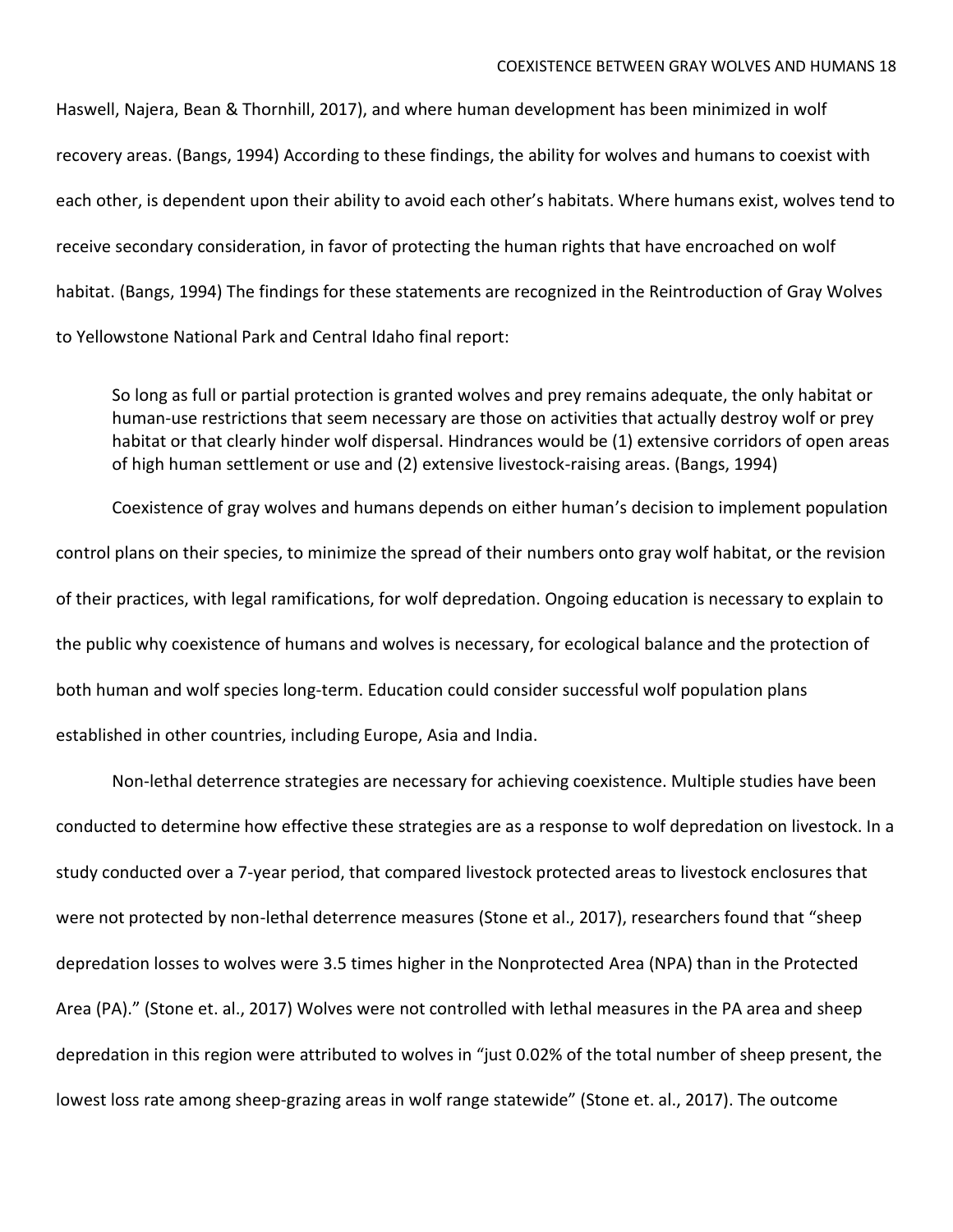Haswell, Najera, Bean & Thornhill, 2017), and where human development has been minimized in wolf recovery areas. (Bangs, 1994) According to these findings, the ability for wolves and humans to coexist with each other, is dependent upon their ability to avoid each other's habitats. Where humans exist, wolves tend to receive secondary consideration, in favor of protecting the human rights that have encroached on wolf habitat. (Bangs, 1994) The findings for these statements are recognized in the Reintroduction of Gray Wolves to Yellowstone National Park and Central Idaho final report:

So long as full or partial protection is granted wolves and prey remains adequate, the only habitat or human-use restrictions that seem necessary are those on activities that actually destroy wolf or prey habitat or that clearly hinder wolf dispersal. Hindrances would be (1) extensive corridors of open areas of high human settlement or use and (2) extensive livestock-raising areas. (Bangs, 1994)

Coexistence of gray wolves and humans depends on either human's decision to implement population control plans on their species, to minimize the spread of their numbers onto gray wolf habitat, or the revision of their practices, with legal ramifications, for wolf depredation. Ongoing education is necessary to explain to the public why coexistence of humans and wolves is necessary, for ecological balance and the protection of both human and wolf species long-term. Education could consider successful wolf population plans established in other countries, including Europe, Asia and India.

Non-lethal deterrence strategies are necessary for achieving coexistence. Multiple studies have been conducted to determine how effective these strategies are as a response to wolf depredation on livestock. In a study conducted over a 7-year period, that compared livestock protected areas to livestock enclosures that were not protected by non-lethal deterrence measures (Stone et al., 2017), researchers found that "sheep depredation losses to wolves were 3.5 times higher in the Nonprotected Area (NPA) than in the Protected Area (PA)." (Stone et. al., 2017) Wolves were not controlled with lethal measures in the PA area and sheep depredation in this region were attributed to wolves in "just 0.02% of the total number of sheep present, the lowest loss rate among sheep-grazing areas in wolf range statewide" (Stone et. al., 2017). The outcome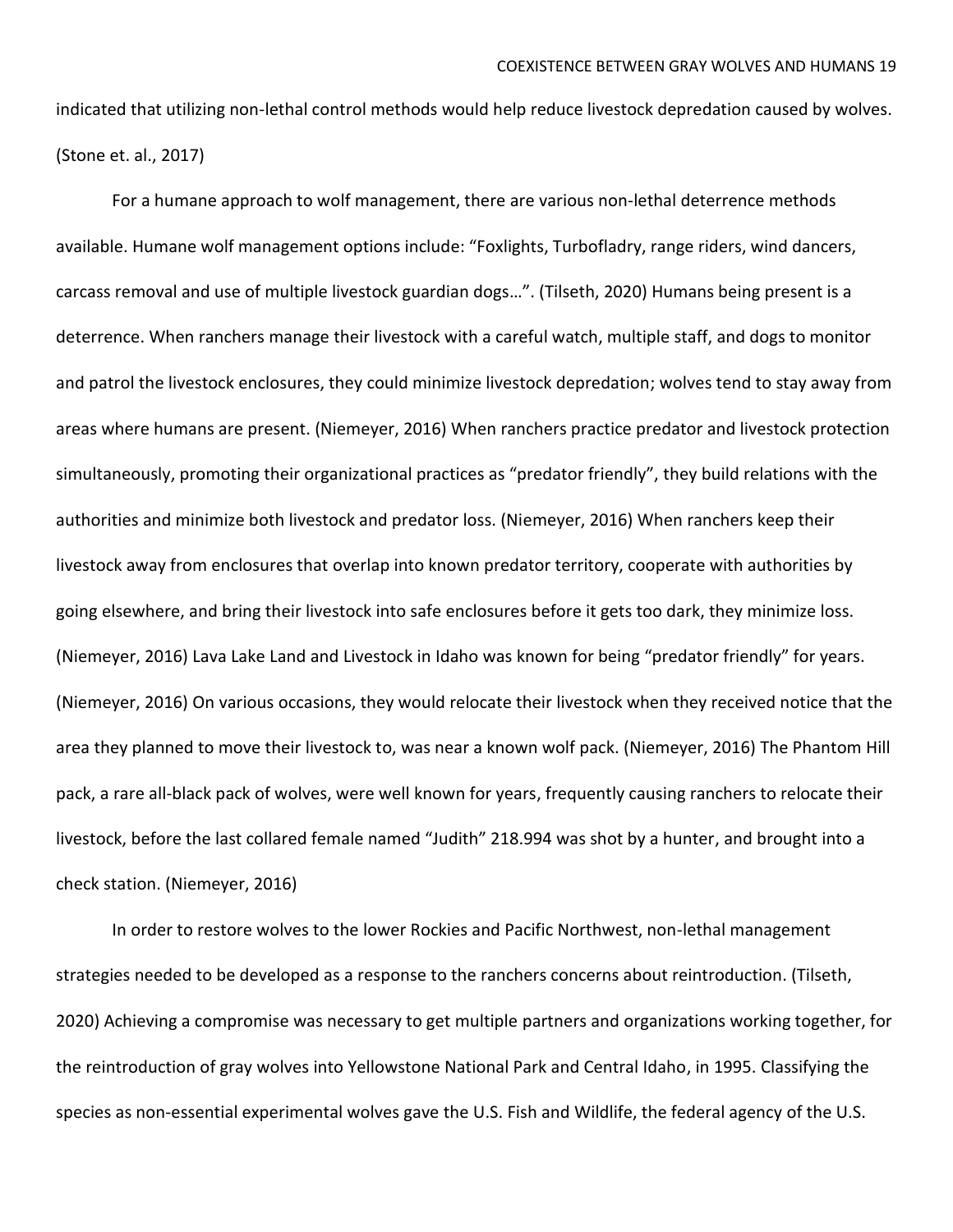indicated that utilizing non-lethal control methods would help reduce livestock depredation caused by wolves. (Stone et. al., 2017)

For a humane approach to wolf management, there are various non-lethal deterrence methods available. Humane wolf management options include: "Foxlights, Turbofladry, range riders, wind dancers, carcass removal and use of multiple livestock guardian dogs…". (Tilseth, 2020) Humans being present is a deterrence. When ranchers manage their livestock with a careful watch, multiple staff, and dogs to monitor and patrol the livestock enclosures, they could minimize livestock depredation; wolves tend to stay away from areas where humans are present. (Niemeyer, 2016) When ranchers practice predator and livestock protection simultaneously, promoting their organizational practices as "predator friendly", they build relations with the authorities and minimize both livestock and predator loss. (Niemeyer, 2016) When ranchers keep their livestock away from enclosures that overlap into known predator territory, cooperate with authorities by going elsewhere, and bring their livestock into safe enclosures before it gets too dark, they minimize loss. (Niemeyer, 2016) Lava Lake Land and Livestock in Idaho was known for being "predator friendly" for years. (Niemeyer, 2016) On various occasions, they would relocate their livestock when they received notice that the area they planned to move their livestock to, was near a known wolf pack. (Niemeyer, 2016) The Phantom Hill pack, a rare all-black pack of wolves, were well known for years, frequently causing ranchers to relocate their livestock, before the last collared female named "Judith" 218.994 was shot by a hunter, and brought into a check station. (Niemeyer, 2016)

In order to restore wolves to the lower Rockies and Pacific Northwest, non-lethal management strategies needed to be developed as a response to the ranchers concerns about reintroduction. (Tilseth, 2020) Achieving a compromise was necessary to get multiple partners and organizations working together, for the reintroduction of gray wolves into Yellowstone National Park and Central Idaho, in 1995. Classifying the species as non-essential experimental wolves gave the U.S. Fish and Wildlife, the federal agency of the U.S.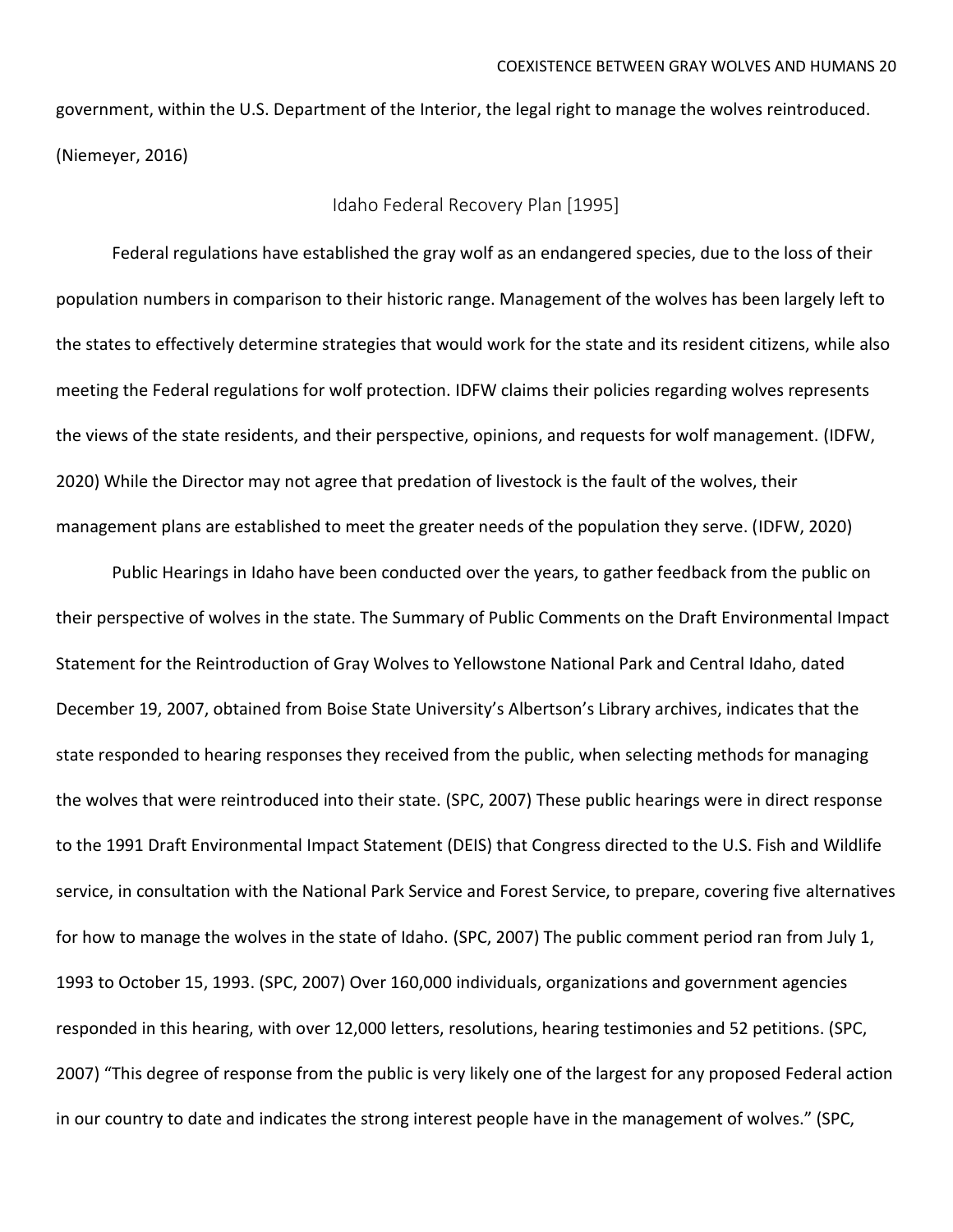government, within the U.S. Department of the Interior, the legal right to manage the wolves reintroduced. (Niemeyer, 2016)

### Idaho Federal Recovery Plan [1995]

Federal regulations have established the gray wolf as an endangered species, due to the loss of their population numbers in comparison to their historic range. Management of the wolves has been largely left to the states to effectively determine strategies that would work for the state and its resident citizens, while also meeting the Federal regulations for wolf protection. IDFW claims their policies regarding wolves represents the views of the state residents, and their perspective, opinions, and requests for wolf management. (IDFW, 2020) While the Director may not agree that predation of livestock is the fault of the wolves, their management plans are established to meet the greater needs of the population they serve. (IDFW, 2020)

Public Hearings in Idaho have been conducted over the years, to gather feedback from the public on their perspective of wolves in the state. The Summary of Public Comments on the Draft Environmental Impact Statement for the Reintroduction of Gray Wolves to Yellowstone National Park and Central Idaho, dated December 19, 2007, obtained from Boise State University's Albertson's Library archives, indicates that the state responded to hearing responses they received from the public, when selecting methods for managing the wolves that were reintroduced into their state. (SPC, 2007) These public hearings were in direct response to the 1991 Draft Environmental Impact Statement (DEIS) that Congress directed to the U.S. Fish and Wildlife service, in consultation with the National Park Service and Forest Service, to prepare, covering five alternatives for how to manage the wolves in the state of Idaho. (SPC, 2007) The public comment period ran from July 1, 1993 to October 15, 1993. (SPC, 2007) Over 160,000 individuals, organizations and government agencies responded in this hearing, with over 12,000 letters, resolutions, hearing testimonies and 52 petitions. (SPC, 2007) "This degree of response from the public is very likely one of the largest for any proposed Federal action in our country to date and indicates the strong interest people have in the management of wolves." (SPC,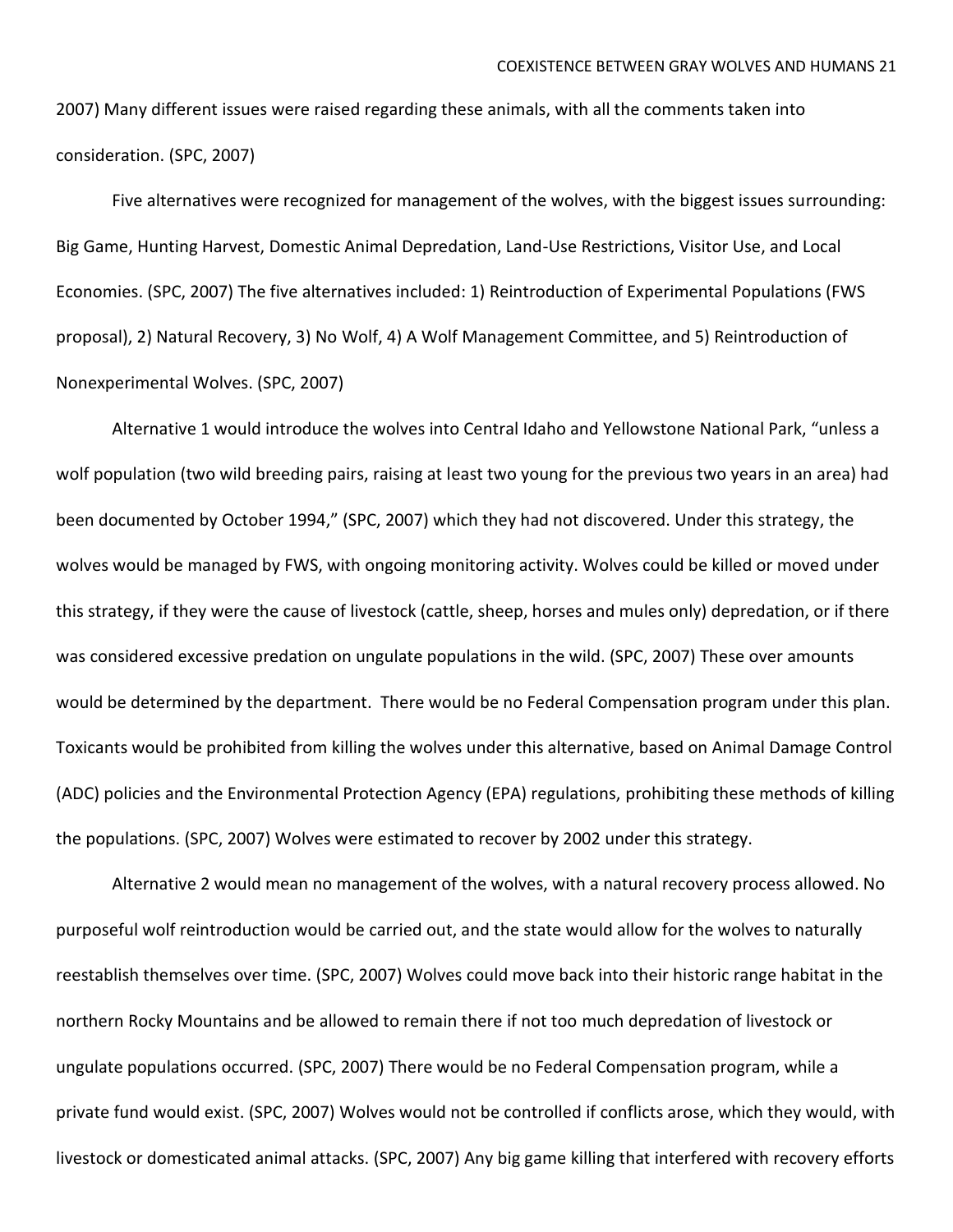2007) Many different issues were raised regarding these animals, with all the comments taken into consideration. (SPC, 2007)

Five alternatives were recognized for management of the wolves, with the biggest issues surrounding: Big Game, Hunting Harvest, Domestic Animal Depredation, Land-Use Restrictions, Visitor Use, and Local Economies. (SPC, 2007) The five alternatives included: 1) Reintroduction of Experimental Populations (FWS proposal), 2) Natural Recovery, 3) No Wolf, 4) A Wolf Management Committee, and 5) Reintroduction of Nonexperimental Wolves. (SPC, 2007)

Alternative 1 would introduce the wolves into Central Idaho and Yellowstone National Park, "unless a wolf population (two wild breeding pairs, raising at least two young for the previous two years in an area) had been documented by October 1994," (SPC, 2007) which they had not discovered. Under this strategy, the wolves would be managed by FWS, with ongoing monitoring activity. Wolves could be killed or moved under this strategy, if they were the cause of livestock (cattle, sheep, horses and mules only) depredation, or if there was considered excessive predation on ungulate populations in the wild. (SPC, 2007) These over amounts would be determined by the department. There would be no Federal Compensation program under this plan. Toxicants would be prohibited from killing the wolves under this alternative, based on Animal Damage Control (ADC) policies and the Environmental Protection Agency (EPA) regulations, prohibiting these methods of killing the populations. (SPC, 2007) Wolves were estimated to recover by 2002 under this strategy.

Alternative 2 would mean no management of the wolves, with a natural recovery process allowed. No purposeful wolf reintroduction would be carried out, and the state would allow for the wolves to naturally reestablish themselves over time. (SPC, 2007) Wolves could move back into their historic range habitat in the northern Rocky Mountains and be allowed to remain there if not too much depredation of livestock or ungulate populations occurred. (SPC, 2007) There would be no Federal Compensation program, while a private fund would exist. (SPC, 2007) Wolves would not be controlled if conflicts arose, which they would, with livestock or domesticated animal attacks. (SPC, 2007) Any big game killing that interfered with recovery efforts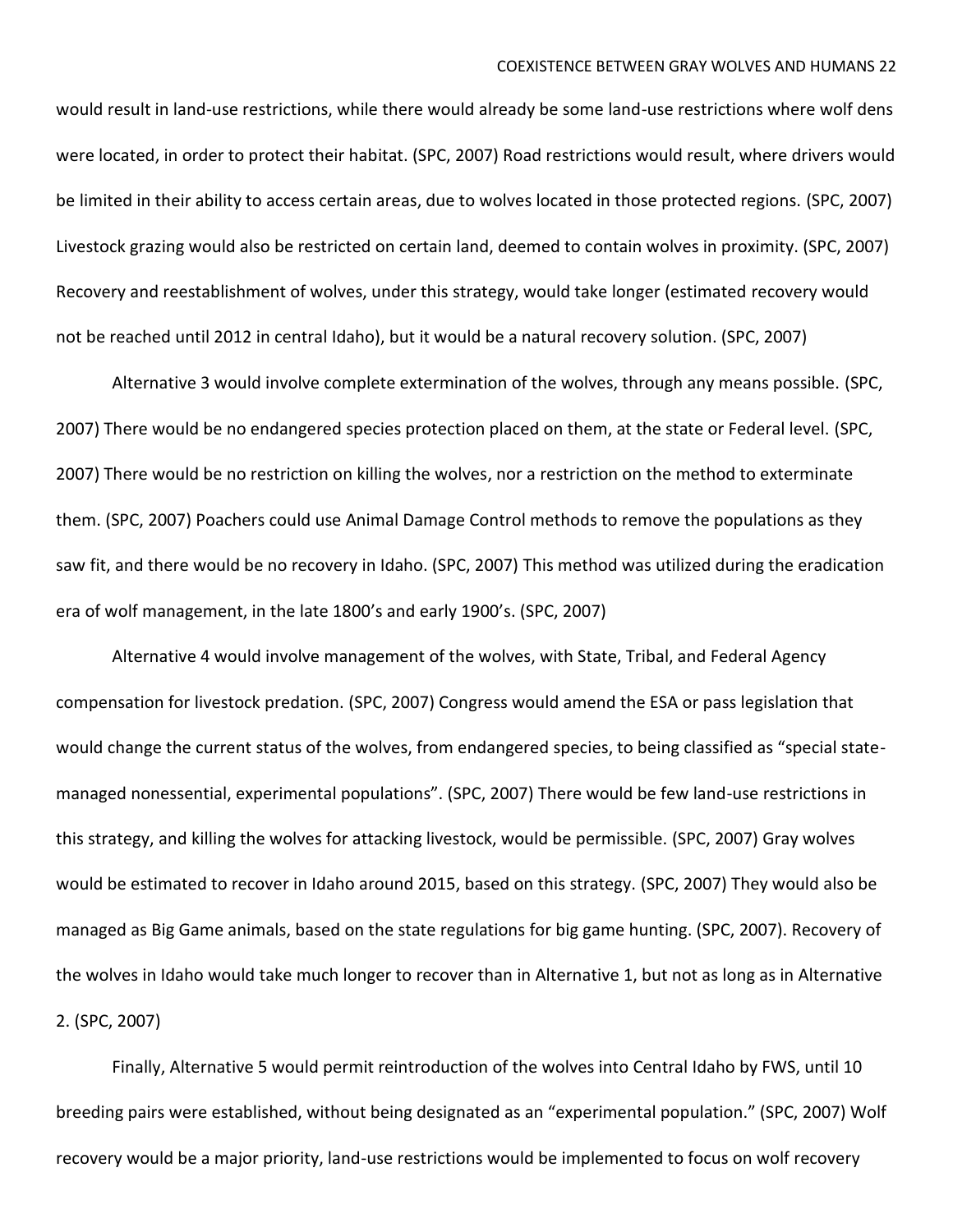would result in land-use restrictions, while there would already be some land-use restrictions where wolf dens were located, in order to protect their habitat. (SPC, 2007) Road restrictions would result, where drivers would be limited in their ability to access certain areas, due to wolves located in those protected regions. (SPC, 2007) Livestock grazing would also be restricted on certain land, deemed to contain wolves in proximity. (SPC, 2007) Recovery and reestablishment of wolves, under this strategy, would take longer (estimated recovery would not be reached until 2012 in central Idaho), but it would be a natural recovery solution. (SPC, 2007)

Alternative 3 would involve complete extermination of the wolves, through any means possible. (SPC, 2007) There would be no endangered species protection placed on them, at the state or Federal level. (SPC, 2007) There would be no restriction on killing the wolves, nor a restriction on the method to exterminate them. (SPC, 2007) Poachers could use Animal Damage Control methods to remove the populations as they saw fit, and there would be no recovery in Idaho. (SPC, 2007) This method was utilized during the eradication era of wolf management, in the late 1800's and early 1900's. (SPC, 2007)

Alternative 4 would involve management of the wolves, with State, Tribal, and Federal Agency compensation for livestock predation. (SPC, 2007) Congress would amend the ESA or pass legislation that would change the current status of the wolves, from endangered species, to being classified as "special statemanaged nonessential, experimental populations". (SPC, 2007) There would be few land-use restrictions in this strategy, and killing the wolves for attacking livestock, would be permissible. (SPC, 2007) Gray wolves would be estimated to recover in Idaho around 2015, based on this strategy. (SPC, 2007) They would also be managed as Big Game animals, based on the state regulations for big game hunting. (SPC, 2007). Recovery of the wolves in Idaho would take much longer to recover than in Alternative 1, but not as long as in Alternative 2. (SPC, 2007)

Finally, Alternative 5 would permit reintroduction of the wolves into Central Idaho by FWS, until 10 breeding pairs were established, without being designated as an "experimental population." (SPC, 2007) Wolf recovery would be a major priority, land-use restrictions would be implemented to focus on wolf recovery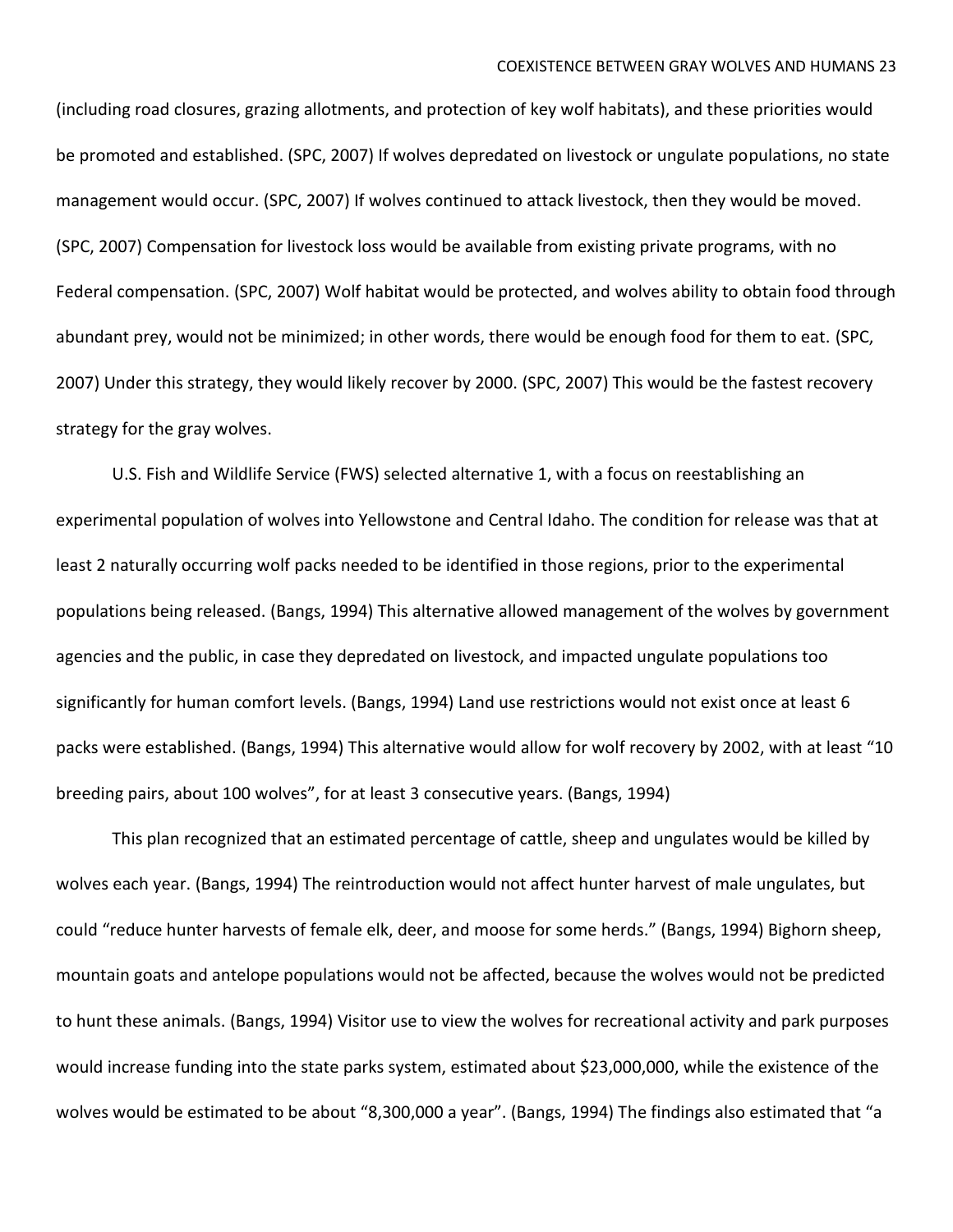(including road closures, grazing allotments, and protection of key wolf habitats), and these priorities would be promoted and established. (SPC, 2007) If wolves depredated on livestock or ungulate populations, no state management would occur. (SPC, 2007) If wolves continued to attack livestock, then they would be moved. (SPC, 2007) Compensation for livestock loss would be available from existing private programs, with no Federal compensation. (SPC, 2007) Wolf habitat would be protected, and wolves ability to obtain food through abundant prey, would not be minimized; in other words, there would be enough food for them to eat. (SPC, 2007) Under this strategy, they would likely recover by 2000. (SPC, 2007) This would be the fastest recovery strategy for the gray wolves.

U.S. Fish and Wildlife Service (FWS) selected alternative 1, with a focus on reestablishing an experimental population of wolves into Yellowstone and Central Idaho. The condition for release was that at least 2 naturally occurring wolf packs needed to be identified in those regions, prior to the experimental populations being released. (Bangs, 1994) This alternative allowed management of the wolves by government agencies and the public, in case they depredated on livestock, and impacted ungulate populations too significantly for human comfort levels. (Bangs, 1994) Land use restrictions would not exist once at least 6 packs were established. (Bangs, 1994) This alternative would allow for wolf recovery by 2002, with at least "10 breeding pairs, about 100 wolves", for at least 3 consecutive years. (Bangs, 1994)

This plan recognized that an estimated percentage of cattle, sheep and ungulates would be killed by wolves each year. (Bangs, 1994) The reintroduction would not affect hunter harvest of male ungulates, but could "reduce hunter harvests of female elk, deer, and moose for some herds." (Bangs, 1994) Bighorn sheep, mountain goats and antelope populations would not be affected, because the wolves would not be predicted to hunt these animals. (Bangs, 1994) Visitor use to view the wolves for recreational activity and park purposes would increase funding into the state parks system, estimated about \$23,000,000, while the existence of the wolves would be estimated to be about "8,300,000 a year". (Bangs, 1994) The findings also estimated that "a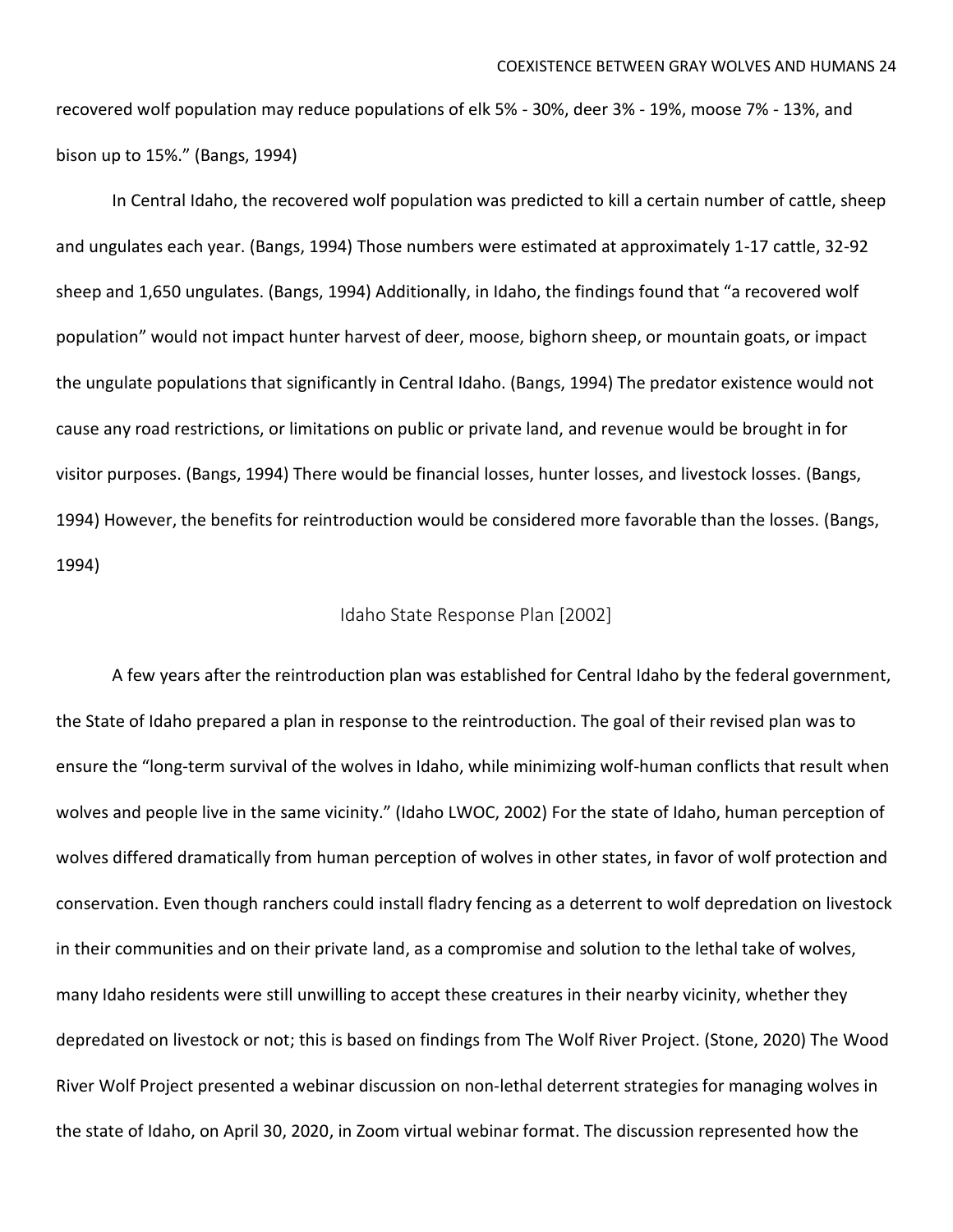recovered wolf population may reduce populations of elk 5% - 30%, deer 3% - 19%, moose 7% - 13%, and bison up to 15%." (Bangs, 1994)

In Central Idaho, the recovered wolf population was predicted to kill a certain number of cattle, sheep and ungulates each year. (Bangs, 1994) Those numbers were estimated at approximately 1-17 cattle, 32-92 sheep and 1,650 ungulates. (Bangs, 1994) Additionally, in Idaho, the findings found that "a recovered wolf population" would not impact hunter harvest of deer, moose, bighorn sheep, or mountain goats, or impact the ungulate populations that significantly in Central Idaho. (Bangs, 1994) The predator existence would not cause any road restrictions, or limitations on public or private land, and revenue would be brought in for visitor purposes. (Bangs, 1994) There would be financial losses, hunter losses, and livestock losses. (Bangs, 1994) However, the benefits for reintroduction would be considered more favorable than the losses. (Bangs, 1994)

#### Idaho State Response Plan [2002]

A few years after the reintroduction plan was established for Central Idaho by the federal government, the State of Idaho prepared a plan in response to the reintroduction. The goal of their revised plan was to ensure the "long-term survival of the wolves in Idaho, while minimizing wolf-human conflicts that result when wolves and people live in the same vicinity." (Idaho LWOC, 2002) For the state of Idaho, human perception of wolves differed dramatically from human perception of wolves in other states, in favor of wolf protection and conservation. Even though ranchers could install fladry fencing as a deterrent to wolf depredation on livestock in their communities and on their private land, as a compromise and solution to the lethal take of wolves, many Idaho residents were still unwilling to accept these creatures in their nearby vicinity, whether they depredated on livestock or not; this is based on findings from The Wolf River Project. (Stone, 2020) The Wood River Wolf Project presented a webinar discussion on non-lethal deterrent strategies for managing wolves in the state of Idaho, on April 30, 2020, in Zoom virtual webinar format. The discussion represented how the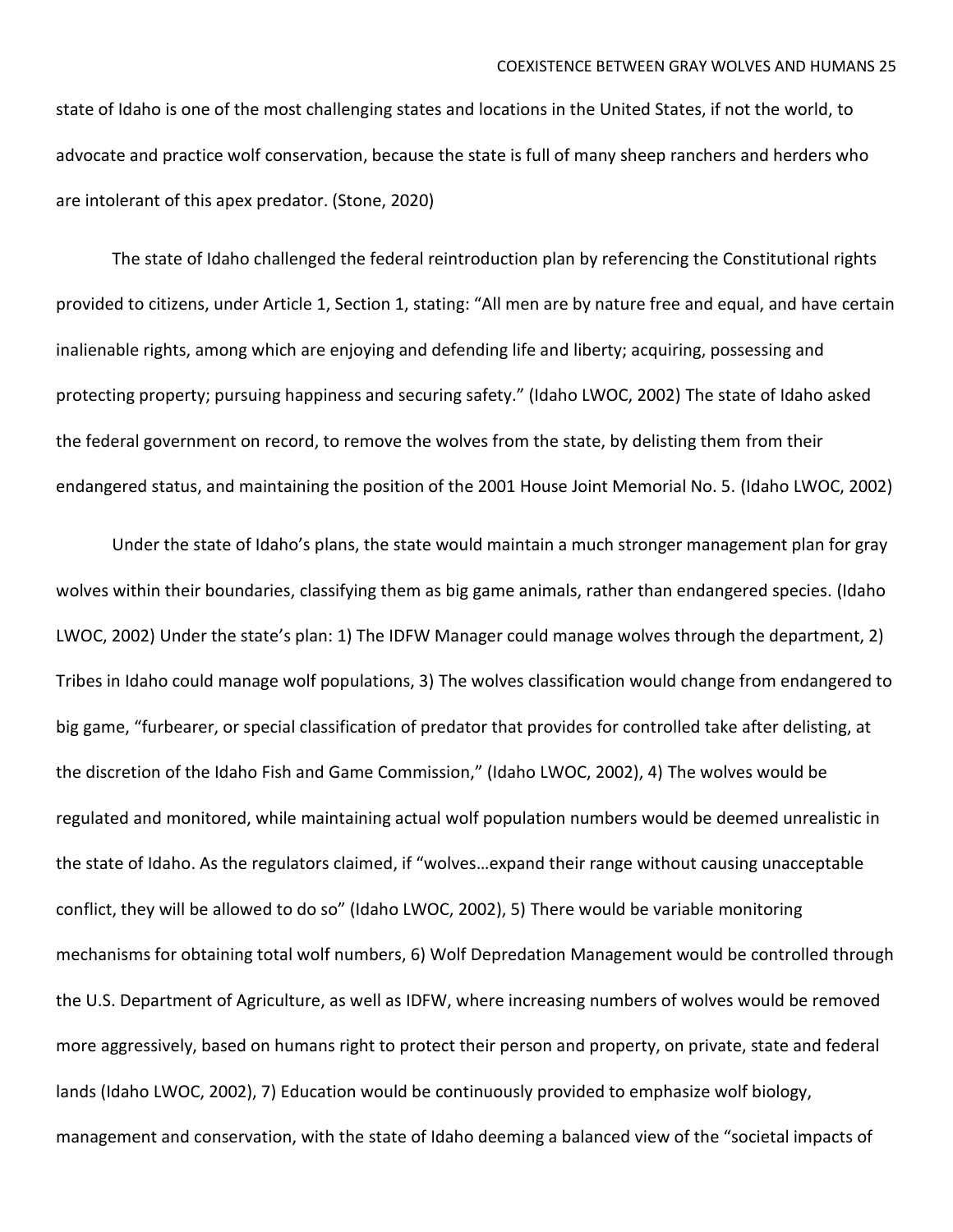state of Idaho is one of the most challenging states and locations in the United States, if not the world, to advocate and practice wolf conservation, because the state is full of many sheep ranchers and herders who are intolerant of this apex predator. (Stone, 2020)

The state of Idaho challenged the federal reintroduction plan by referencing the Constitutional rights provided to citizens, under Article 1, Section 1, stating: "All men are by nature free and equal, and have certain inalienable rights, among which are enjoying and defending life and liberty; acquiring, possessing and protecting property; pursuing happiness and securing safety." (Idaho LWOC, 2002) The state of Idaho asked the federal government on record, to remove the wolves from the state, by delisting them from their endangered status, and maintaining the position of the 2001 House Joint Memorial No. 5. (Idaho LWOC, 2002)

Under the state of Idaho's plans, the state would maintain a much stronger management plan for gray wolves within their boundaries, classifying them as big game animals, rather than endangered species. (Idaho LWOC, 2002) Under the state's plan: 1) The IDFW Manager could manage wolves through the department, 2) Tribes in Idaho could manage wolf populations, 3) The wolves classification would change from endangered to big game, "furbearer, or special classification of predator that provides for controlled take after delisting, at the discretion of the Idaho Fish and Game Commission," (Idaho LWOC, 2002), 4) The wolves would be regulated and monitored, while maintaining actual wolf population numbers would be deemed unrealistic in the state of Idaho. As the regulators claimed, if "wolves…expand their range without causing unacceptable conflict, they will be allowed to do so" (Idaho LWOC, 2002), 5) There would be variable monitoring mechanisms for obtaining total wolf numbers, 6) Wolf Depredation Management would be controlled through the U.S. Department of Agriculture, as well as IDFW, where increasing numbers of wolves would be removed more aggressively, based on humans right to protect their person and property, on private, state and federal lands (Idaho LWOC, 2002), 7) Education would be continuously provided to emphasize wolf biology, management and conservation, with the state of Idaho deeming a balanced view of the "societal impacts of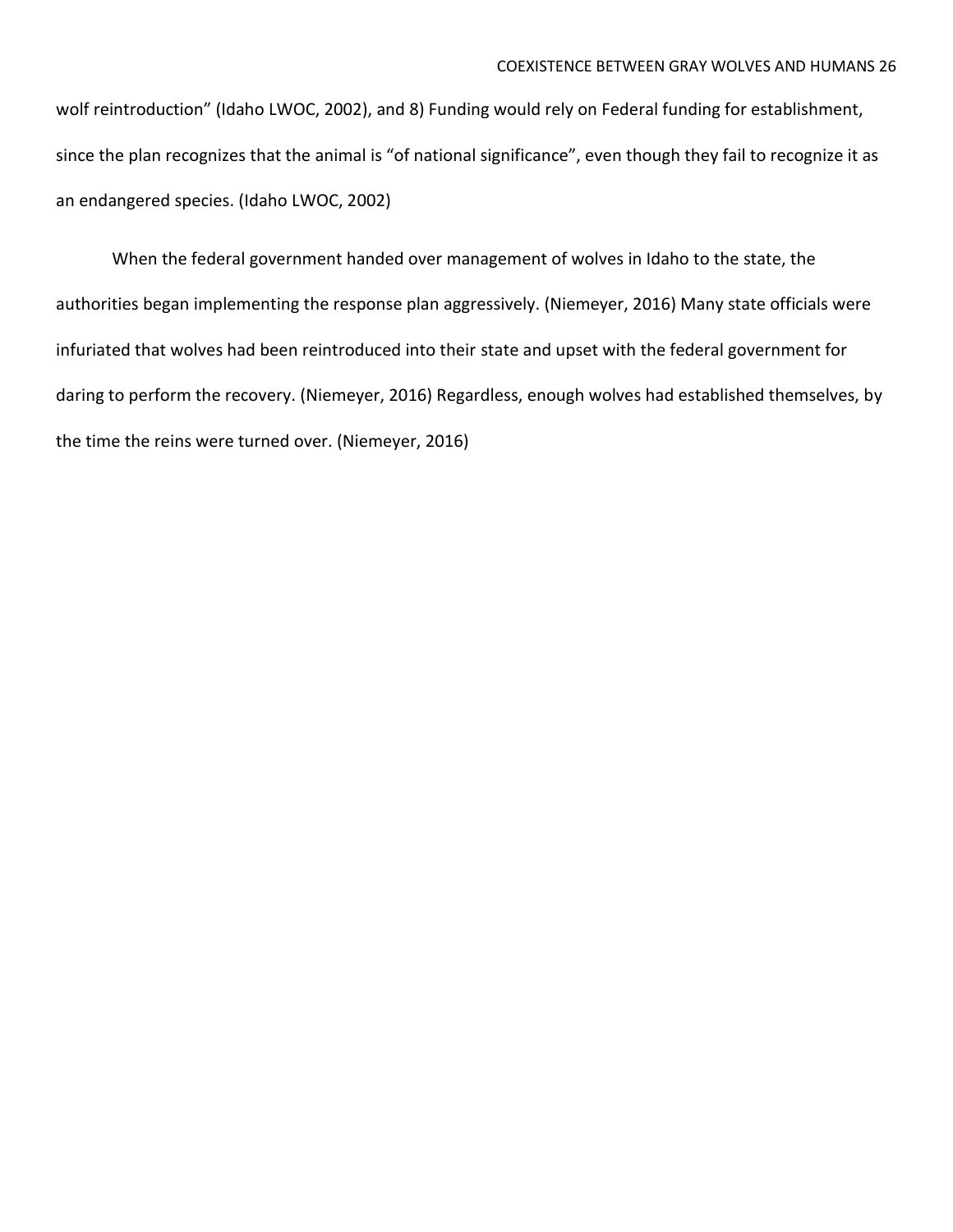wolf reintroduction" (Idaho LWOC, 2002), and 8) Funding would rely on Federal funding for establishment, since the plan recognizes that the animal is "of national significance", even though they fail to recognize it as an endangered species. (Idaho LWOC, 2002)

When the federal government handed over management of wolves in Idaho to the state, the authorities began implementing the response plan aggressively. (Niemeyer, 2016) Many state officials were infuriated that wolves had been reintroduced into their state and upset with the federal government for daring to perform the recovery. (Niemeyer, 2016) Regardless, enough wolves had established themselves, by the time the reins were turned over. (Niemeyer, 2016)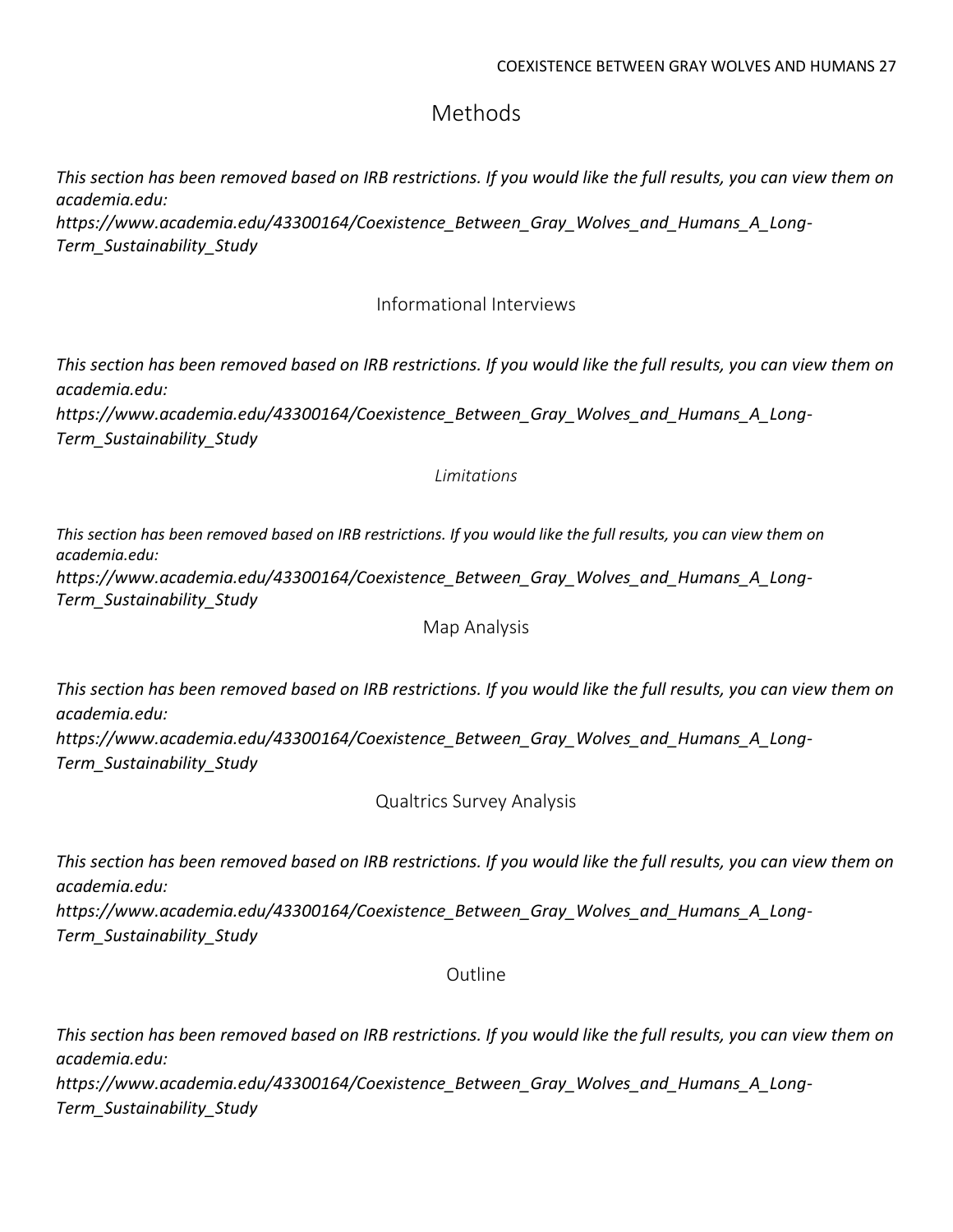## Methods

*This section has been removed based on IRB restrictions. If you would like the full results, you can view them on academia.edu:* 

*[https://www.academia.edu/43300164/Coexistence\\_Between\\_Gray\\_Wolves\\_and\\_Humans\\_A\\_Long-](https://www.academia.edu/43300164/Coexistence_Between_Gray_Wolves_and_Humans_A_Long-Term_Sustainability_Study)[Term\\_Sustainability\\_Study](https://www.academia.edu/43300164/Coexistence_Between_Gray_Wolves_and_Humans_A_Long-Term_Sustainability_Study)*

## Informational Interviews

*This section has been removed based on IRB restrictions. If you would like the full results, you can view them on academia.edu:* 

*[https://www.academia.edu/43300164/Coexistence\\_Between\\_Gray\\_Wolves\\_and\\_Humans\\_A\\_Long-](https://www.academia.edu/43300164/Coexistence_Between_Gray_Wolves_and_Humans_A_Long-Term_Sustainability_Study)[Term\\_Sustainability\\_Study](https://www.academia.edu/43300164/Coexistence_Between_Gray_Wolves_and_Humans_A_Long-Term_Sustainability_Study)*

## *Limitations*

This section has been removed based on IRB restrictions. If you would like the full results, you can view them on *academia.edu: [https://www.academia.edu/43300164/Coexistence\\_Between\\_Gray\\_Wolves\\_and\\_Humans\\_A\\_Long-](https://www.academia.edu/43300164/Coexistence_Between_Gray_Wolves_and_Humans_A_Long-Term_Sustainability_Study)[Term\\_Sustainability\\_Study](https://www.academia.edu/43300164/Coexistence_Between_Gray_Wolves_and_Humans_A_Long-Term_Sustainability_Study)*

## Map Analysis

*This section has been removed based on IRB restrictions. If you would like the full results, you can view them on academia.edu:* 

*[https://www.academia.edu/43300164/Coexistence\\_Between\\_Gray\\_Wolves\\_and\\_Humans\\_A\\_Long-](https://www.academia.edu/43300164/Coexistence_Between_Gray_Wolves_and_Humans_A_Long-Term_Sustainability_Study)[Term\\_Sustainability\\_Study](https://www.academia.edu/43300164/Coexistence_Between_Gray_Wolves_and_Humans_A_Long-Term_Sustainability_Study)*

Qualtrics Survey Analysis

*This section has been removed based on IRB restrictions. If you would like the full results, you can view them on academia.edu:* 

*[https://www.academia.edu/43300164/Coexistence\\_Between\\_Gray\\_Wolves\\_and\\_Humans\\_A\\_Long-](https://www.academia.edu/43300164/Coexistence_Between_Gray_Wolves_and_Humans_A_Long-Term_Sustainability_Study)[Term\\_Sustainability\\_Study](https://www.academia.edu/43300164/Coexistence_Between_Gray_Wolves_and_Humans_A_Long-Term_Sustainability_Study)*

## Outline

*This section has been removed based on IRB restrictions. If you would like the full results, you can view them on academia.edu:* 

*[https://www.academia.edu/43300164/Coexistence\\_Between\\_Gray\\_Wolves\\_and\\_Humans\\_A\\_Long-](https://www.academia.edu/43300164/Coexistence_Between_Gray_Wolves_and_Humans_A_Long-Term_Sustainability_Study)[Term\\_Sustainability\\_Study](https://www.academia.edu/43300164/Coexistence_Between_Gray_Wolves_and_Humans_A_Long-Term_Sustainability_Study)*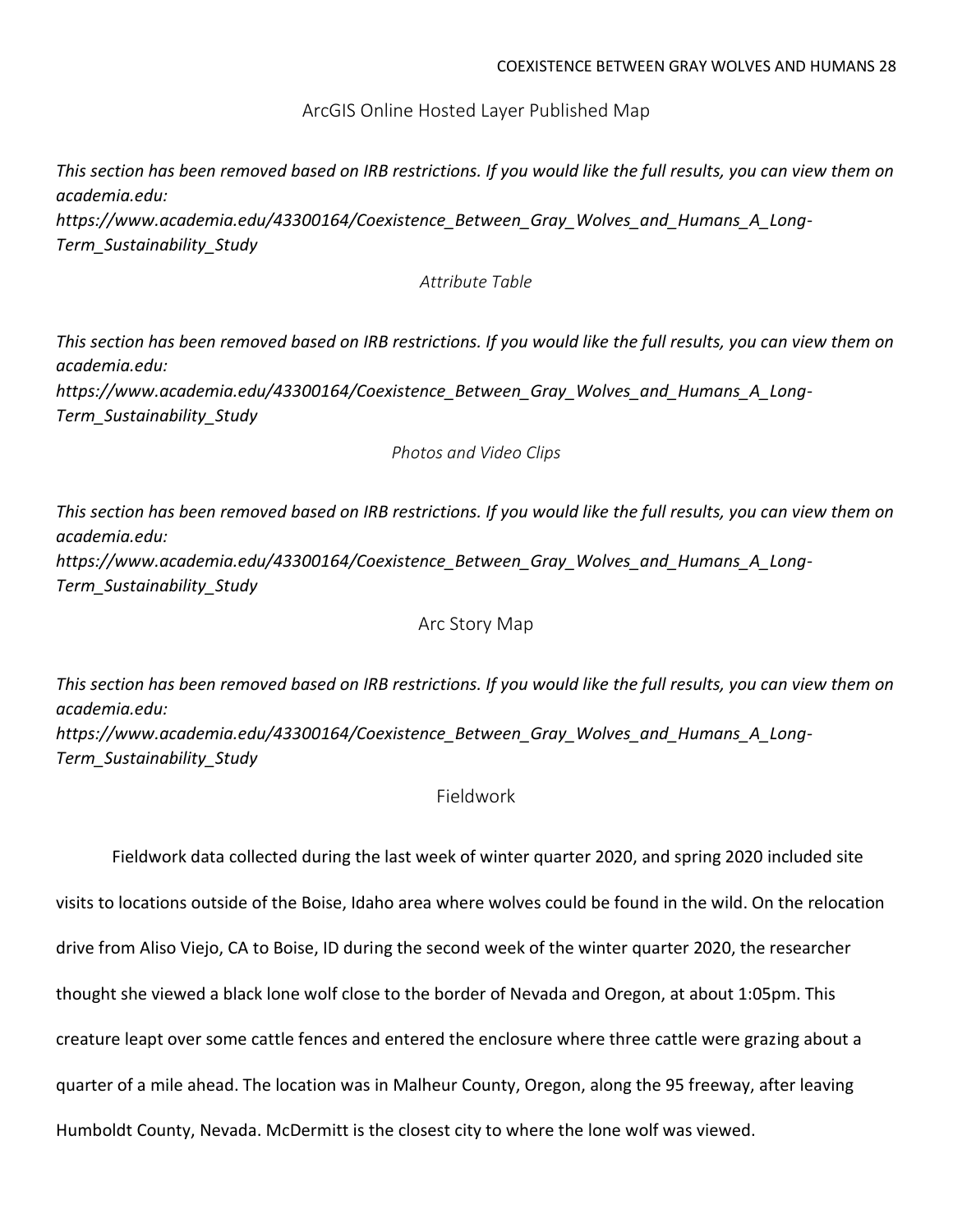ArcGIS Online Hosted Layer Published Map

*This section has been removed based on IRB restrictions. If you would like the full results, you can view them on academia.edu:* 

*[https://www.academia.edu/43300164/Coexistence\\_Between\\_Gray\\_Wolves\\_and\\_Humans\\_A\\_Long-](https://www.academia.edu/43300164/Coexistence_Between_Gray_Wolves_and_Humans_A_Long-Term_Sustainability_Study)[Term\\_Sustainability\\_Study](https://www.academia.edu/43300164/Coexistence_Between_Gray_Wolves_and_Humans_A_Long-Term_Sustainability_Study)*

*Attribute Table*

*This section has been removed based on IRB restrictions. If you would like the full results, you can view them on academia.edu:* 

*[https://www.academia.edu/43300164/Coexistence\\_Between\\_Gray\\_Wolves\\_and\\_Humans\\_A\\_Long-](https://www.academia.edu/43300164/Coexistence_Between_Gray_Wolves_and_Humans_A_Long-Term_Sustainability_Study)[Term\\_Sustainability\\_Study](https://www.academia.edu/43300164/Coexistence_Between_Gray_Wolves_and_Humans_A_Long-Term_Sustainability_Study)*

*Photos and Video Clips*

*This section has been removed based on IRB restrictions. If you would like the full results, you can view them on academia.edu: [https://www.academia.edu/43300164/Coexistence\\_Between\\_Gray\\_Wolves\\_and\\_Humans\\_A\\_Long-](https://www.academia.edu/43300164/Coexistence_Between_Gray_Wolves_and_Humans_A_Long-Term_Sustainability_Study)*

*[Term\\_Sustainability\\_Study](https://www.academia.edu/43300164/Coexistence_Between_Gray_Wolves_and_Humans_A_Long-Term_Sustainability_Study)*

Arc Story Map

*This section has been removed based on IRB restrictions. If you would like the full results, you can view them on academia.edu:* 

*[https://www.academia.edu/43300164/Coexistence\\_Between\\_Gray\\_Wolves\\_and\\_Humans\\_A\\_Long-](https://www.academia.edu/43300164/Coexistence_Between_Gray_Wolves_and_Humans_A_Long-Term_Sustainability_Study)[Term\\_Sustainability\\_Study](https://www.academia.edu/43300164/Coexistence_Between_Gray_Wolves_and_Humans_A_Long-Term_Sustainability_Study)*

Fieldwork

Fieldwork data collected during the last week of winter quarter 2020, and spring 2020 included site visits to locations outside of the Boise, Idaho area where wolves could be found in the wild. On the relocation drive from Aliso Viejo, CA to Boise, ID during the second week of the winter quarter 2020, the researcher thought she viewed a black lone wolf close to the border of Nevada and Oregon, at about 1:05pm. This creature leapt over some cattle fences and entered the enclosure where three cattle were grazing about a quarter of a mile ahead. The location was in Malheur County, Oregon, along the 95 freeway, after leaving Humboldt County, Nevada. McDermitt is the closest city to where the lone wolf was viewed.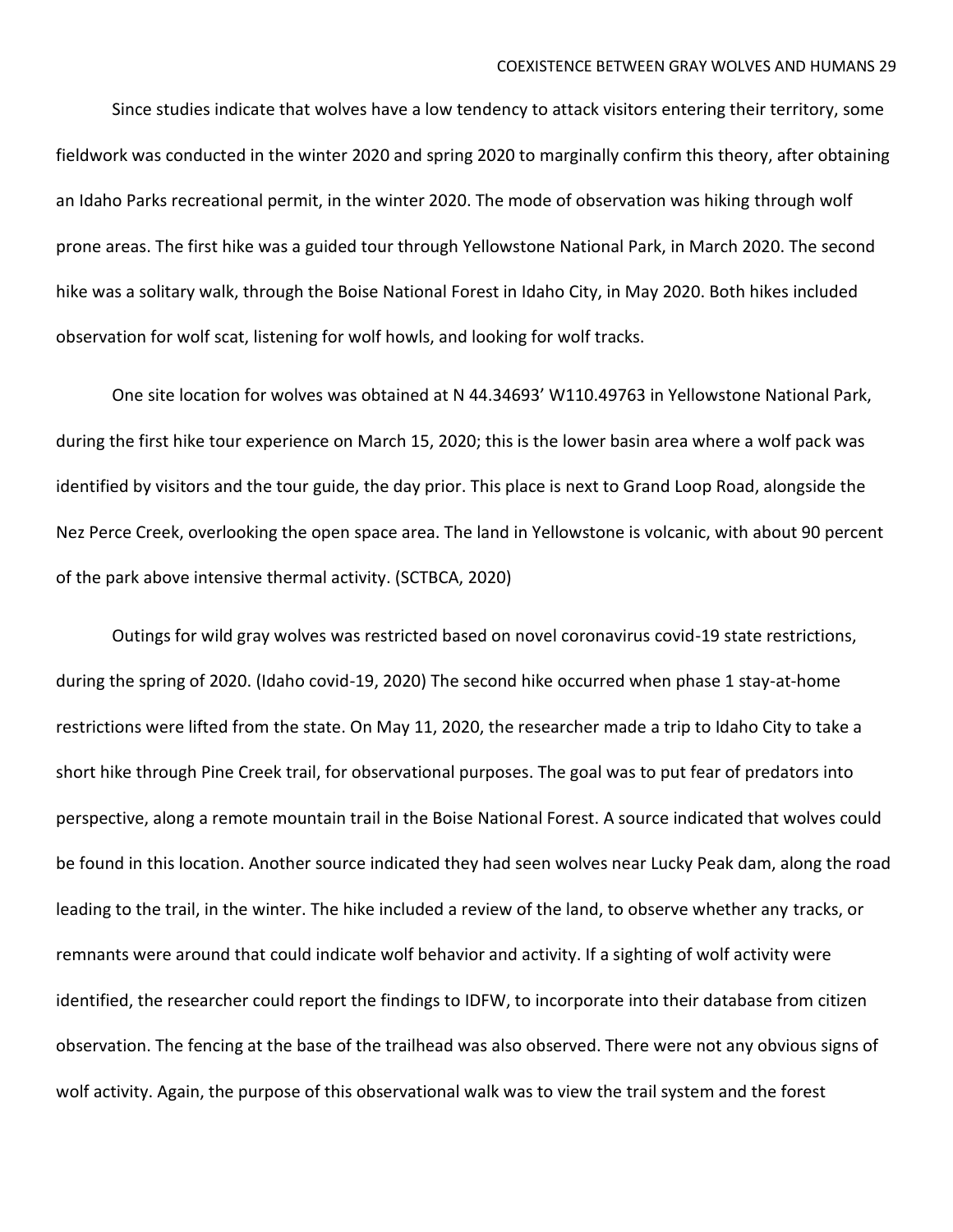Since studies indicate that wolves have a low tendency to attack visitors entering their territory, some fieldwork was conducted in the winter 2020 and spring 2020 to marginally confirm this theory, after obtaining an Idaho Parks recreational permit, in the winter 2020. The mode of observation was hiking through wolf prone areas. The first hike was a guided tour through Yellowstone National Park, in March 2020. The second hike was a solitary walk, through the Boise National Forest in Idaho City, in May 2020. Both hikes included observation for wolf scat, listening for wolf howls, and looking for wolf tracks.

One site location for wolves was obtained at N 44.34693' W110.49763 in Yellowstone National Park, during the first hike tour experience on March 15, 2020; this is the lower basin area where a wolf pack was identified by visitors and the tour guide, the day prior. This place is next to Grand Loop Road, alongside the Nez Perce Creek, overlooking the open space area. The land in Yellowstone is volcanic, with about 90 percent of the park above intensive thermal activity. (SCTBCA, 2020)

Outings for wild gray wolves was restricted based on novel coronavirus covid-19 state restrictions, during the spring of 2020. (Idaho covid-19, 2020) The second hike occurred when phase 1 stay-at-home restrictions were lifted from the state. On May 11, 2020, the researcher made a trip to Idaho City to take a short hike through Pine Creek trail, for observational purposes. The goal was to put fear of predators into perspective, along a remote mountain trail in the Boise National Forest. A source indicated that wolves could be found in this location. Another source indicated they had seen wolves near Lucky Peak dam, along the road leading to the trail, in the winter. The hike included a review of the land, to observe whether any tracks, or remnants were around that could indicate wolf behavior and activity. If a sighting of wolf activity were identified, the researcher could report the findings to IDFW, to incorporate into their database from citizen observation. The fencing at the base of the trailhead was also observed. There were not any obvious signs of wolf activity. Again, the purpose of this observational walk was to view the trail system and the forest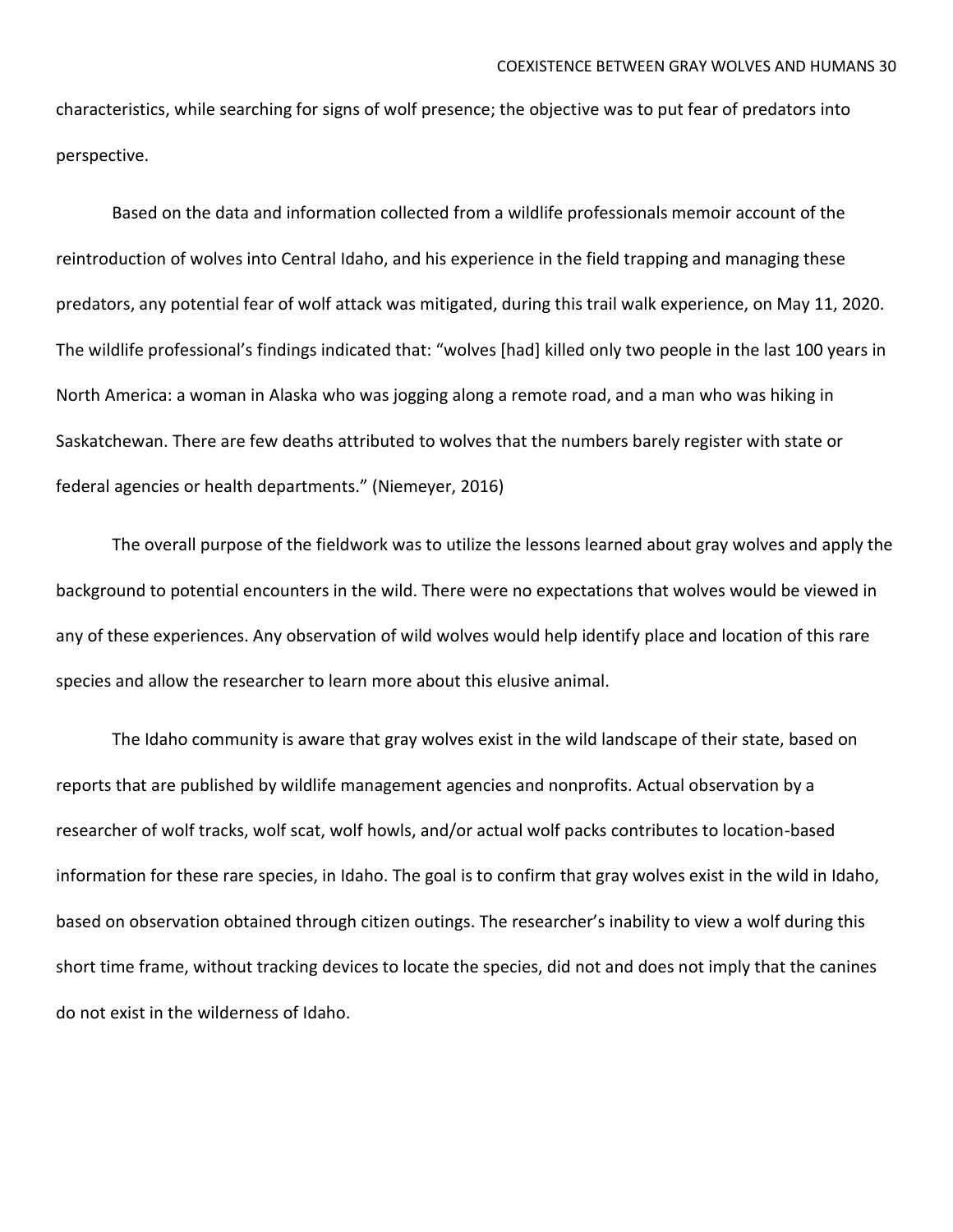characteristics, while searching for signs of wolf presence; the objective was to put fear of predators into perspective.

Based on the data and information collected from a wildlife professionals memoir account of the reintroduction of wolves into Central Idaho, and his experience in the field trapping and managing these predators, any potential fear of wolf attack was mitigated, during this trail walk experience, on May 11, 2020. The wildlife professional's findings indicated that: "wolves [had] killed only two people in the last 100 years in North America: a woman in Alaska who was jogging along a remote road, and a man who was hiking in Saskatchewan. There are few deaths attributed to wolves that the numbers barely register with state or federal agencies or health departments." (Niemeyer, 2016)

The overall purpose of the fieldwork was to utilize the lessons learned about gray wolves and apply the background to potential encounters in the wild. There were no expectations that wolves would be viewed in any of these experiences. Any observation of wild wolves would help identify place and location of this rare species and allow the researcher to learn more about this elusive animal.

The Idaho community is aware that gray wolves exist in the wild landscape of their state, based on reports that are published by wildlife management agencies and nonprofits. Actual observation by a researcher of wolf tracks, wolf scat, wolf howls, and/or actual wolf packs contributes to location-based information for these rare species, in Idaho. The goal is to confirm that gray wolves exist in the wild in Idaho, based on observation obtained through citizen outings. The researcher's inability to view a wolf during this short time frame, without tracking devices to locate the species, did not and does not imply that the canines do not exist in the wilderness of Idaho.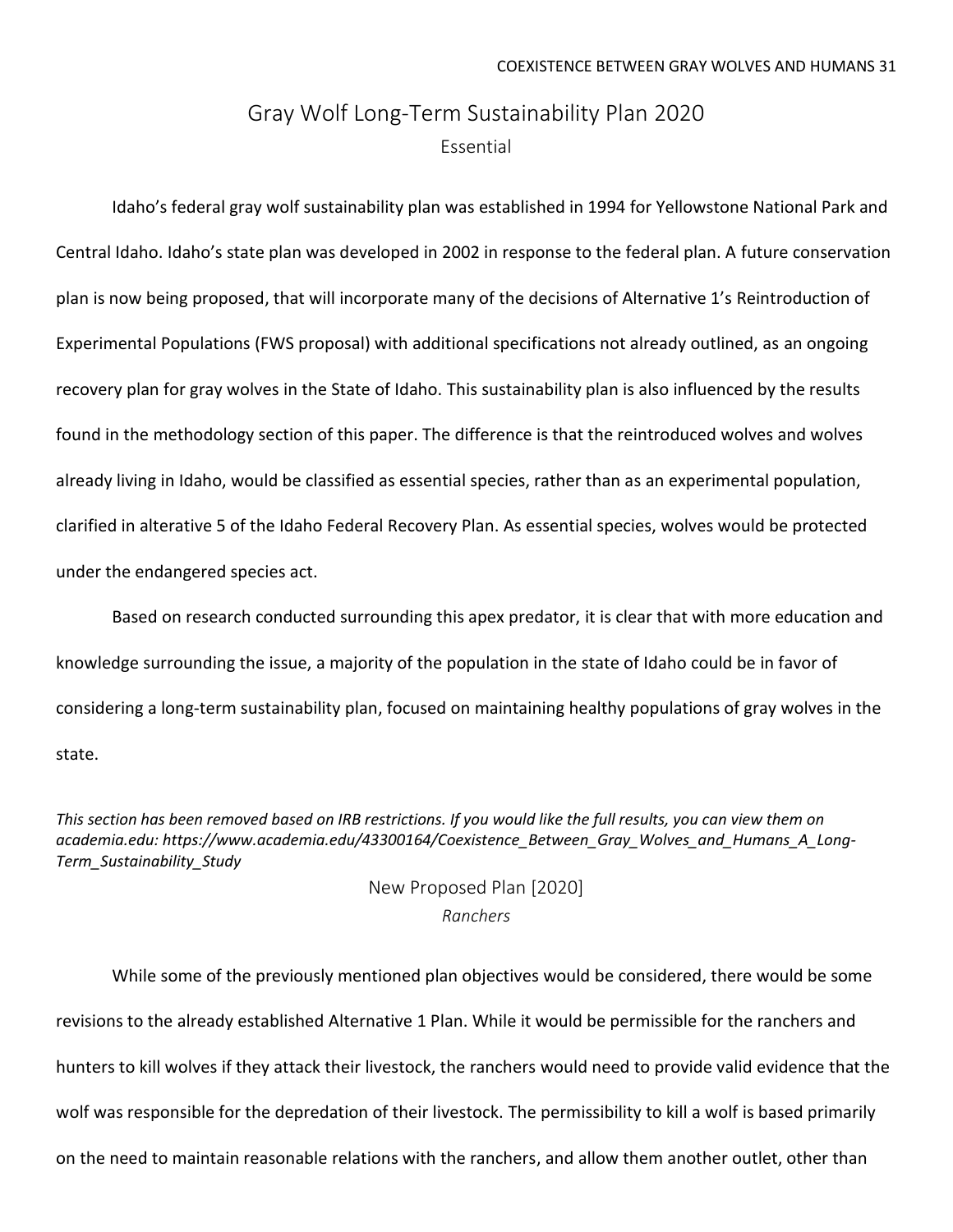## Gray Wolf Long-Term Sustainability Plan 2020 Essential

Idaho's federal gray wolf sustainability plan was established in 1994 for Yellowstone National Park and Central Idaho. Idaho's state plan was developed in 2002 in response to the federal plan. A future conservation plan is now being proposed, that will incorporate many of the decisions of Alternative 1's Reintroduction of Experimental Populations (FWS proposal) with additional specifications not already outlined, as an ongoing recovery plan for gray wolves in the State of Idaho. This sustainability plan is also influenced by the results found in the methodology section of this paper. The difference is that the reintroduced wolves and wolves already living in Idaho, would be classified as essential species, rather than as an experimental population, clarified in alterative 5 of the Idaho Federal Recovery Plan. As essential species, wolves would be protected under the endangered species act.

Based on research conducted surrounding this apex predator, it is clear that with more education and knowledge surrounding the issue, a majority of the population in the state of Idaho could be in favor of considering a long-term sustainability plan, focused on maintaining healthy populations of gray wolves in the state.

This section has been removed based on IRB restrictions. If you would like the full results, you can view them on *academia.edu: [https://www.academia.edu/43300164/Coexistence\\_Between\\_Gray\\_Wolves\\_and\\_Humans\\_A\\_Long-](https://www.academia.edu/43300164/Coexistence_Between_Gray_Wolves_and_Humans_A_Long-Term_Sustainability_Study)[Term\\_Sustainability\\_Study](https://www.academia.edu/43300164/Coexistence_Between_Gray_Wolves_and_Humans_A_Long-Term_Sustainability_Study)*

> New Proposed Plan [2020] *Ranchers*

While some of the previously mentioned plan objectives would be considered, there would be some revisions to the already established Alternative 1 Plan. While it would be permissible for the ranchers and hunters to kill wolves if they attack their livestock, the ranchers would need to provide valid evidence that the wolf was responsible for the depredation of their livestock. The permissibility to kill a wolf is based primarily on the need to maintain reasonable relations with the ranchers, and allow them another outlet, other than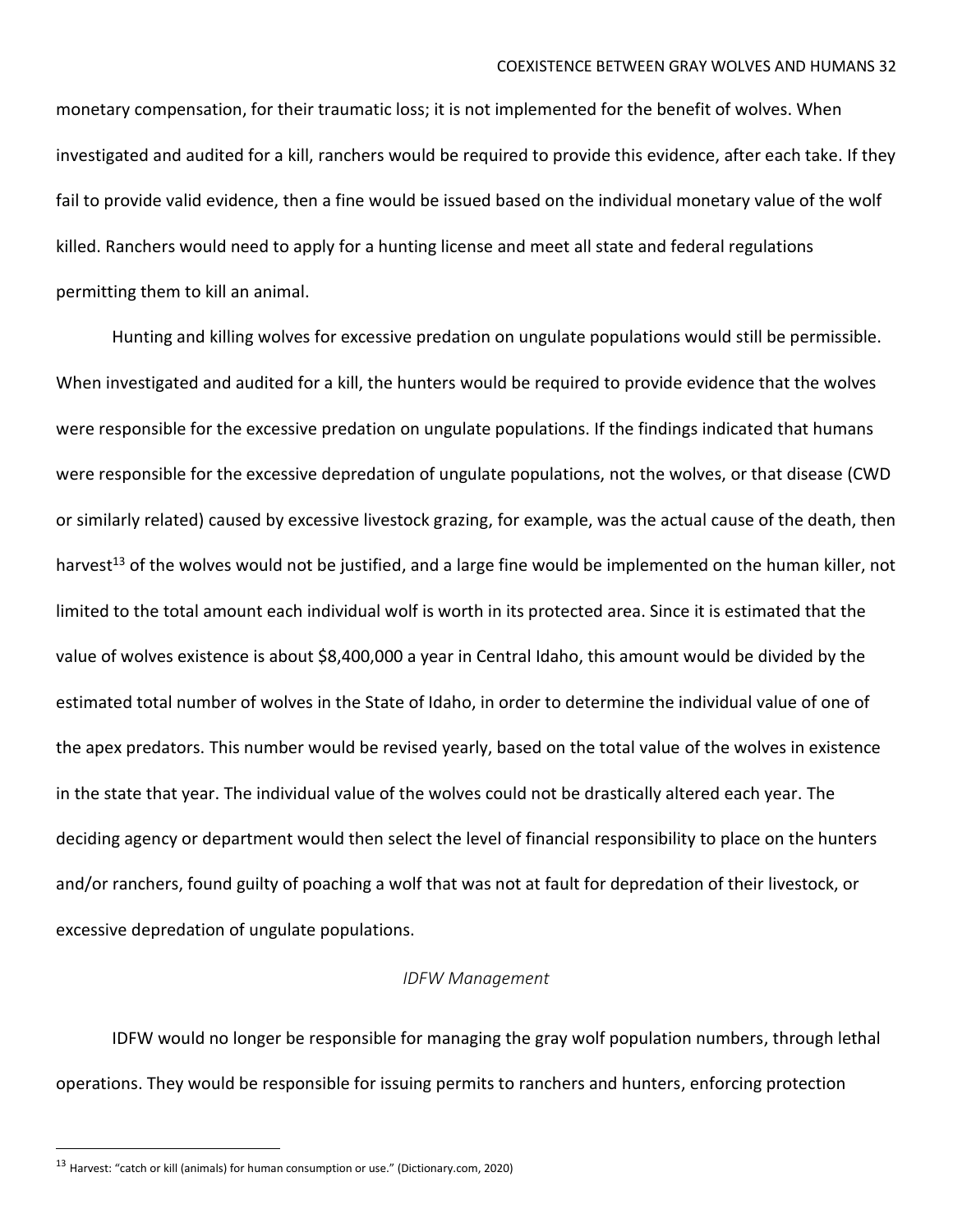monetary compensation, for their traumatic loss; it is not implemented for the benefit of wolves. When investigated and audited for a kill, ranchers would be required to provide this evidence, after each take. If they fail to provide valid evidence, then a fine would be issued based on the individual monetary value of the wolf killed. Ranchers would need to apply for a hunting license and meet all state and federal regulations permitting them to kill an animal.

Hunting and killing wolves for excessive predation on ungulate populations would still be permissible. When investigated and audited for a kill, the hunters would be required to provide evidence that the wolves were responsible for the excessive predation on ungulate populations. If the findings indicated that humans were responsible for the excessive depredation of ungulate populations, not the wolves, or that disease (CWD or similarly related) caused by excessive livestock grazing, for example, was the actual cause of the death, then harvest<sup>13</sup> of the wolves would not be justified, and a large fine would be implemented on the human killer, not limited to the total amount each individual wolf is worth in its protected area. Since it is estimated that the value of wolves existence is about \$8,400,000 a year in Central Idaho, this amount would be divided by the estimated total number of wolves in the State of Idaho, in order to determine the individual value of one of the apex predators. This number would be revised yearly, based on the total value of the wolves in existence in the state that year. The individual value of the wolves could not be drastically altered each year. The deciding agency or department would then select the level of financial responsibility to place on the hunters and/or ranchers, found guilty of poaching a wolf that was not at fault for depredation of their livestock, or excessive depredation of ungulate populations.

#### *IDFW Management*

IDFW would no longer be responsible for managing the gray wolf population numbers, through lethal operations. They would be responsible for issuing permits to ranchers and hunters, enforcing protection

<sup>13</sup> Harvest: "catch or kill (animals) for human consumption or use." (Dictionary.com, 2020)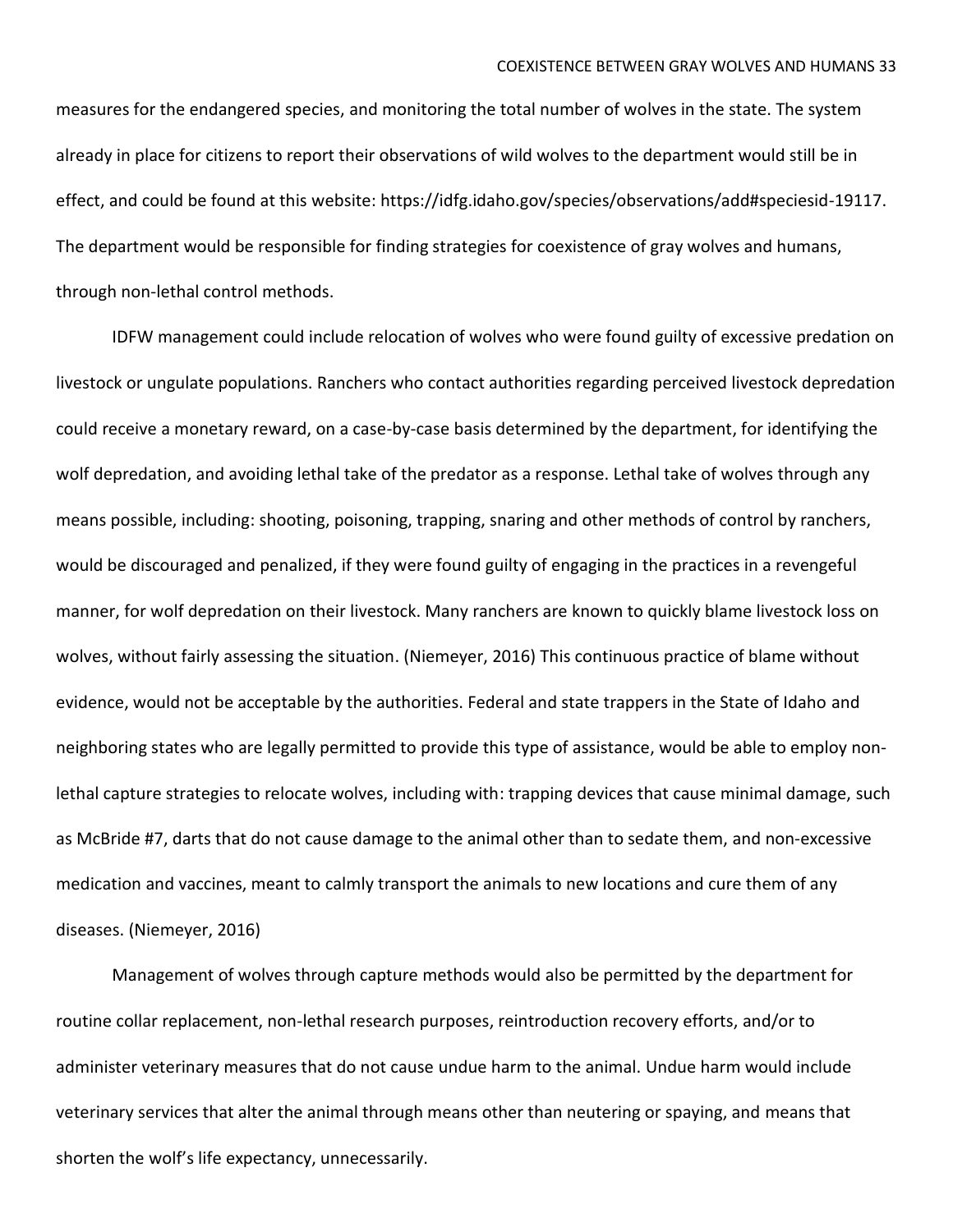measures for the endangered species, and monitoring the total number of wolves in the state. The system already in place for citizens to report their observations of wild wolves to the department would still be in effect, and could be found at this website: [https://idfg.idaho.gov/species/observations/add#speciesid-19117.](https://idfg.idaho.gov/species/observations/add#speciesid-19117) The department would be responsible for finding strategies for coexistence of gray wolves and humans, through non-lethal control methods.

IDFW management could include relocation of wolves who were found guilty of excessive predation on livestock or ungulate populations. Ranchers who contact authorities regarding perceived livestock depredation could receive a monetary reward, on a case-by-case basis determined by the department, for identifying the wolf depredation, and avoiding lethal take of the predator as a response. Lethal take of wolves through any means possible, including: shooting, poisoning, trapping, snaring and other methods of control by ranchers, would be discouraged and penalized, if they were found guilty of engaging in the practices in a revengeful manner, for wolf depredation on their livestock. Many ranchers are known to quickly blame livestock loss on wolves, without fairly assessing the situation. (Niemeyer, 2016) This continuous practice of blame without evidence, would not be acceptable by the authorities. Federal and state trappers in the State of Idaho and neighboring states who are legally permitted to provide this type of assistance, would be able to employ nonlethal capture strategies to relocate wolves, including with: trapping devices that cause minimal damage, such as McBride #7, darts that do not cause damage to the animal other than to sedate them, and non-excessive medication and vaccines, meant to calmly transport the animals to new locations and cure them of any diseases. (Niemeyer, 2016)

Management of wolves through capture methods would also be permitted by the department for routine collar replacement, non-lethal research purposes, reintroduction recovery efforts, and/or to administer veterinary measures that do not cause undue harm to the animal. Undue harm would include veterinary services that alter the animal through means other than neutering or spaying, and means that shorten the wolf's life expectancy, unnecessarily.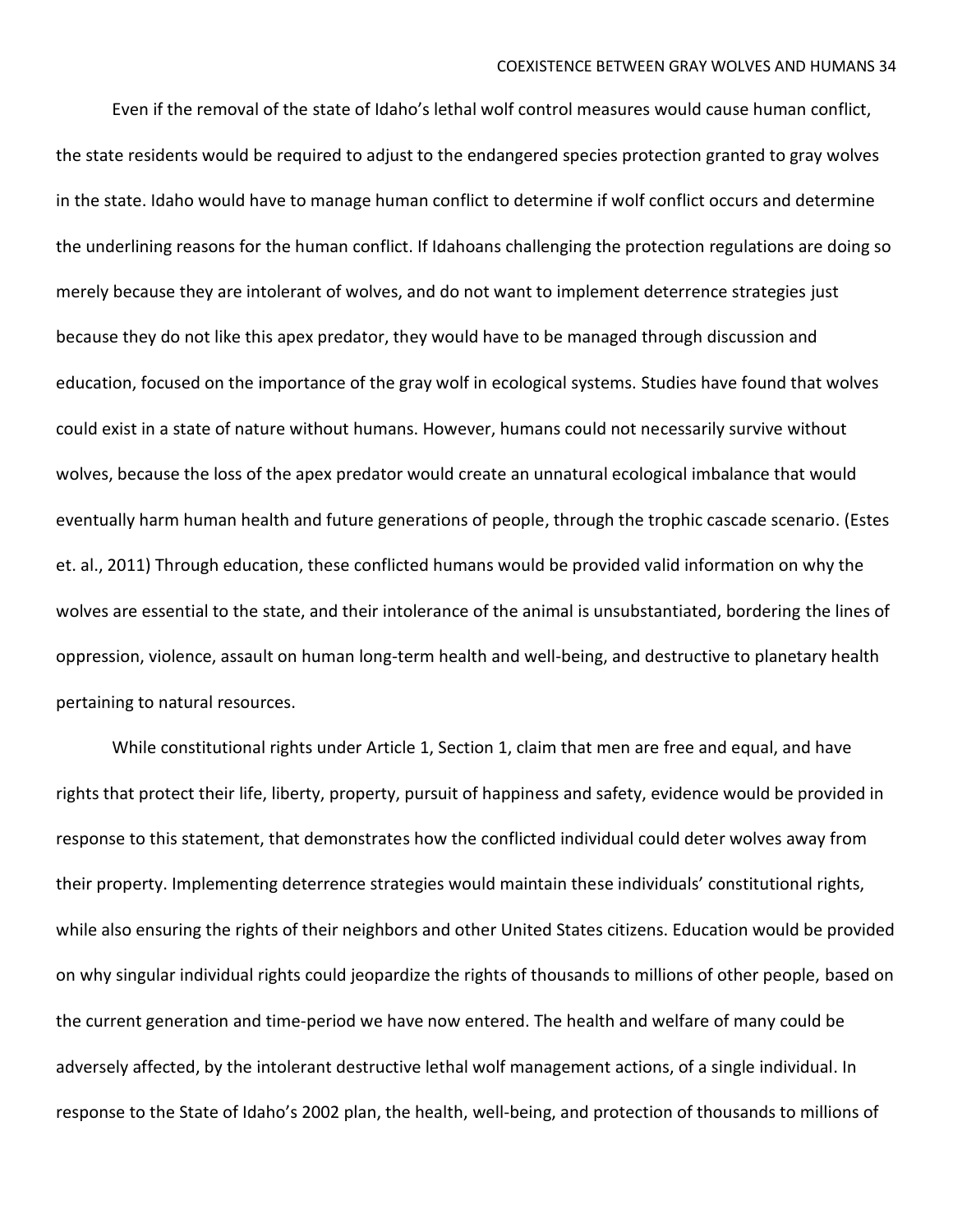Even if the removal of the state of Idaho's lethal wolf control measures would cause human conflict, the state residents would be required to adjust to the endangered species protection granted to gray wolves in the state. Idaho would have to manage human conflict to determine if wolf conflict occurs and determine the underlining reasons for the human conflict. If Idahoans challenging the protection regulations are doing so merely because they are intolerant of wolves, and do not want to implement deterrence strategies just because they do not like this apex predator, they would have to be managed through discussion and education, focused on the importance of the gray wolf in ecological systems. Studies have found that wolves could exist in a state of nature without humans. However, humans could not necessarily survive without wolves, because the loss of the apex predator would create an unnatural ecological imbalance that would eventually harm human health and future generations of people, through the trophic cascade scenario. (Estes et. al., 2011) Through education, these conflicted humans would be provided valid information on why the wolves are essential to the state, and their intolerance of the animal is unsubstantiated, bordering the lines of oppression, violence, assault on human long-term health and well-being, and destructive to planetary health pertaining to natural resources.

While constitutional rights under Article 1, Section 1, claim that men are free and equal, and have rights that protect their life, liberty, property, pursuit of happiness and safety, evidence would be provided in response to this statement, that demonstrates how the conflicted individual could deter wolves away from their property. Implementing deterrence strategies would maintain these individuals' constitutional rights, while also ensuring the rights of their neighbors and other United States citizens. Education would be provided on why singular individual rights could jeopardize the rights of thousands to millions of other people, based on the current generation and time-period we have now entered. The health and welfare of many could be adversely affected, by the intolerant destructive lethal wolf management actions, of a single individual. In response to the State of Idaho's 2002 plan, the health, well-being, and protection of thousands to millions of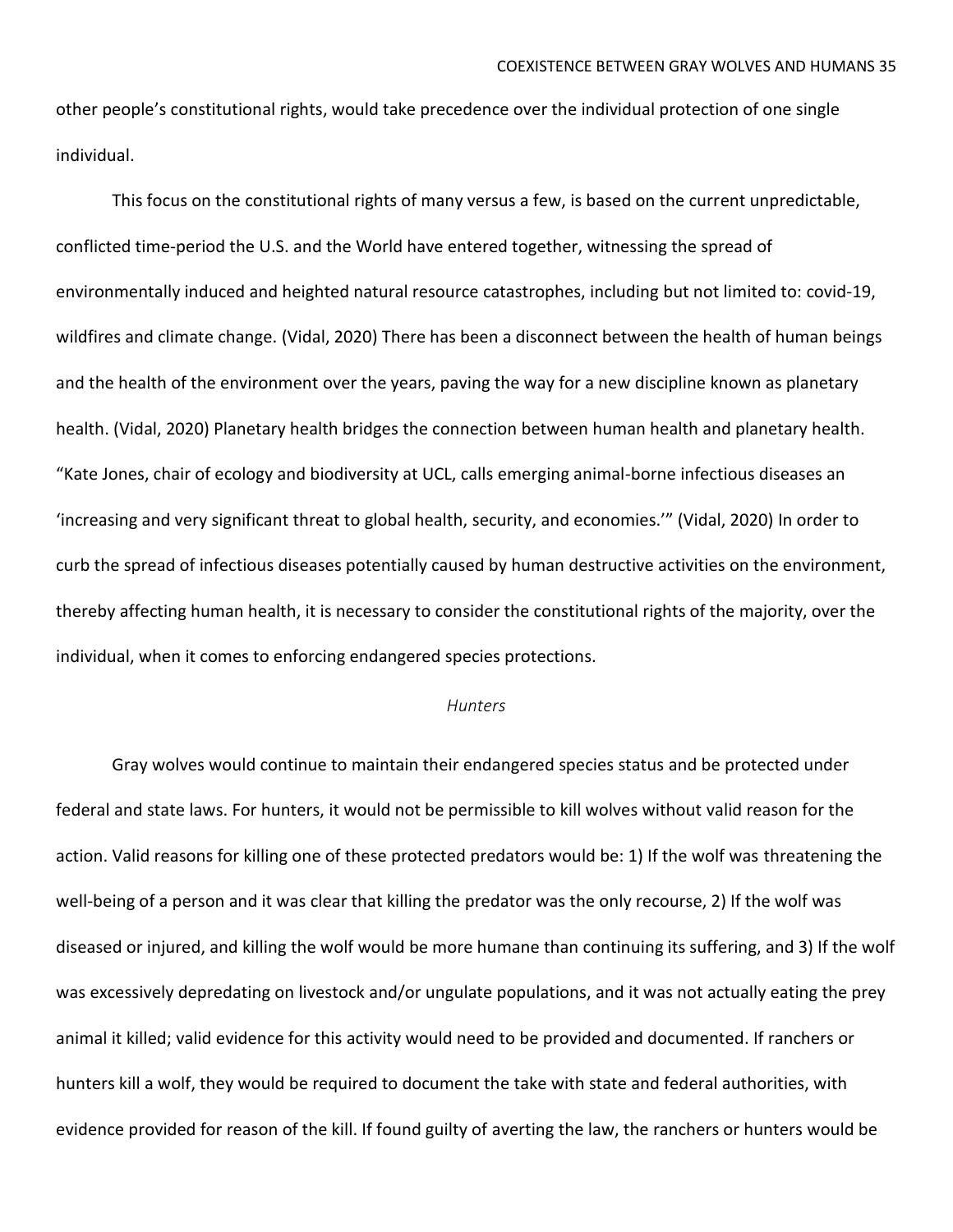other people's constitutional rights, would take precedence over the individual protection of one single individual.

This focus on the constitutional rights of many versus a few, is based on the current unpredictable, conflicted time-period the U.S. and the World have entered together, witnessing the spread of environmentally induced and heighted natural resource catastrophes, including but not limited to: covid-19, wildfires and climate change. (Vidal, 2020) There has been a disconnect between the health of human beings and the health of the environment over the years, paving the way for a new discipline known as planetary health. (Vidal, 2020) Planetary health bridges the connection between human health and planetary health. "Kate Jones, chair of ecology and biodiversity at UCL, calls emerging animal-borne infectious diseases an 'increasing and very significant threat to global health, security, and economies.'" (Vidal, 2020) In order to curb the spread of infectious diseases potentially caused by human destructive activities on the environment, thereby affecting human health, it is necessary to consider the constitutional rights of the majority, over the individual, when it comes to enforcing endangered species protections.

#### *Hunters*

Gray wolves would continue to maintain their endangered species status and be protected under federal and state laws. For hunters, it would not be permissible to kill wolves without valid reason for the action. Valid reasons for killing one of these protected predators would be: 1) If the wolf was threatening the well-being of a person and it was clear that killing the predator was the only recourse, 2) If the wolf was diseased or injured, and killing the wolf would be more humane than continuing its suffering, and 3) If the wolf was excessively depredating on livestock and/or ungulate populations, and it was not actually eating the prey animal it killed; valid evidence for this activity would need to be provided and documented. If ranchers or hunters kill a wolf, they would be required to document the take with state and federal authorities, with evidence provided for reason of the kill. If found guilty of averting the law, the ranchers or hunters would be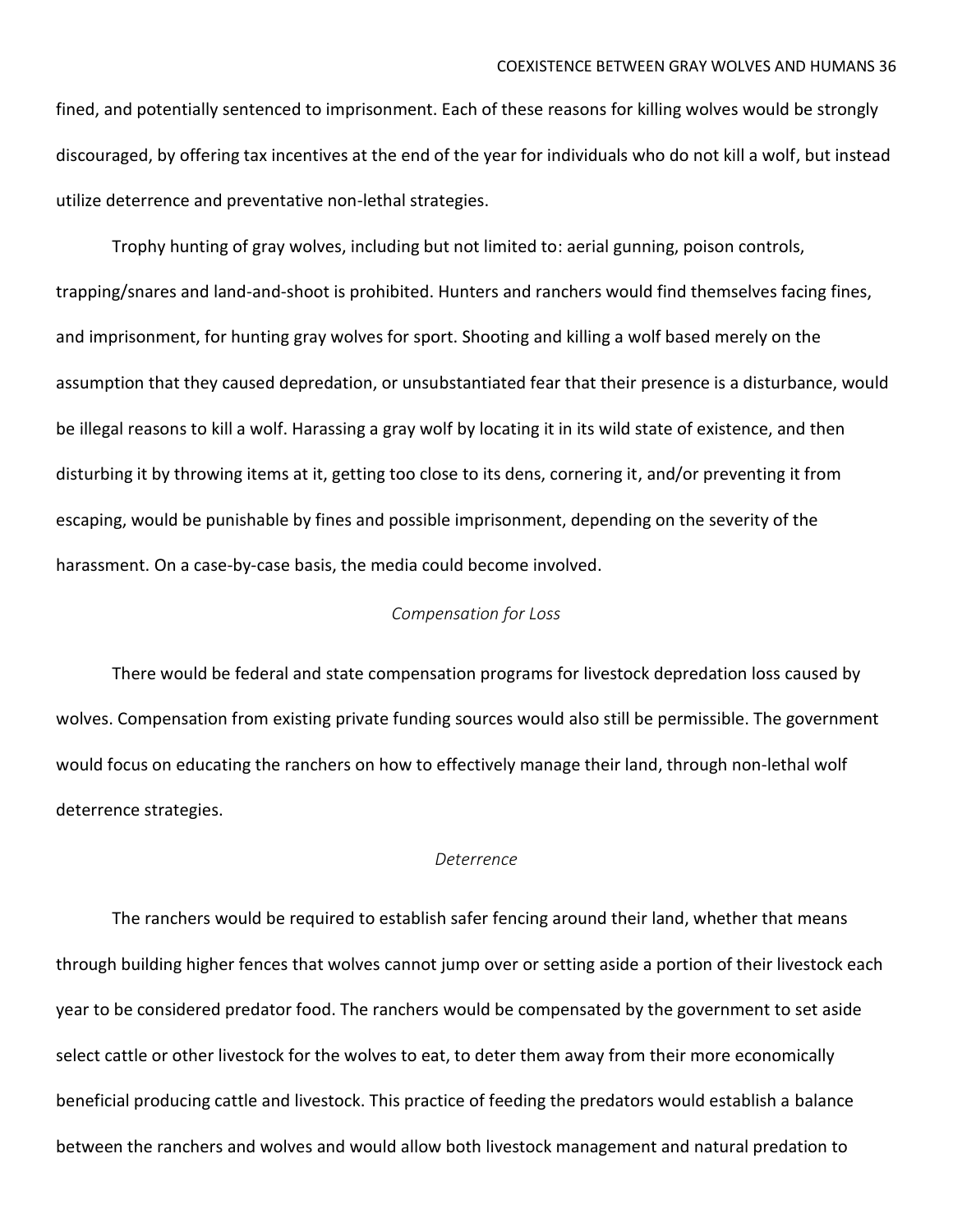fined, and potentially sentenced to imprisonment. Each of these reasons for killing wolves would be strongly discouraged, by offering tax incentives at the end of the year for individuals who do not kill a wolf, but instead utilize deterrence and preventative non-lethal strategies.

Trophy hunting of gray wolves, including but not limited to: aerial gunning, poison controls, trapping/snares and land-and-shoot is prohibited. Hunters and ranchers would find themselves facing fines, and imprisonment, for hunting gray wolves for sport. Shooting and killing a wolf based merely on the assumption that they caused depredation, or unsubstantiated fear that their presence is a disturbance, would be illegal reasons to kill a wolf. Harassing a gray wolf by locating it in its wild state of existence, and then disturbing it by throwing items at it, getting too close to its dens, cornering it, and/or preventing it from escaping, would be punishable by fines and possible imprisonment, depending on the severity of the harassment. On a case-by-case basis, the media could become involved.

#### *Compensation for Loss*

There would be federal and state compensation programs for livestock depredation loss caused by wolves. Compensation from existing private funding sources would also still be permissible. The government would focus on educating the ranchers on how to effectively manage their land, through non-lethal wolf deterrence strategies.

#### *Deterrence*

The ranchers would be required to establish safer fencing around their land, whether that means through building higher fences that wolves cannot jump over or setting aside a portion of their livestock each year to be considered predator food. The ranchers would be compensated by the government to set aside select cattle or other livestock for the wolves to eat, to deter them away from their more economically beneficial producing cattle and livestock. This practice of feeding the predators would establish a balance between the ranchers and wolves and would allow both livestock management and natural predation to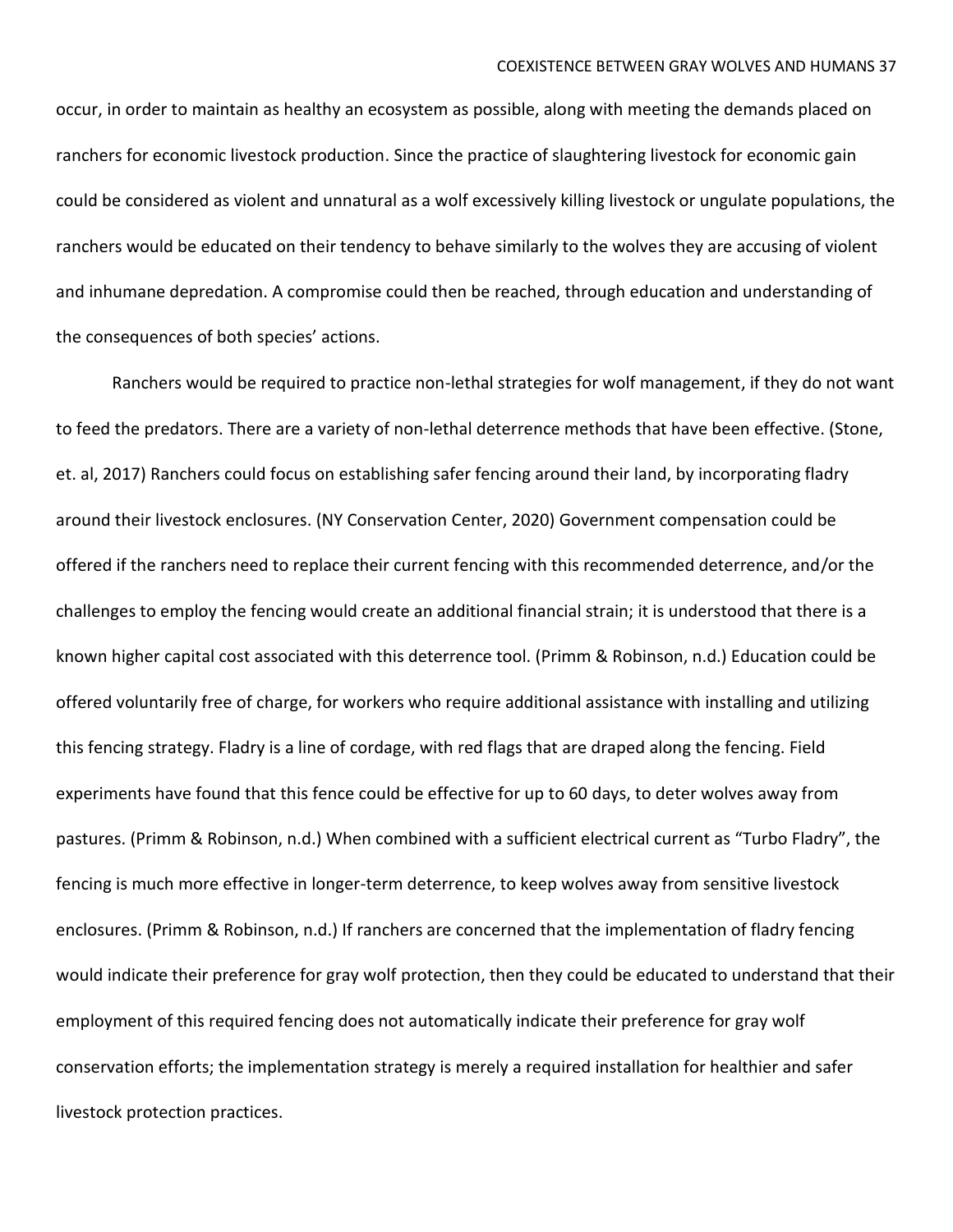occur, in order to maintain as healthy an ecosystem as possible, along with meeting the demands placed on ranchers for economic livestock production. Since the practice of slaughtering livestock for economic gain could be considered as violent and unnatural as a wolf excessively killing livestock or ungulate populations, the ranchers would be educated on their tendency to behave similarly to the wolves they are accusing of violent and inhumane depredation. A compromise could then be reached, through education and understanding of the consequences of both species' actions.

Ranchers would be required to practice non-lethal strategies for wolf management, if they do not want to feed the predators. There are a variety of non-lethal deterrence methods that have been effective. (Stone, et. al, 2017) Ranchers could focus on establishing safer fencing around their land, by incorporating fladry around their livestock enclosures. (NY Conservation Center, 2020) Government compensation could be offered if the ranchers need to replace their current fencing with this recommended deterrence, and/or the challenges to employ the fencing would create an additional financial strain; it is understood that there is a known higher capital cost associated with this deterrence tool. (Primm & Robinson, n.d.) Education could be offered voluntarily free of charge, for workers who require additional assistance with installing and utilizing this fencing strategy. Fladry is a line of cordage, with red flags that are draped along the fencing. Field experiments have found that this fence could be effective for up to 60 days, to deter wolves away from pastures. (Primm & Robinson, n.d.) When combined with a sufficient electrical current as "Turbo Fladry", the fencing is much more effective in longer-term deterrence, to keep wolves away from sensitive livestock enclosures. (Primm & Robinson, n.d.) If ranchers are concerned that the implementation of fladry fencing would indicate their preference for gray wolf protection, then they could be educated to understand that their employment of this required fencing does not automatically indicate their preference for gray wolf conservation efforts; the implementation strategy is merely a required installation for healthier and safer livestock protection practices.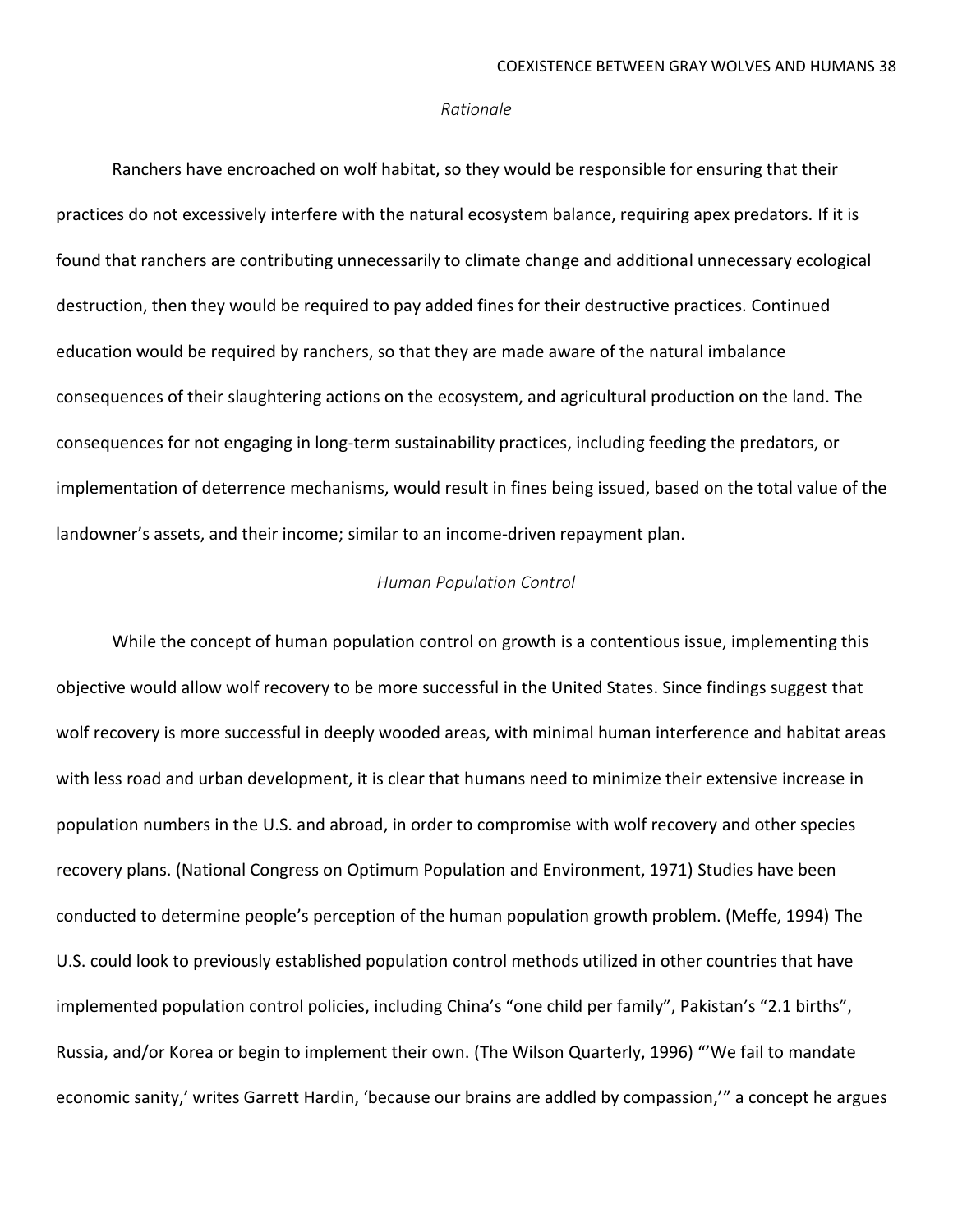#### *Rationale*

Ranchers have encroached on wolf habitat, so they would be responsible for ensuring that their practices do not excessively interfere with the natural ecosystem balance, requiring apex predators. If it is found that ranchers are contributing unnecessarily to climate change and additional unnecessary ecological destruction, then they would be required to pay added fines for their destructive practices. Continued education would be required by ranchers, so that they are made aware of the natural imbalance consequences of their slaughtering actions on the ecosystem, and agricultural production on the land. The consequences for not engaging in long-term sustainability practices, including feeding the predators, or implementation of deterrence mechanisms, would result in fines being issued, based on the total value of the landowner's assets, and their income; similar to an income-driven repayment plan.

### *Human Population Control*

While the concept of human population control on growth is a contentious issue, implementing this objective would allow wolf recovery to be more successful in the United States. Since findings suggest that wolf recovery is more successful in deeply wooded areas, with minimal human interference and habitat areas with less road and urban development, it is clear that humans need to minimize their extensive increase in population numbers in the U.S. and abroad, in order to compromise with wolf recovery and other species recovery plans. (National Congress on Optimum Population and Environment, 1971) Studies have been conducted to determine people's perception of the human population growth problem. (Meffe, 1994) The U.S. could look to previously established population control methods utilized in other countries that have implemented population control policies, including China's "one child per family", Pakistan's "2.1 births", Russia, and/or Korea or begin to implement their own. (The Wilson Quarterly, 1996) "'We fail to mandate economic sanity,' writes Garrett Hardin, 'because our brains are addled by compassion,'" a concept he argues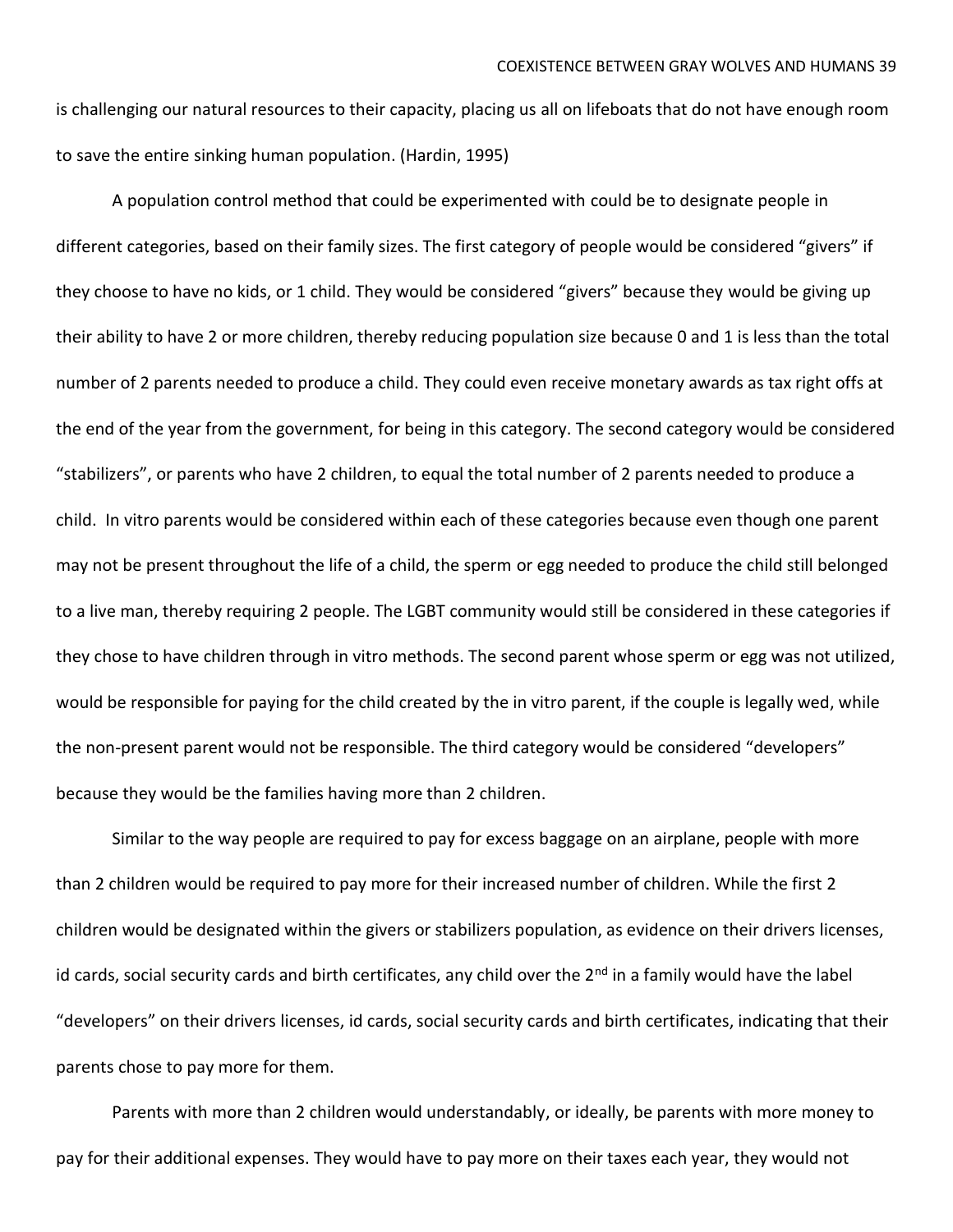is challenging our natural resources to their capacity, placing us all on lifeboats that do not have enough room to save the entire sinking human population. (Hardin, 1995)

A population control method that could be experimented with could be to designate people in different categories, based on their family sizes. The first category of people would be considered "givers" if they choose to have no kids, or 1 child. They would be considered "givers" because they would be giving up their ability to have 2 or more children, thereby reducing population size because 0 and 1 is less than the total number of 2 parents needed to produce a child. They could even receive monetary awards as tax right offs at the end of the year from the government, for being in this category. The second category would be considered "stabilizers", or parents who have 2 children, to equal the total number of 2 parents needed to produce a child. In vitro parents would be considered within each of these categories because even though one parent may not be present throughout the life of a child, the sperm or egg needed to produce the child still belonged to a live man, thereby requiring 2 people. The LGBT community would still be considered in these categories if they chose to have children through in vitro methods. The second parent whose sperm or egg was not utilized, would be responsible for paying for the child created by the in vitro parent, if the couple is legally wed, while the non-present parent would not be responsible. The third category would be considered "developers" because they would be the families having more than 2 children.

Similar to the way people are required to pay for excess baggage on an airplane, people with more than 2 children would be required to pay more for their increased number of children. While the first 2 children would be designated within the givers or stabilizers population, as evidence on their drivers licenses, id cards, social security cards and birth certificates, any child over the 2<sup>nd</sup> in a family would have the label "developers" on their drivers licenses, id cards, social security cards and birth certificates, indicating that their parents chose to pay more for them.

Parents with more than 2 children would understandably, or ideally, be parents with more money to pay for their additional expenses. They would have to pay more on their taxes each year, they would not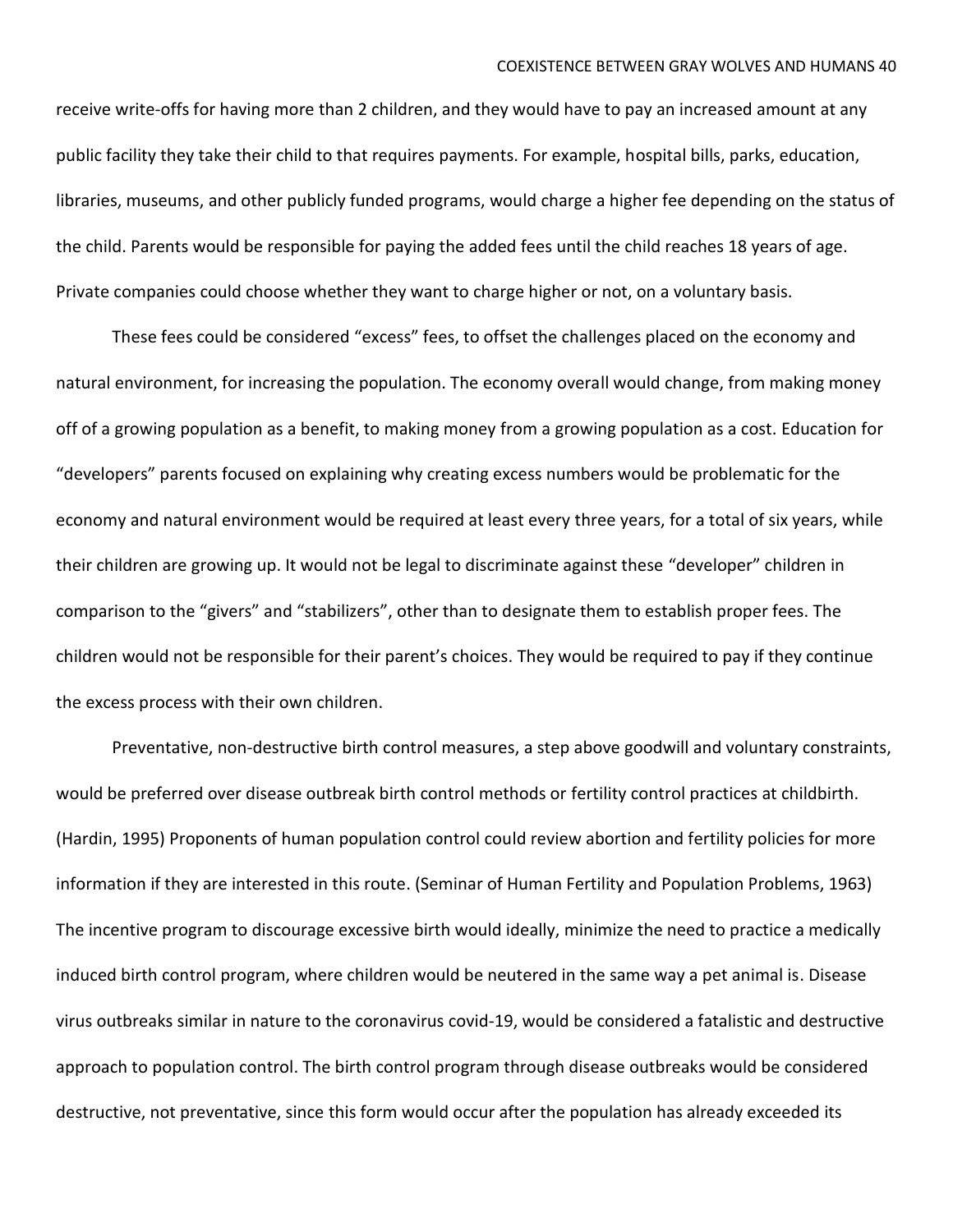receive write-offs for having more than 2 children, and they would have to pay an increased amount at any public facility they take their child to that requires payments. For example, hospital bills, parks, education, libraries, museums, and other publicly funded programs, would charge a higher fee depending on the status of the child. Parents would be responsible for paying the added fees until the child reaches 18 years of age. Private companies could choose whether they want to charge higher or not, on a voluntary basis.

These fees could be considered "excess" fees, to offset the challenges placed on the economy and natural environment, for increasing the population. The economy overall would change, from making money off of a growing population as a benefit, to making money from a growing population as a cost. Education for "developers" parents focused on explaining why creating excess numbers would be problematic for the economy and natural environment would be required at least every three years, for a total of six years, while their children are growing up. It would not be legal to discriminate against these "developer" children in comparison to the "givers" and "stabilizers", other than to designate them to establish proper fees. The children would not be responsible for their parent's choices. They would be required to pay if they continue the excess process with their own children.

Preventative, non-destructive birth control measures, a step above goodwill and voluntary constraints, would be preferred over disease outbreak birth control methods or fertility control practices at childbirth. (Hardin, 1995) Proponents of human population control could review abortion and fertility policies for more information if they are interested in this route. (Seminar of Human Fertility and Population Problems, 1963) The incentive program to discourage excessive birth would ideally, minimize the need to practice a medically induced birth control program, where children would be neutered in the same way a pet animal is. Disease virus outbreaks similar in nature to the coronavirus covid-19, would be considered a fatalistic and destructive approach to population control. The birth control program through disease outbreaks would be considered destructive, not preventative, since this form would occur after the population has already exceeded its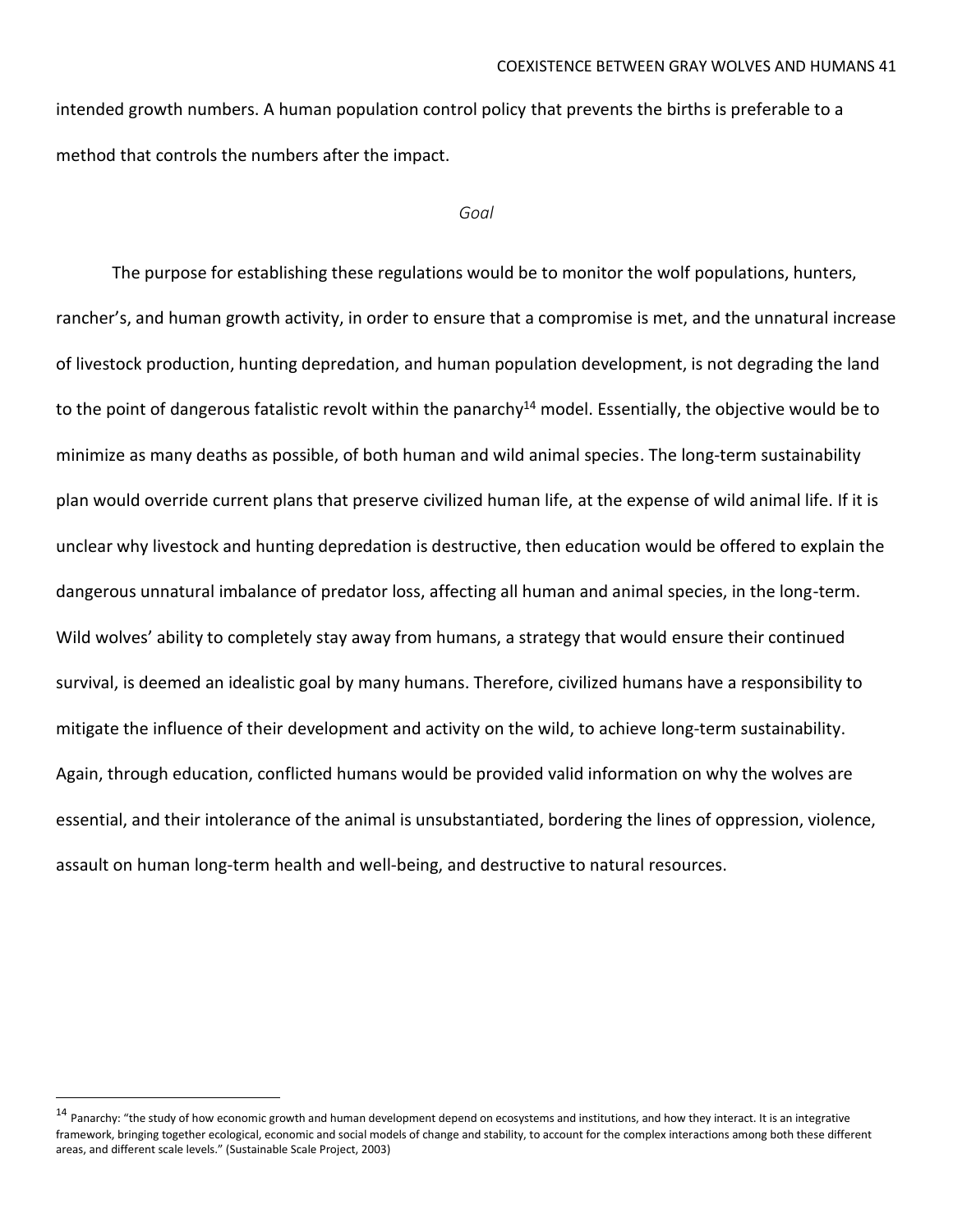intended growth numbers. A human population control policy that prevents the births is preferable to a method that controls the numbers after the impact.

#### *Goal*

The purpose for establishing these regulations would be to monitor the wolf populations, hunters, rancher's, and human growth activity, in order to ensure that a compromise is met, and the unnatural increase of livestock production, hunting depredation, and human population development, is not degrading the land to the point of dangerous fatalistic revolt within the panarchy<sup>14</sup> model. Essentially, the objective would be to minimize as many deaths as possible, of both human and wild animal species. The long-term sustainability plan would override current plans that preserve civilized human life, at the expense of wild animal life. If it is unclear why livestock and hunting depredation is destructive, then education would be offered to explain the dangerous unnatural imbalance of predator loss, affecting all human and animal species, in the long-term. Wild wolves' ability to completely stay away from humans, a strategy that would ensure their continued survival, is deemed an idealistic goal by many humans. Therefore, civilized humans have a responsibility to mitigate the influence of their development and activity on the wild, to achieve long-term sustainability. Again, through education, conflicted humans would be provided valid information on why the wolves are essential, and their intolerance of the animal is unsubstantiated, bordering the lines of oppression, violence, assault on human long-term health and well-being, and destructive to natural resources.

<sup>&</sup>lt;sup>14</sup> Panarchy: "the study of how economic growth and human development depend on ecosystems and institutions, and how they interact. It is an integrative framework, bringing together ecological, economic and social models of change and stability, to account for the complex interactions among both these different areas, and different scale levels." (Sustainable Scale Project, 2003)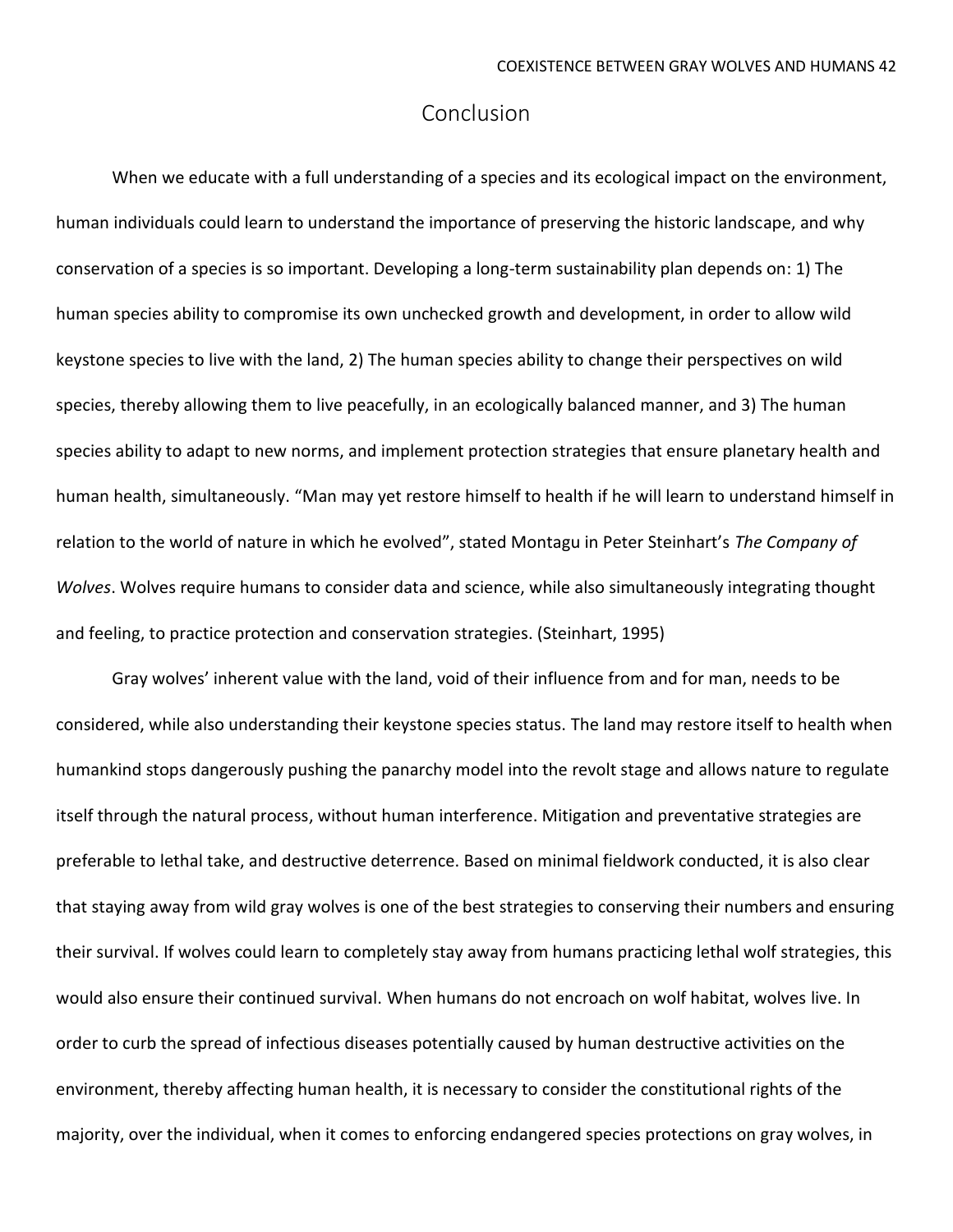## Conclusion

When we educate with a full understanding of a species and its ecological impact on the environment, human individuals could learn to understand the importance of preserving the historic landscape, and why conservation of a species is so important. Developing a long-term sustainability plan depends on: 1) The human species ability to compromise its own unchecked growth and development, in order to allow wild keystone species to live with the land, 2) The human species ability to change their perspectives on wild species, thereby allowing them to live peacefully, in an ecologically balanced manner, and 3) The human species ability to adapt to new norms, and implement protection strategies that ensure planetary health and human health, simultaneously. "Man may yet restore himself to health if he will learn to understand himself in relation to the world of nature in which he evolved", stated Montagu in Peter Steinhart's *The Company of Wolves*. Wolves require humans to consider data and science, while also simultaneously integrating thought and feeling, to practice protection and conservation strategies. (Steinhart, 1995)

Gray wolves' inherent value with the land, void of their influence from and for man, needs to be considered, while also understanding their keystone species status. The land may restore itself to health when humankind stops dangerously pushing the panarchy model into the revolt stage and allows nature to regulate itself through the natural process, without human interference. Mitigation and preventative strategies are preferable to lethal take, and destructive deterrence. Based on minimal fieldwork conducted, it is also clear that staying away from wild gray wolves is one of the best strategies to conserving their numbers and ensuring their survival. If wolves could learn to completely stay away from humans practicing lethal wolf strategies, this would also ensure their continued survival. When humans do not encroach on wolf habitat, wolves live. In order to curb the spread of infectious diseases potentially caused by human destructive activities on the environment, thereby affecting human health, it is necessary to consider the constitutional rights of the majority, over the individual, when it comes to enforcing endangered species protections on gray wolves, in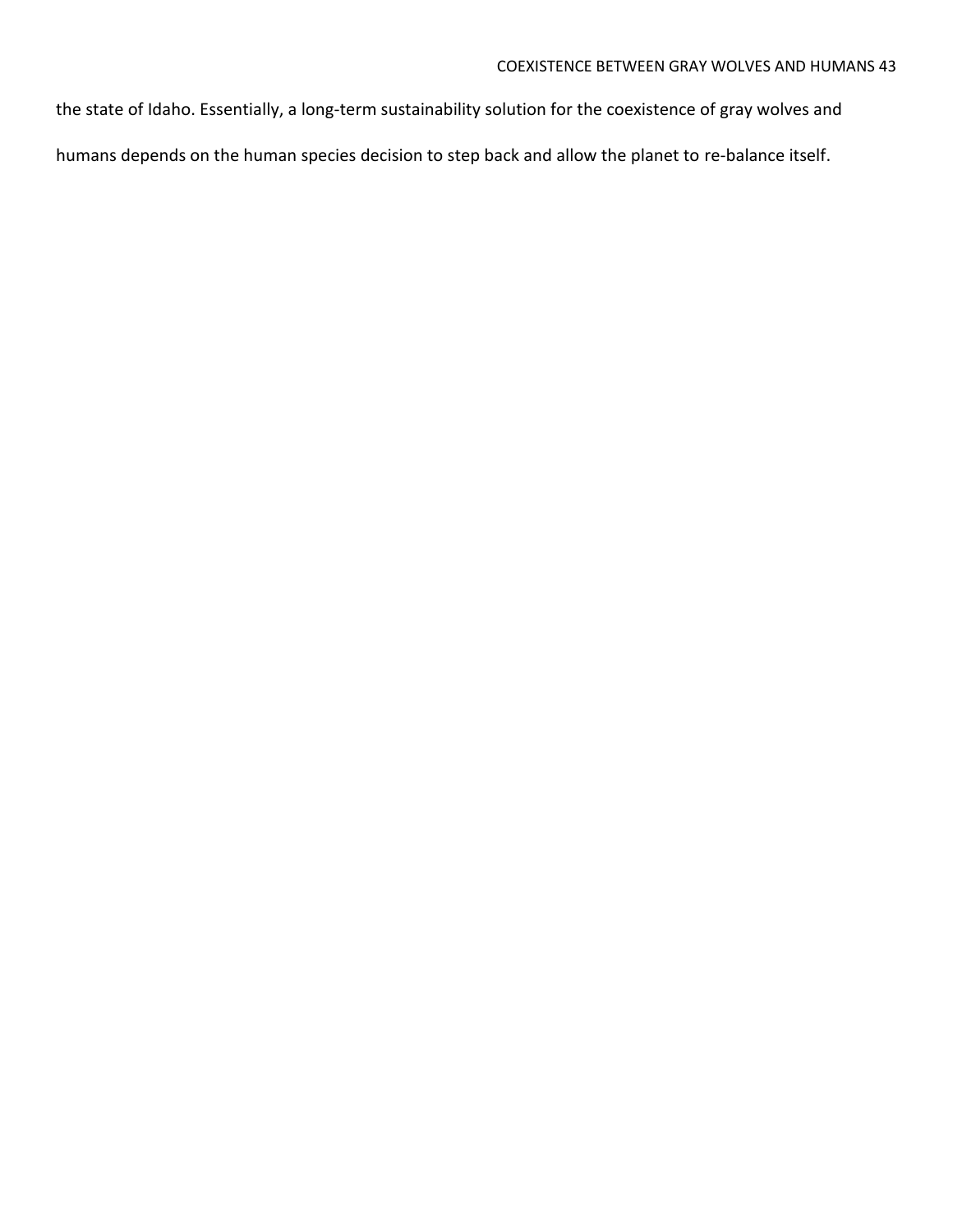the state of Idaho. Essentially, a long-term sustainability solution for the coexistence of gray wolves and humans depends on the human species decision to step back and allow the planet to re-balance itself.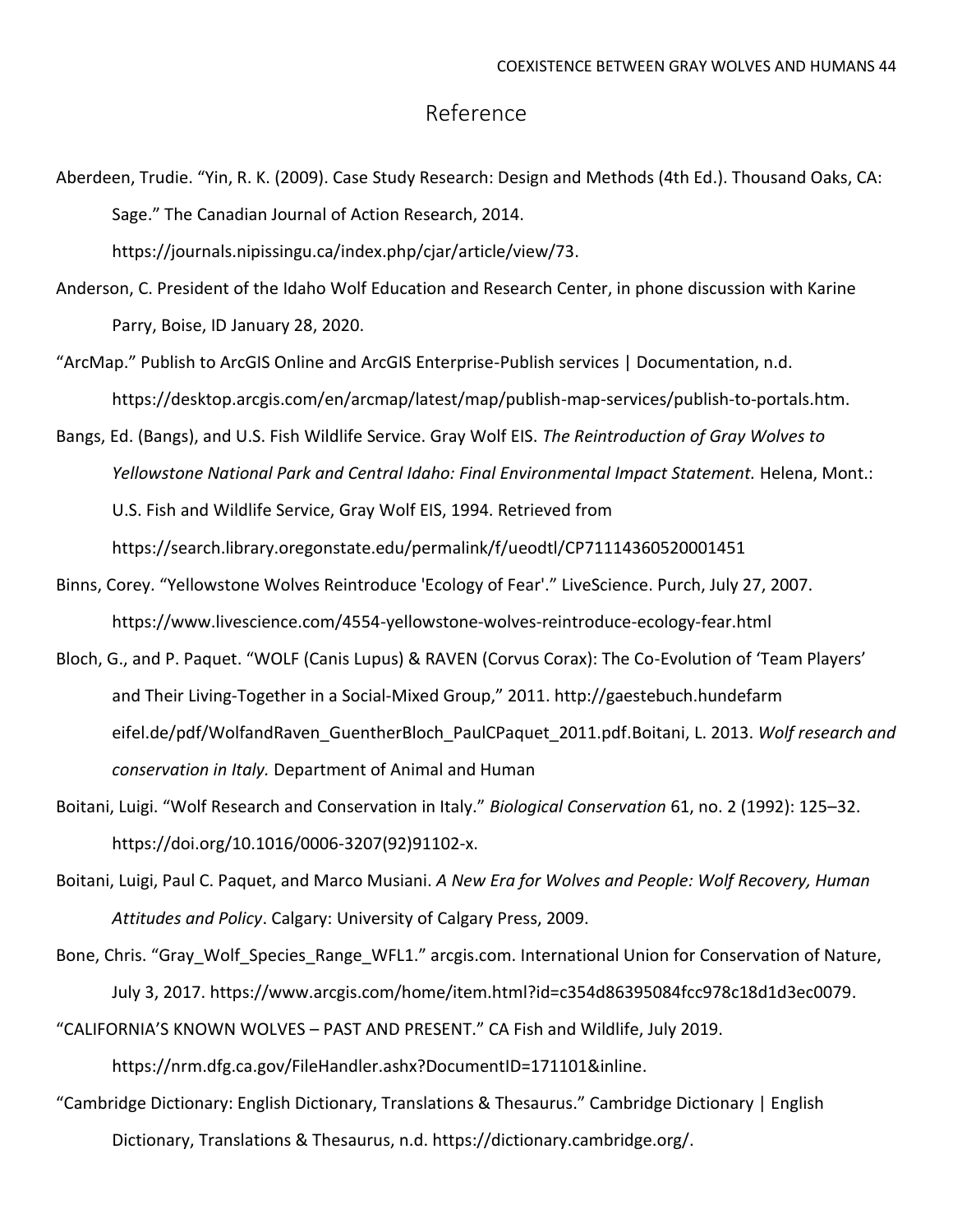## Reference

Aberdeen, Trudie. "Yin, R. K. (2009). Case Study Research: Design and Methods (4th Ed.). Thousand Oaks, CA: Sage." The Canadian Journal of Action Research, 2014.

https://journals.nipissingu.ca/index.php/cjar/article/view/73.

- Anderson, C. President of the Idaho Wolf Education and Research Center, in phone discussion with Karine Parry, Boise, ID January 28, 2020.
- "ArcMap." Publish to ArcGIS Online and ArcGIS Enterprise-Publish services | Documentation, n.d. https://desktop.arcgis.com/en/arcmap/latest/map/publish-map-services/publish-to-portals.htm.
- Bangs, Ed. (Bangs), and U.S. Fish Wildlife Service. Gray Wolf EIS. *The Reintroduction of Gray Wolves to Yellowstone National Park and Central Idaho: Final Environmental Impact Statement.* Helena, Mont.: U.S. Fish and Wildlife Service, Gray Wolf EIS, 1994. Retrieved from <https://search.library.oregonstate.edu/permalink/f/ueodtl/CP71114360520001451>

- Binns, Corey. "Yellowstone Wolves Reintroduce 'Ecology of Fear'." LiveScience. Purch, July 27, 2007. <https://www.livescience.com/4554-yellowstone-wolves-reintroduce-ecology-fear.html>
- Bloch, G., and P. Paquet. "WOLF (Canis Lupus) & RAVEN (Corvus Corax): The Co-Evolution of 'Team Players' and Their Living-Together in a Social-Mixed Group," 2011. [http://gaestebuch.hundefarm](http://gaestebuch.hundefarm/) eifel.de/pdf/WolfandRaven\_GuentherBloch\_PaulCPaquet\_2011.pdf.Boitani, L. 2013. *Wolf research and conservation in Italy.* Department of Animal and Human
- Boitani, Luigi. "Wolf Research and Conservation in Italy." *Biological Conservation* 61, no. 2 (1992): 125–32. [https://doi.org/10.1016/0006-3207\(92\)91102-x.](https://doi.org/10.1016/0006-3207(92)91102-x)
- Boitani, Luigi, Paul C. Paquet, and Marco Musiani. *A New Era for Wolves and People: Wolf Recovery, Human Attitudes and Policy*. Calgary: University of Calgary Press, 2009.
- Bone, Chris. "Gray Wolf Species Range WFL1." arcgis.com. International Union for Conservation of Nature, July 3, 2017. [https://www.arcgis.com/home/item.html?id=c354d86395084fcc978c18d1d3ec0079.](https://www.arcgis.com/home/item.html?id=c354d86395084fcc978c18d1d3ec0079) "CALIFORNIA'S KNOWN WOLVES – PAST AND PRESENT." CA Fish and Wildlife, July 2019.

[https://nrm.dfg.ca.gov/FileHandler.ashx?DocumentID=171101&inline.](https://nrm.dfg.ca.gov/FileHandler.ashx?DocumentID=171101&inline)

"Cambridge Dictionary: English Dictionary, Translations & Thesaurus." Cambridge Dictionary | English Dictionary, Translations & Thesaurus, n.d. [https://dictionary.cambridge.org/.](https://dictionary.cambridge.org/)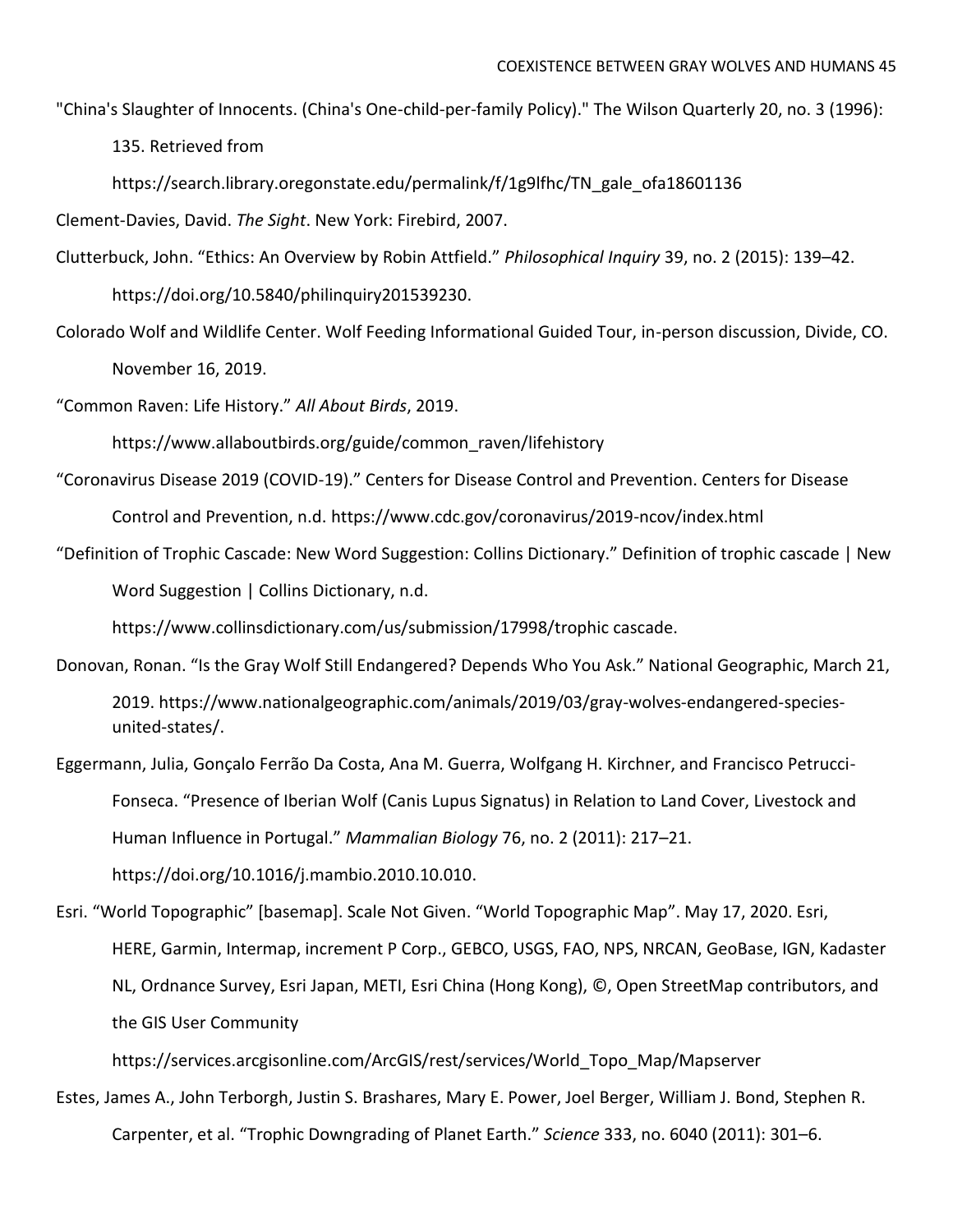"China's Slaughter of Innocents. (China's One-child-per-family Policy)." The Wilson Quarterly 20, no. 3 (1996):

135. Retrieved from

[https://search.library.oregonstate.edu/permalink/f/1g9lfhc/TN\\_gale\\_ofa18601136](https://search.library.oregonstate.edu/permalink/f/1g9lfhc/TN_gale_ofa18601136)

Clement-Davies, David. *The Sight*. New York: Firebird, 2007.

Clutterbuck, John. "Ethics: An Overview by Robin Attfield." *Philosophical Inquiry* 39, no. 2 (2015): 139–42. [https://doi.org/10.5840/philinquiry201539230.](https://doi.org/10.5840/philinquiry201539230)

Colorado Wolf and Wildlife Center. Wolf Feeding Informational Guided Tour, in-person discussion, Divide, CO. November 16, 2019.

"Common Raven: Life History." *All About Birds*, 2019.

[https://www.allaboutbirds.org/guide/common\\_raven/lifehistory](https://www.allaboutbirds.org/guide/common_raven/lifehistory)

- "Coronavirus Disease 2019 (COVID-19)." Centers for Disease Control and Prevention. Centers for Disease Control and Prevention, n.d.<https://www.cdc.gov/coronavirus/2019-ncov/index.html>
- "Definition of Trophic Cascade: New Word Suggestion: Collins Dictionary." Definition of trophic cascade | New Word Suggestion | Collins Dictionary, n.d.

https://www.collinsdictionary.com/us/submission/17998/trophic cascade.

Donovan, Ronan. "Is the Gray Wolf Still Endangered? Depends Who You Ask." National Geographic, March 21, 2019. [https://www.nationalgeographic.com/animals/2019/03/gray-wolves-endangered-species](https://www.nationalgeographic.com/animals/2019/03/gray-wolves-endangered-species-united-states/)[united-states/.](https://www.nationalgeographic.com/animals/2019/03/gray-wolves-endangered-species-united-states/)

Eggermann, Julia, Gonçalo Ferrão Da Costa, Ana M. Guerra, Wolfgang H. Kirchner, and Francisco Petrucci-Fonseca. "Presence of Iberian Wolf (Canis Lupus Signatus) in Relation to Land Cover, Livestock and Human Influence in Portugal." *Mammalian Biology* 76, no. 2 (2011): 217–21. [https://doi.org/10.1016/j.mambio.2010.10.010.](https://doi.org/10.1016/j.mambio.2010.10.010)

Esri. "World Topographic" [basemap]. Scale Not Given. "World Topographic Map". May 17, 2020. Esri, HERE, Garmin, Intermap, increment P Corp., GEBCO, USGS, FAO, NPS, NRCAN, GeoBase, IGN, Kadaster NL, Ordnance Survey, Esri Japan, METI, Esri China (Hong Kong), ©, Open StreetMap contributors, and the GIS User Community

https://services.arcgisonline.com/ArcGIS/rest/services/World\_Topo\_Map/Mapserver

Estes, James A., John Terborgh, Justin S. Brashares, Mary E. Power, Joel Berger, William J. Bond, Stephen R. Carpenter, et al. "Trophic Downgrading of Planet Earth." *Science* 333, no. 6040 (2011): 301–6.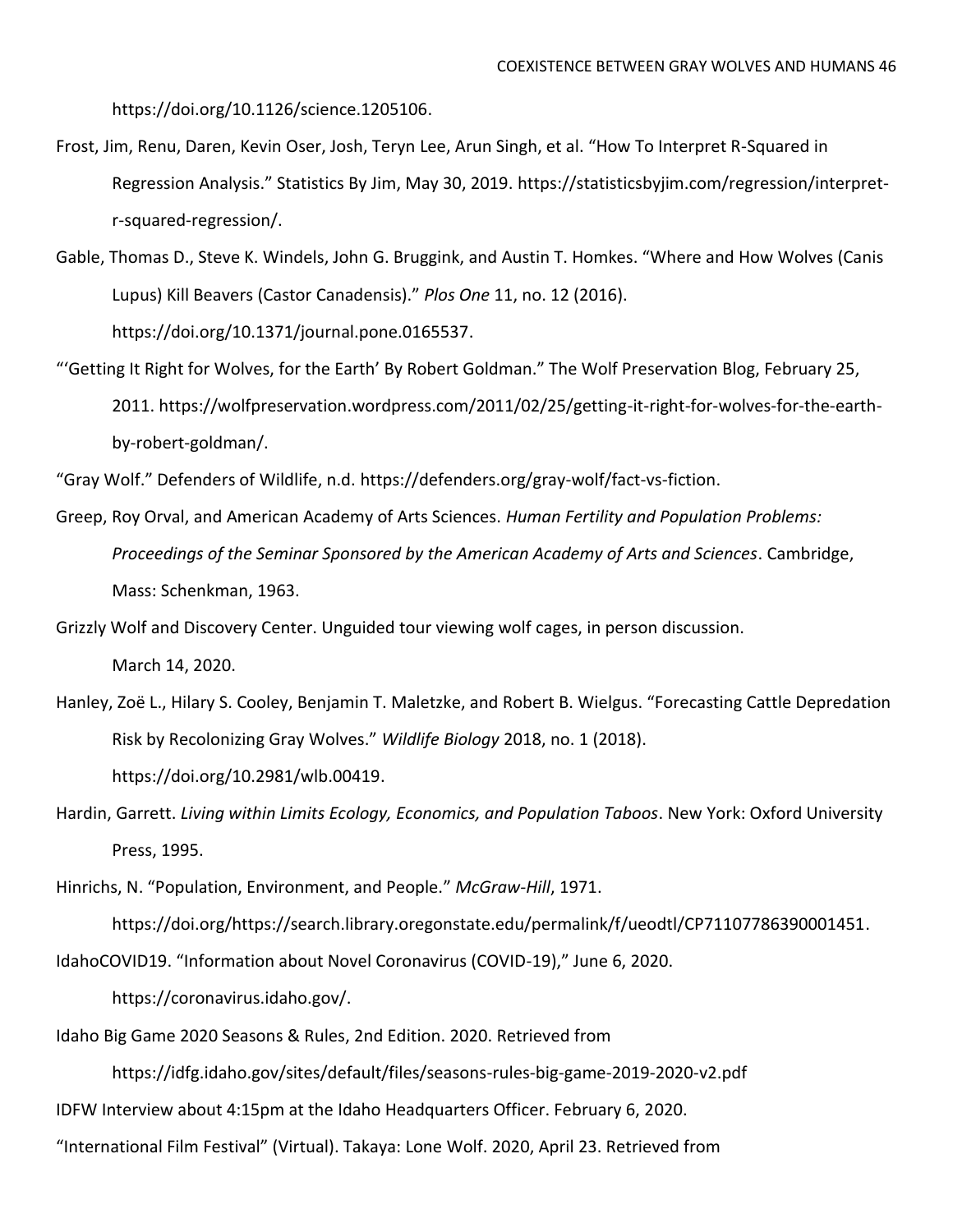[https://doi.org/10.1126/science.1205106.](https://doi.org/10.1126/science.1205106)

- Frost, Jim, Renu, Daren, Kevin Oser, Josh, Teryn Lee, Arun Singh, et al. "How To Interpret R-Squared in Regression Analysis." Statistics By Jim, May 30, 2019. [https://statisticsbyjim.com/regression/interpret](https://statisticsbyjim.com/regression/interpret-)r-squared-regression/.
- Gable, Thomas D., Steve K. Windels, John G. Bruggink, and Austin T. Homkes. "Where and How Wolves (Canis Lupus) Kill Beavers (Castor Canadensis)." *Plos One* 11, no. 12 (2016). [https://doi.org/10.1371/journal.pone.0165537.](https://doi.org/10.1371/journal.pone.0165537)
- "'Getting It Right for Wolves, for the Earth' By Robert Goldman." The Wolf Preservation Blog, February 25, 2011. [https://wolfpreservation.wordpress.com/2011/02/25/getting-it-right-for-wolves-for-the-earth](https://wolfpreservation.wordpress.com/2011/02/25/getting-it-right-for-wolves-for-the-earth-)by-robert-goldman/.

"Gray Wolf." Defenders of Wildlife, n.d. [https://defenders.org/gray-wolf/fact-vs-fiction.](https://defenders.org/gray-wolf/fact-vs-fiction)

Greep, Roy Orval, and American Academy of Arts Sciences. *Human Fertility and Population Problems: Proceedings of the Seminar Sponsored by the American Academy of Arts and Sciences*. Cambridge, Mass: Schenkman, 1963.

Grizzly Wolf and Discovery Center. Unguided tour viewing wolf cages, in person discussion.

March 14, 2020.

- Hanley, Zoë L., Hilary S. Cooley, Benjamin T. Maletzke, and Robert B. Wielgus. "Forecasting Cattle Depredation Risk by Recolonizing Gray Wolves." *Wildlife Biology* 2018, no. 1 (2018). [https://doi.org/10.2981/wlb.00419.](https://doi.org/10.2981/wlb.00419)
- Hardin, Garrett. *Living within Limits Ecology, Economics, and Population Taboos*. New York: Oxford University Press, 1995.

Hinrichs, N. "Population, Environment, and People." *McGraw-Hill*, 1971.

[https://doi.org/https://search.library.oregonstate.edu/permalink/f/ueodtl/CP71107786390001451.](https://doi.org/https:/search.library.oregonstate.edu/permalink/f/ueodtl/CP71107786390001451)

IdahoCOVID19. "Information about Novel Coronavirus (COVID-19)," June 6, 2020.

[https://coronavirus.idaho.gov/.](https://coronavirus.idaho.gov/)

Idaho Big Game 2020 Seasons & Rules, 2nd Edition. 2020. Retrieved from

<https://idfg.idaho.gov/sites/default/files/seasons-rules-big-game-2019-2020-v2.pdf>

IDFW Interview about 4:15pm at the Idaho Headquarters Officer. February 6, 2020.

"International Film Festival" (Virtual). Takaya: Lone Wolf. 2020, April 23. Retrieved from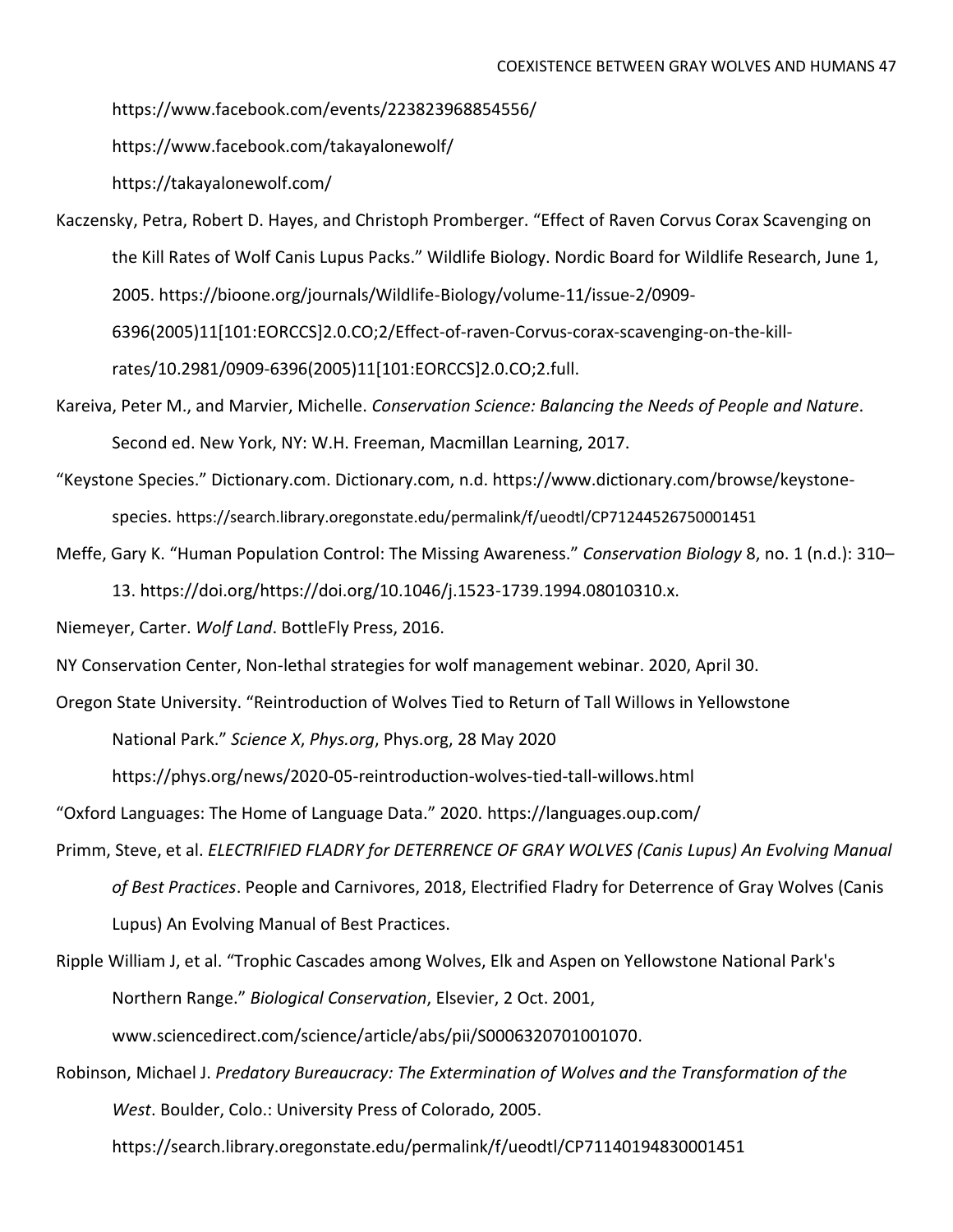<https://www.facebook.com/events/223823968854556/>

<https://www.facebook.com/takayalonewolf/>

<https://takayalonewolf.com/>

- Kaczensky, Petra, Robert D. Hayes, and Christoph Promberger. "Effect of Raven Corvus Corax Scavenging on the Kill Rates of Wolf Canis Lupus Packs." Wildlife Biology. Nordic Board for Wildlife Research, June 1, 2005.<https://bioone.org/journals/Wildlife-Biology/volume-11/issue-2/0909-> 6396(2005)11[101:EORCCS]2.0.CO;2/Effect-of-raven-Corvus-corax-scavenging-on-the-killrates/10.2981/0909-6396(2005)11[101:EORCCS]2.0.CO;2.full.
- Kareiva, Peter M., and Marvier, Michelle. *Conservation Science: Balancing the Needs of People and Nature*. Second ed. New York, NY: W.H. Freeman, Macmillan Learning, 2017.
- "Keystone Species." Dictionary.com. Dictionary.com, n.d. [https://www.dictionary.com/browse/keystone](https://www.dictionary.com/browse/keystone-)species. <https://search.library.oregonstate.edu/permalink/f/ueodtl/CP71244526750001451>
- Meffe, Gary K. "Human Population Control: The Missing Awareness." *Conservation Biology* 8, no. 1 (n.d.): 310– 13. [https://doi.org/https://doi.org/10.1046/j.1523-1739.1994.08010310.x.](https://doi.org/https:/doi.org/10.1046/j.1523-1739.1994.08010310.x)

Niemeyer, Carter. *Wolf Land*. BottleFly Press, 2016.

NY Conservation Center, Non-lethal strategies for wolf management webinar. 2020, April 30.

Oregon State University. "Reintroduction of Wolves Tied to Return of Tall Willows in Yellowstone National Park." *Science X*, *Phys.org*, Phys.org, 28 May 2020

<https://phys.org/news/2020-05-reintroduction-wolves-tied-tall-willows.html>

"Oxford Languages: The Home of Language Data." 2020. <https://languages.oup.com/>

Primm, Steve, et al. *ELECTRIFIED FLADRY for DETERRENCE OF GRAY WOLVES (Canis Lupus) An Evolving Manual of Best Practices*. People and Carnivores, 2018, Electrified Fladry for Deterrence of Gray Wolves (Canis Lupus) An Evolving Manual of Best Practices.

Ripple William J, et al. "Trophic Cascades among Wolves, Elk and Aspen on Yellowstone National Park's Northern Range." *Biological Conservation*, Elsevier, 2 Oct. 2001, [www.sciencedirect.com/science/article/abs/pii/S0006320701001070.](http://www.sciencedirect.com/science/article/abs/pii/S0006320701001070)

Robinson, Michael J. *Predatory Bureaucracy: The Extermination of Wolves and the Transformation of the West*. Boulder, Colo.: University Press of Colorado, 2005.

<https://search.library.oregonstate.edu/permalink/f/ueodtl/CP71140194830001451>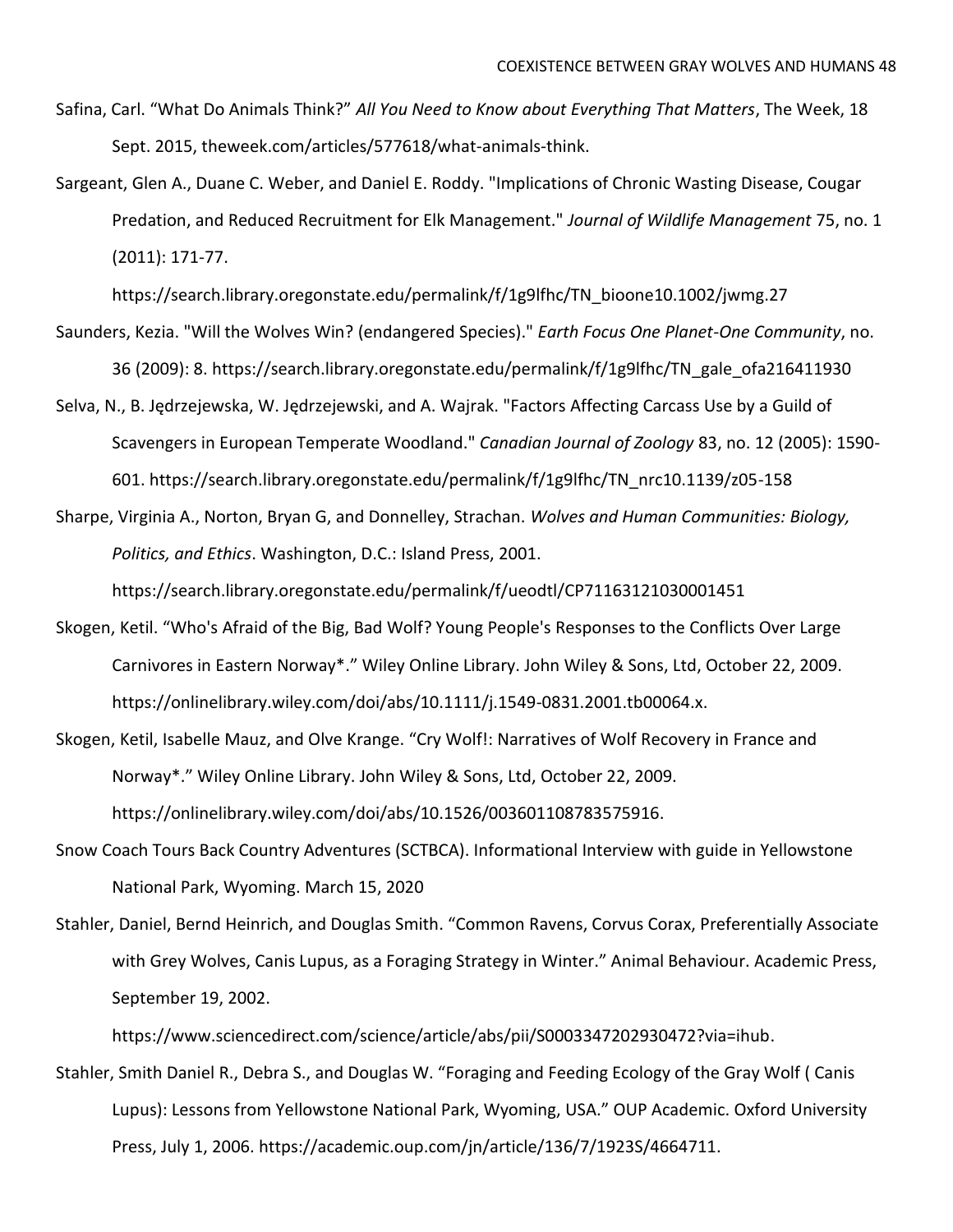- Safina, Carl. "What Do Animals Think?" *All You Need to Know about Everything That Matters*, The Week, 18 Sept. 2015, theweek.com/articles/577618/what-animals-think.
- Sargeant, Glen A., Duane C. Weber, and Daniel E. Roddy. "Implications of Chronic Wasting Disease, Cougar Predation, and Reduced Recruitment for Elk Management." *Journal of Wildlife Management* 75, no. 1 (2011): 171-77.

[https://search.library.oregonstate.edu/permalink/f/1g9lfhc/TN\\_bioone10.1002/jwmg.27](https://search.library.oregonstate.edu/permalink/f/1g9lfhc/TN_bioone10.1002/jwmg.27)

- Saunders, Kezia. "Will the Wolves Win? (endangered Species)." *Earth Focus One Planet-One Community*, no. 36 (2009): 8. [https://search.library.oregonstate.edu/permalink/f/1g9lfhc/TN\\_gale\\_ofa216411930](https://search.library.oregonstate.edu/permalink/f/1g9lfhc/TN_gale_ofa216411930)
- Selva, N., B. Jędrzejewska, W. Jędrzejewski, and A. Wajrak. "Factors Affecting Carcass Use by a Guild of Scavengers in European Temperate Woodland." *Canadian Journal of Zoology* 83, no. 12 (2005): 1590- 601. [https://search.library.oregonstate.edu/permalink/f/1g9lfhc/TN\\_nrc10.1139/z05-158](https://search.library.oregonstate.edu/permalink/f/1g9lfhc/TN_nrc10.1139/z05-158)
- Sharpe, Virginia A., Norton, Bryan G, and Donnelley, Strachan. *Wolves and Human Communities: Biology, Politics, and Ethics*. Washington, D.C.: Island Press, 2001.

<https://search.library.oregonstate.edu/permalink/f/ueodtl/CP71163121030001451>

- Skogen, Ketil. "Who's Afraid of the Big, Bad Wolf? Young People's Responses to the Conflicts Over Large Carnivores in Eastern Norway\*." Wiley Online Library. John Wiley & Sons, Ltd, October 22, 2009. [https://onlinelibrary.wiley.com/doi/abs/10.1111/j.1549-0831.2001.tb00064.x.](https://onlinelibrary.wiley.com/doi/abs/10.1111/j.1549-0831.2001.tb00064.x)
- Skogen, Ketil, Isabelle Mauz, and Olve Krange. "Cry Wolf!: Narratives of Wolf Recovery in France and Norway\*." Wiley Online Library. John Wiley & Sons, Ltd, October 22, 2009. [https://onlinelibrary.wiley.com/doi/abs/10.1526/003601108783575916.](https://onlinelibrary.wiley.com/doi/abs/10.1526/003601108783575916)
- Snow Coach Tours Back Country Adventures (SCTBCA). Informational Interview with guide in Yellowstone National Park, Wyoming. March 15, 2020
- Stahler, Daniel, Bernd Heinrich, and Douglas Smith. "Common Ravens, Corvus Corax, Preferentially Associate with Grey Wolves, Canis Lupus, as a Foraging Strategy in Winter." Animal Behaviour. Academic Press, September 19, 2002.

[https://www.sciencedirect.com/science/article/abs/pii/S0003347202930472?via=ihub.](https://www.sciencedirect.com/science/article/abs/pii/S0003347202930472?via=ihub)

Stahler, Smith Daniel R., Debra S., and Douglas W. "Foraging and Feeding Ecology of the Gray Wolf ( Canis Lupus): Lessons from Yellowstone National Park, Wyoming, USA." OUP Academic. Oxford University Press, July 1, 2006. https://academic.oup.com/jn/article/136/7/1923S/4664711.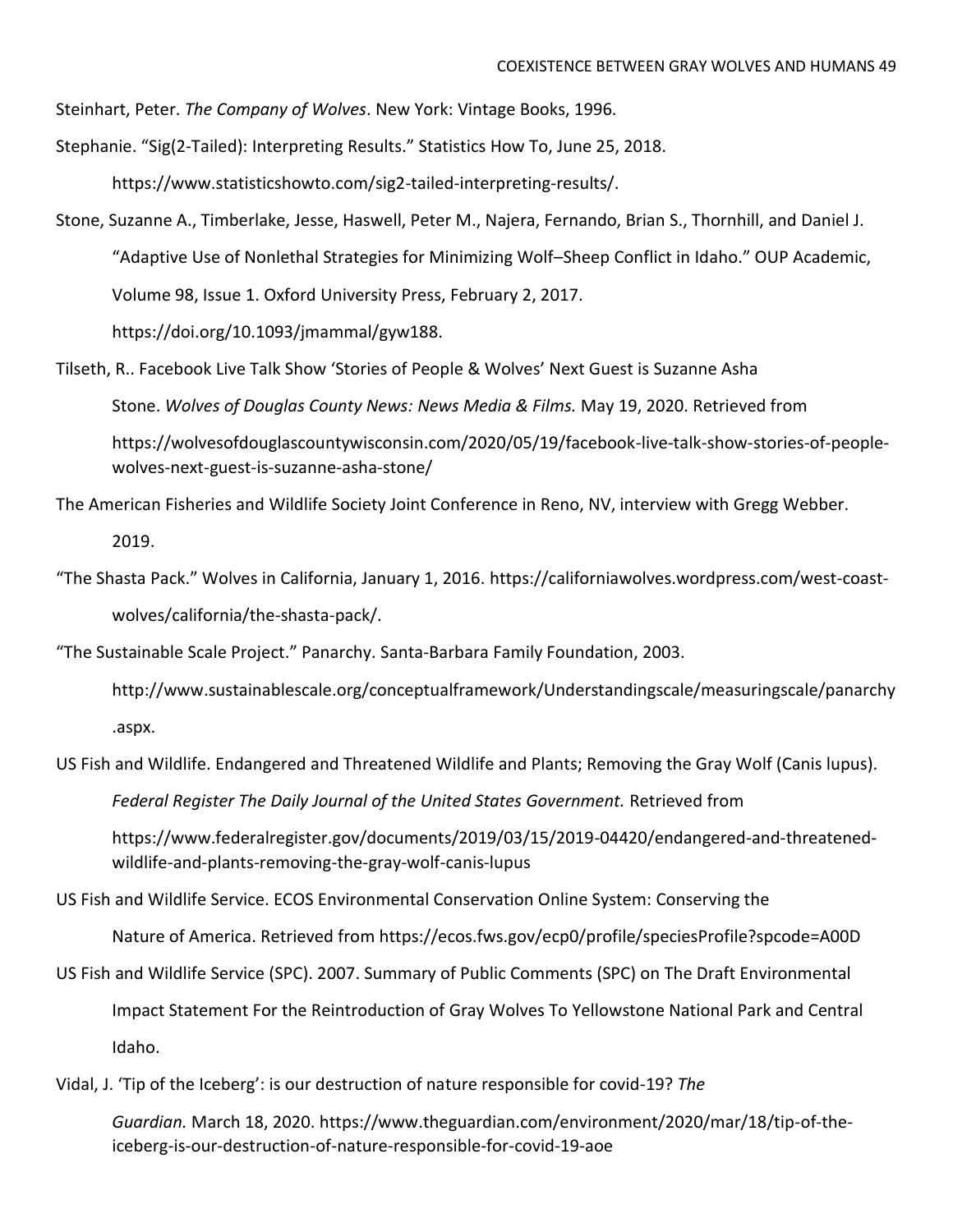Steinhart, Peter. *The Company of Wolves*. New York: Vintage Books, 1996.

Stephanie. "Sig(2-Tailed): Interpreting Results." Statistics How To, June 25, 2018.

[https://www.statisticshowto.com/sig2-tailed-interpreting-results/.](https://www.statisticshowto.com/sig2-tailed-interpreting-results/)

- Stone, Suzanne A., Timberlake, Jesse, Haswell, Peter M., Najera, Fernando, Brian S., Thornhill, and Daniel J. "Adaptive Use of Nonlethal Strategies for Minimizing Wolf–Sheep Conflict in Idaho." OUP Academic, Volume 98, Issue 1. Oxford University Press, February 2, 2017. https://doi.org/10.1093/jmammal/gyw188.
- Tilseth, R.. Facebook Live Talk Show 'Stories of People & Wolves' Next Guest is Suzanne Asha Stone. *Wolves of Douglas County News: News Media & Films.* May 19, 2020. Retrieved from [https://wolvesofdouglascountywisconsin.com/2020/05/19/facebook-live-talk-show-stories-of-people](https://wolvesofdouglascountywisconsin.com/2020/05/19/facebook-live-talk-show-stories-of-people-wolves-next-guest-is-suzanne-asha-stone/)[wolves-next-guest-is-suzanne-asha-stone/](https://wolvesofdouglascountywisconsin.com/2020/05/19/facebook-live-talk-show-stories-of-people-wolves-next-guest-is-suzanne-asha-stone/)
- The American Fisheries and Wildlife Society Joint Conference in Reno, NV, interview with Gregg Webber. 2019.
- "The Shasta Pack." Wolves in California, January 1, 2016. [https://californiawolves.wordpress.com/west-coast](https://californiawolves.wordpress.com/west-coast-)wolves/california/the-shasta-pack/.

"The Sustainable Scale Project." Panarchy. Santa-Barbara Family Foundation, 2003.

- <http://www.sustainablescale.org/conceptualframework/Understandingscale/measuringscale/panarchy> .aspx.
- US Fish and Wildlife. Endangered and Threatened Wildlife and Plants; Removing the Gray Wolf (Canis lupus).

*Federal Register The Daily Journal of the United States Government.* Retrieved from

[https://www.federalregister.gov/documents/2019/03/15/2019-04420/endangered-and-threatened](https://www.federalregister.gov/documents/2019/03/15/2019-04420/endangered-and-threatened-wildlife-and-plants-removing-the-gray-wolf-canis-lupus)[wildlife-and-plants-removing-the-gray-wolf-canis-lupus](https://www.federalregister.gov/documents/2019/03/15/2019-04420/endangered-and-threatened-wildlife-and-plants-removing-the-gray-wolf-canis-lupus)

US Fish and Wildlife Service. ECOS Environmental Conservation Online System: Conserving the

Nature of America. Retrieved from<https://ecos.fws.gov/ecp0/profile/speciesProfile?spcode=A00D>

- US Fish and Wildlife Service (SPC). 2007. Summary of Public Comments (SPC) on The Draft Environmental Impact Statement For the Reintroduction of Gray Wolves To Yellowstone National Park and Central Idaho.
- Vidal, J. 'Tip of the Iceberg': is our destruction of nature responsible for covid-19? *The*

*Guardian.* March 18, 2020. [https://www.theguardian.com/environment/2020/mar/18/tip-of-the](https://www.theguardian.com/environment/2020/mar/18/tip-of-the-iceberg-is-our-destruction-of-nature-responsible-for-covid-19-aoe)[iceberg-is-our-destruction-of-nature-responsible-for-covid-19-aoe](https://www.theguardian.com/environment/2020/mar/18/tip-of-the-iceberg-is-our-destruction-of-nature-responsible-for-covid-19-aoe)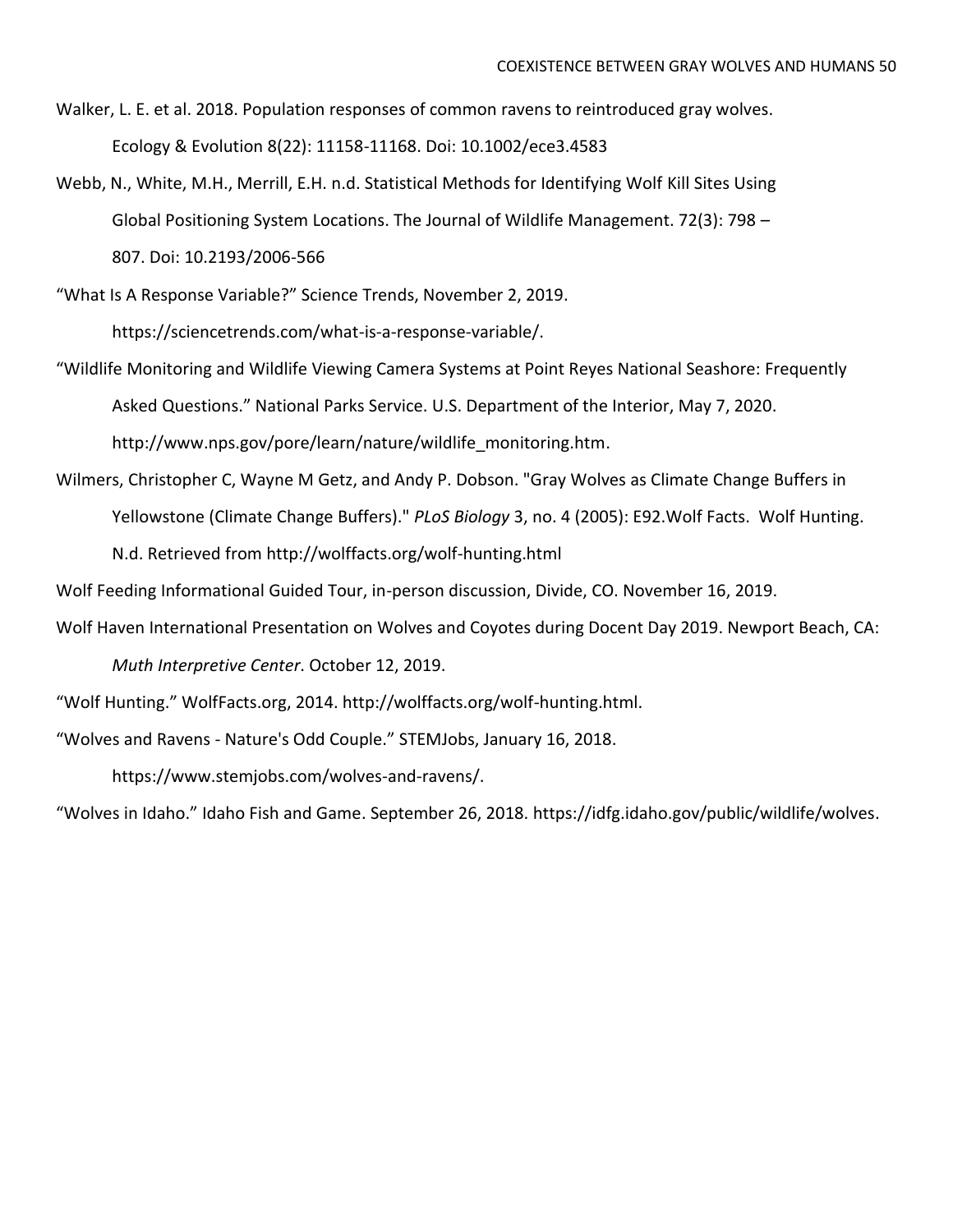- Walker, L. E. et al. 2018. Population responses of common ravens to reintroduced gray wolves. Ecology & Evolution 8(22): 11158-11168. Doi: 10.1002/ece3.4583
- Webb, N., White, M.H., Merrill, E.H. n.d. Statistical Methods for Identifying Wolf Kill Sites Using Global Positioning System Locations. The Journal of Wildlife Management. 72(3): 798 – 807. Doi: 10.2193/2006-566
- "What Is A Response Variable?" Science Trends, November 2, 2019. [https://sciencetrends.com/what-is-a-response-variable/.](https://sciencetrends.com/what-is-a-response-variable/)
- "Wildlife Monitoring and Wildlife Viewing Camera Systems at Point Reyes National Seashore: Frequently Asked Questions." National Parks Service. U.S. Department of the Interior, May 7, 2020. [http://www.nps.gov/pore/learn/nature/wildlife\\_monitoring.htm.](http://www.nps.gov/pore/learn/nature/wildlife_monitoring.htm)
- Wilmers, Christopher C, Wayne M Getz, and Andy P. Dobson. "Gray Wolves as Climate Change Buffers in Yellowstone (Climate Change Buffers)." *PLoS Biology* 3, no. 4 (2005): E92.Wolf Facts. Wolf Hunting. N.d. Retrieved from<http://wolffacts.org/wolf-hunting.html>

Wolf Feeding Informational Guided Tour, in-person discussion, Divide, CO. November 16, 2019.

Wolf Haven International Presentation on Wolves and Coyotes during Docent Day 2019. Newport Beach, CA:

*Muth Interpretive Center*. October 12, 2019.

"Wolf Hunting." WolfFacts.org, 2014. http://wolffacts.org/wolf-hunting.html.

"Wolves and Ravens - Nature's Odd Couple." STEMJobs, January 16, 2018.

https://www.stemjobs.com/wolves-and-ravens/.

"Wolves in Idaho." Idaho Fish and Game. September 26, 2018. [https://idfg.idaho.gov/public/wildlife/wolves.](https://idfg.idaho.gov/public/wildlife/wolves)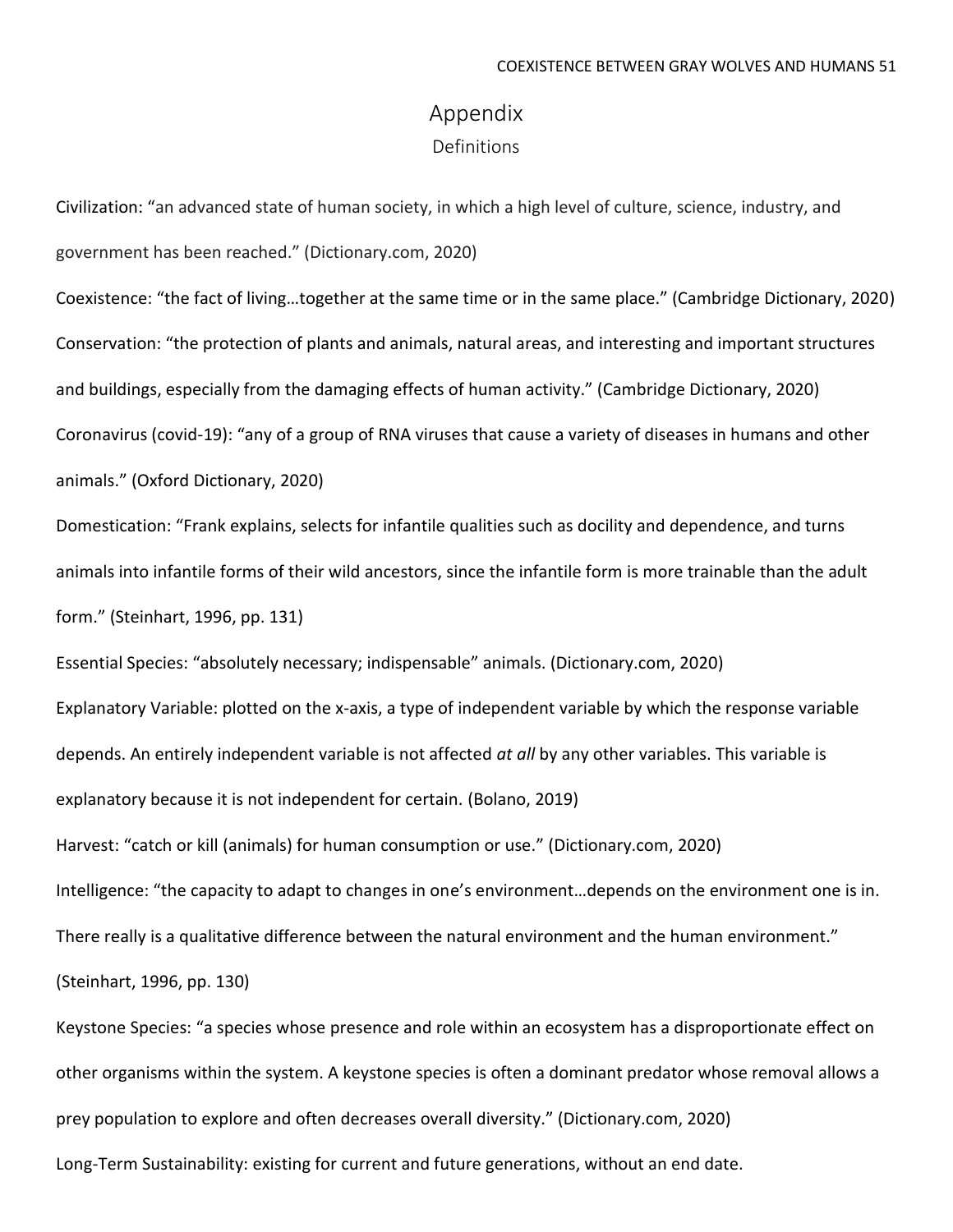# Appendix

Definitions

Civilization: "an advanced state of human society, in which a high level of culture, science, industry, and government has been reached." (Dictionary.com, 2020)

Coexistence: "the fact of living…together at the same time or in the same place." (Cambridge Dictionary, 2020) Conservation: "the protection of plants and animals, natural areas, and interesting and important structures and buildings, especially from the damaging effects of human activity." (Cambridge Dictionary, 2020) Coronavirus (covid-19): "any of a group of RNA viruses that cause a variety of diseases in humans and other animals." (Oxford Dictionary, 2020)

Domestication: "Frank explains, selects for infantile qualities such as docility and dependence, and turns animals into infantile forms of their wild ancestors, since the infantile form is more trainable than the adult form." (Steinhart, 1996, pp. 131)

Essential Species: "absolutely necessary; indispensable" animals. (Dictionary.com, 2020) Explanatory Variable: plotted on the x-axis, a type of independent variable by which the response variable depends. An entirely independent variable is not affected *at all* by any other variables. This variable is explanatory because it is not independent for certain. (Bolano, 2019)

Harvest: "catch or kill (animals) for human consumption or use." (Dictionary.com, 2020) Intelligence: "the capacity to adapt to changes in one's environment…depends on the environment one is in. There really is a qualitative difference between the natural environment and the human environment." (Steinhart, 1996, pp. 130)

Keystone Species: "a species whose presence and role within an ecosystem has a disproportionate effect on other organisms within the system. A keystone species is often a dominant predator whose removal allows a prey population to explore and often decreases overall diversity." (Dictionary.com, 2020)

Long-Term Sustainability: existing for current and future generations, without an end date.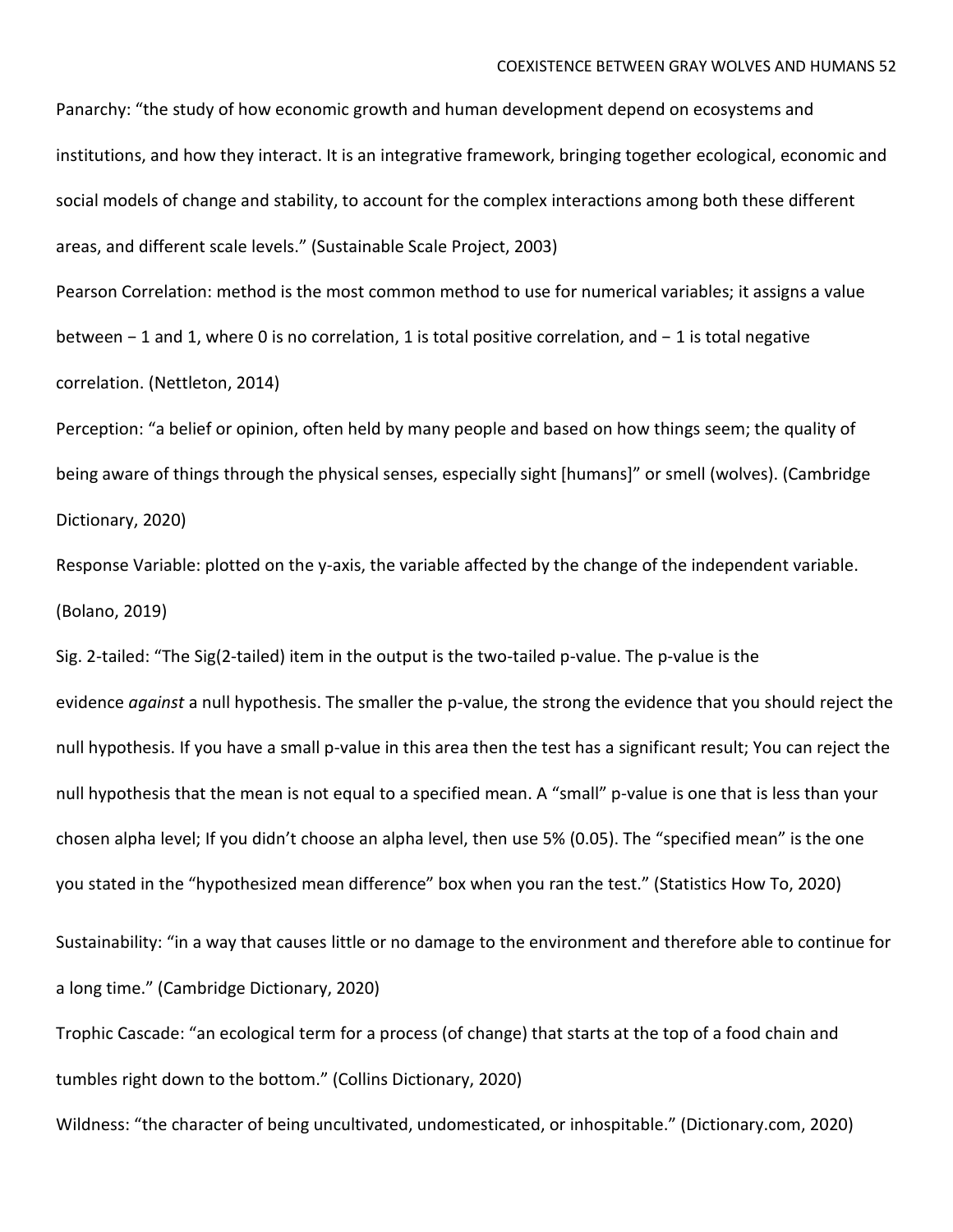Panarchy: "the study of how economic growth and human development depend on ecosystems and institutions, and how they interact. It is an integrative framework, bringing together ecological, economic and social models of change and stability, to account for the complex interactions among both these different areas, and different scale levels." (Sustainable Scale Project, 2003)

Pearson Correlation: method is the most common method to use for numerical variables; it assigns a value between − 1 and 1, where 0 is no correlation, 1 is total positive correlation, and − 1 is total negative correlation. (Nettleton, 2014)

Perception: "a belief or opinion, often held by many people and based on how things seem; the quality of being aware of things through the physical senses, especially sight [humans]" or smell (wolves). (Cambridge Dictionary, 2020)

Response Variable: plotted on the y-axis, the variable affected by the change of the independent variable. (Bolano, 2019)

Sig. 2-tailed: "The Sig(2-tailed) item in the output is the two-tailed [p-value.](https://www.statisticshowto.com/p-value/) The p-value is the evidence *against* a null [hypothesis.](https://www.statisticshowto.com/probability-and-statistics/null-hypothesis/) The smaller the p-value, the strong the evidence that you should [reject](https://www.statisticshowto.com/support-or-reject-null-hypothesis/) the null [hypothesis.](https://www.statisticshowto.com/support-or-reject-null-hypothesis/) If you have a small p-value in this area then the test has a [significant](https://www.statisticshowto.com/what-is-statistical-significance/) result; You can reject the null hypothesis that the [mean](https://www.statisticshowto.com/probability-and-statistics/statistics-definitions/mean-median-mode/#mean) is not equal to a specified mean. A "small" p-value is one that is less than your chosen alpha level; If you didn't [choose](https://www.statisticshowto.com/what-is-an-alpha-level/) an alpha level, then use 5% (0.05). The "specified mean" is the one you stated in the "hypothesized mean difference" box when you ran the test." (Statistics How To, 2020) Sustainability: "in a way that causes little or no damage to the environment and therefore able to continue for

a long time." (Cambridge Dictionary, 2020)

Trophic Cascade: "an ecological term for a process (of change) that starts at the top of a food chain and tumbles right down to the bottom." (Collins Dictionary, 2020)

Wildness: "the character of being uncultivated, undomesticated, or inhospitable." (Dictionary.com, 2020)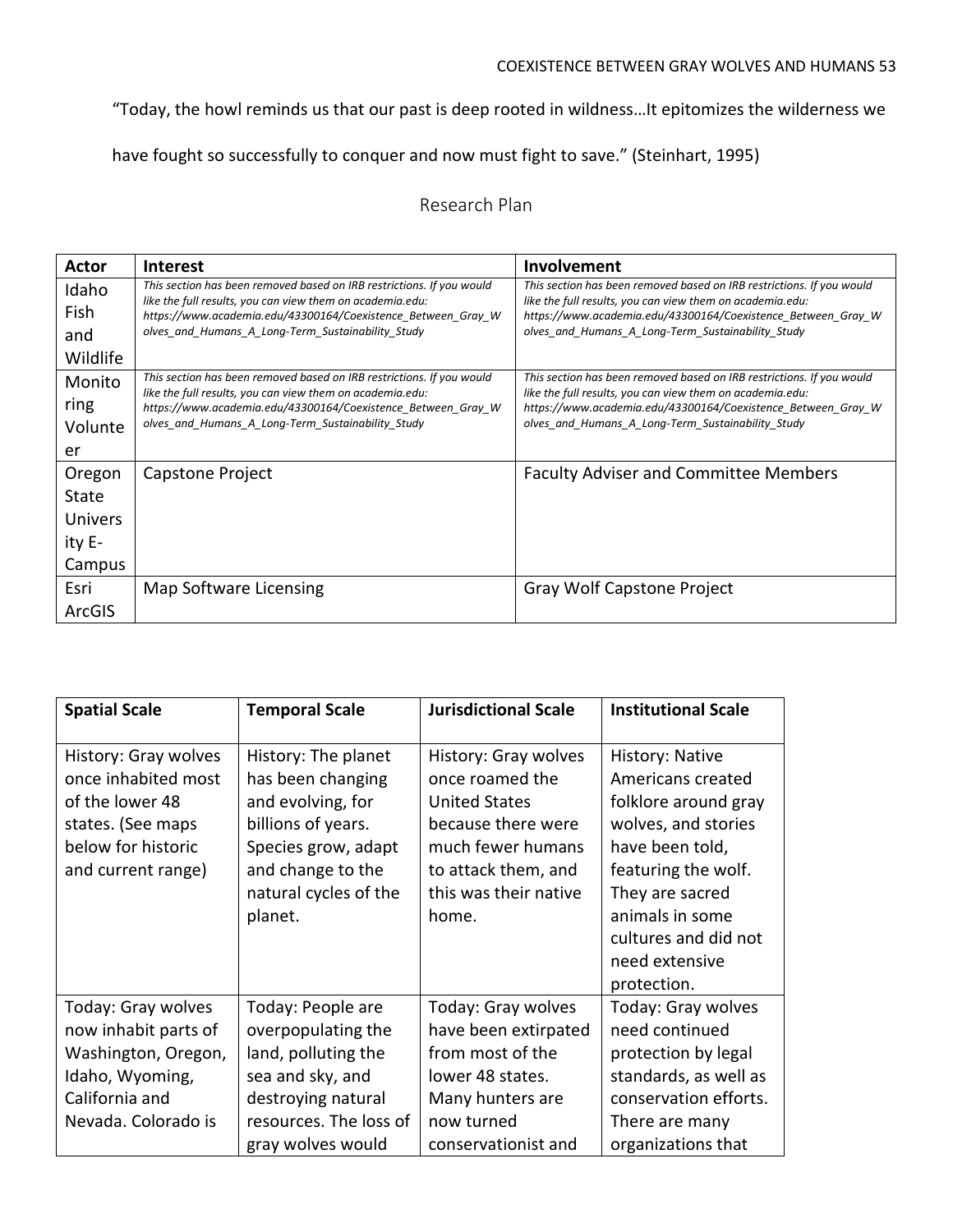### COEXISTENCE BETWEEN GRAY WOLVES AND HUMANS 53

"Today, the howl reminds us that our past is deep rooted in wildness…It epitomizes the wilderness we

have fought so successfully to conquer and now must fight to save." (Steinhart, 1995)

## Research Plan

| Actor          | <b>Interest</b>                                                                                                                    | Involvement                                                                                                                        |
|----------------|------------------------------------------------------------------------------------------------------------------------------------|------------------------------------------------------------------------------------------------------------------------------------|
| Idaho          | This section has been removed based on IRB restrictions. If you would                                                              | This section has been removed based on IRB restrictions. If you would                                                              |
| Fish           | like the full results, you can view them on academia.edu:<br>https://www.academia.edu/43300164/Coexistence Between Gray W          | like the full results, you can view them on academia.edu:<br>https://www.academia.edu/43300164/Coexistence Between Gray W          |
| and            | olves and Humans A Long-Term Sustainability Study                                                                                  | olves and Humans A Long-Term Sustainability Study                                                                                  |
| Wildlife       |                                                                                                                                    |                                                                                                                                    |
| Monito         | This section has been removed based on IRB restrictions. If you would<br>like the full results, you can view them on academia.edu: | This section has been removed based on IRB restrictions. If you would<br>like the full results, you can view them on academia.edu: |
| ring           | https://www.academia.edu/43300164/Coexistence Between Gray W                                                                       | https://www.academia.edu/43300164/Coexistence Between Gray W                                                                       |
| Volunte        | olves_and_Humans_A_Long-Term_Sustainability_Study                                                                                  | olves_and_Humans_A_Long-Term_Sustainability_Study                                                                                  |
| er             |                                                                                                                                    |                                                                                                                                    |
| Oregon         | Capstone Project                                                                                                                   | <b>Faculty Adviser and Committee Members</b>                                                                                       |
| State          |                                                                                                                                    |                                                                                                                                    |
| <b>Univers</b> |                                                                                                                                    |                                                                                                                                    |
| ity E-         |                                                                                                                                    |                                                                                                                                    |
| Campus         |                                                                                                                                    |                                                                                                                                    |
| Esri           | Map Software Licensing                                                                                                             | Gray Wolf Capstone Project                                                                                                         |
| ArcGIS         |                                                                                                                                    |                                                                                                                                    |

| <b>Spatial Scale</b>                                                                                                            | <b>Temporal Scale</b>                                                                                                                                               | <b>Jurisdictional Scale</b>                                                                                                                                         | <b>Institutional Scale</b>                                                                                                                                                                                                   |
|---------------------------------------------------------------------------------------------------------------------------------|---------------------------------------------------------------------------------------------------------------------------------------------------------------------|---------------------------------------------------------------------------------------------------------------------------------------------------------------------|------------------------------------------------------------------------------------------------------------------------------------------------------------------------------------------------------------------------------|
| History: Gray wolves<br>once inhabited most<br>of the lower 48<br>states. (See maps<br>below for historic<br>and current range) | History: The planet<br>has been changing<br>and evolving, for<br>billions of years.<br>Species grow, adapt<br>and change to the<br>natural cycles of the<br>planet. | History: Gray wolves<br>once roamed the<br><b>United States</b><br>because there were<br>much fewer humans<br>to attack them, and<br>this was their native<br>home. | History: Native<br>Americans created<br>folklore around gray<br>wolves, and stories<br>have been told,<br>featuring the wolf.<br>They are sacred<br>animals in some<br>cultures and did not<br>need extensive<br>protection. |
| Today: Gray wolves<br>now inhabit parts of<br>Washington, Oregon,<br>Idaho, Wyoming,<br>California and<br>Nevada. Colorado is   | Today: People are<br>overpopulating the<br>land, polluting the<br>sea and sky, and<br>destroying natural<br>resources. The loss of<br>gray wolves would             | Today: Gray wolves<br>have been extirpated<br>from most of the<br>lower 48 states.<br>Many hunters are<br>now turned<br>conservationist and                         | Today: Gray wolves<br>need continued<br>protection by legal<br>standards, as well as<br>conservation efforts.<br>There are many<br>organizations that                                                                        |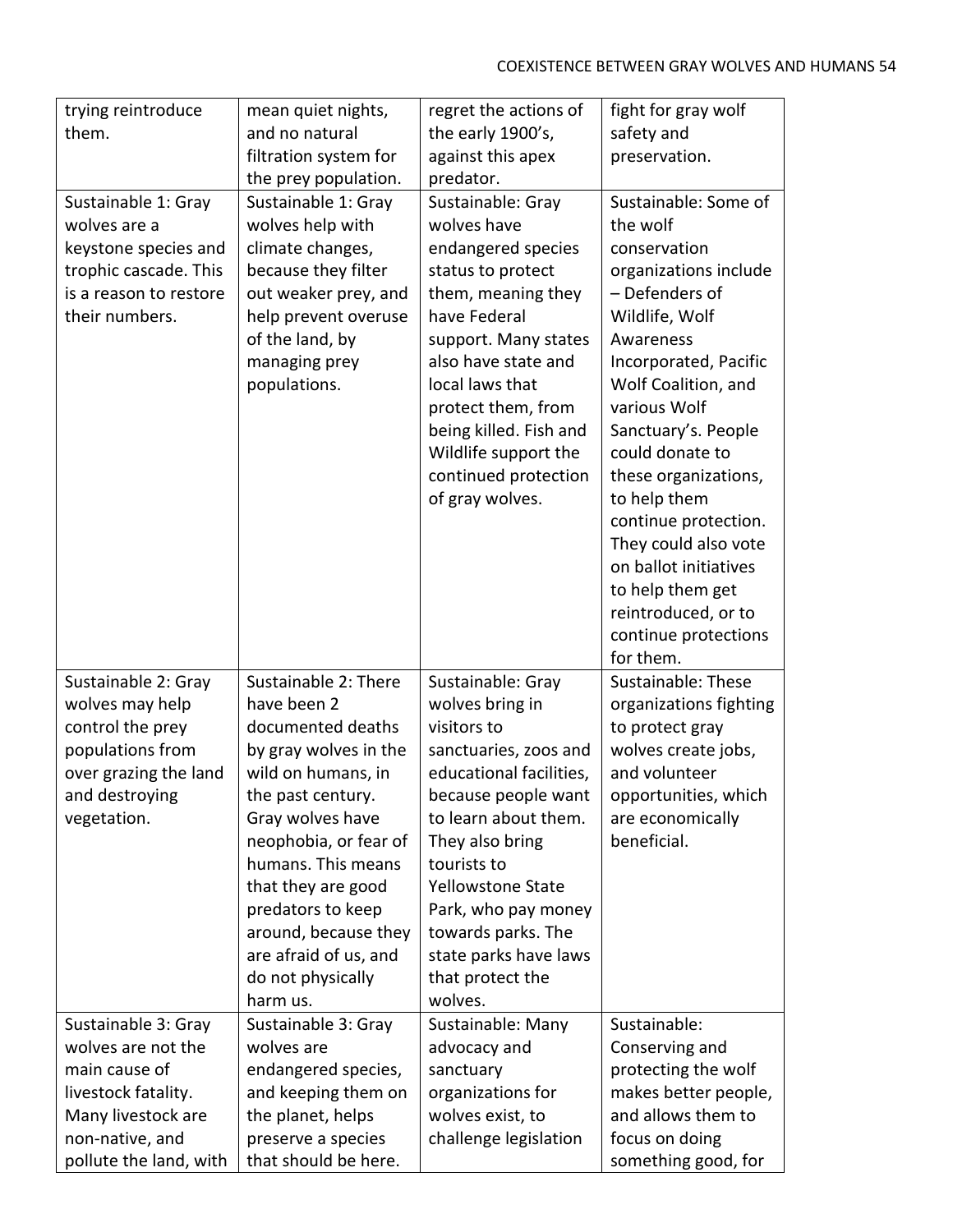| trying reintroduce                                                                                                                                   | mean quiet nights,                                                                                                                                                                                                                                                                                                           | regret the actions of                                                                                                                                                                                                                                                                                              | fight for gray wolf                                                                                                                                                                                                                                                                                                                                   |
|------------------------------------------------------------------------------------------------------------------------------------------------------|------------------------------------------------------------------------------------------------------------------------------------------------------------------------------------------------------------------------------------------------------------------------------------------------------------------------------|--------------------------------------------------------------------------------------------------------------------------------------------------------------------------------------------------------------------------------------------------------------------------------------------------------------------|-------------------------------------------------------------------------------------------------------------------------------------------------------------------------------------------------------------------------------------------------------------------------------------------------------------------------------------------------------|
| them.                                                                                                                                                | and no natural                                                                                                                                                                                                                                                                                                               | the early 1900's,                                                                                                                                                                                                                                                                                                  | safety and                                                                                                                                                                                                                                                                                                                                            |
|                                                                                                                                                      | filtration system for                                                                                                                                                                                                                                                                                                        | against this apex                                                                                                                                                                                                                                                                                                  | preservation.                                                                                                                                                                                                                                                                                                                                         |
|                                                                                                                                                      | the prey population.                                                                                                                                                                                                                                                                                                         | predator.                                                                                                                                                                                                                                                                                                          |                                                                                                                                                                                                                                                                                                                                                       |
| Sustainable 1: Gray<br>wolves are a<br>keystone species and<br>trophic cascade. This<br>is a reason to restore<br>their numbers.                     | Sustainable 1: Gray<br>wolves help with<br>climate changes,<br>because they filter<br>out weaker prey, and<br>help prevent overuse<br>of the land, by<br>managing prey<br>populations.                                                                                                                                       | Sustainable: Gray<br>wolves have<br>endangered species<br>status to protect<br>them, meaning they<br>have Federal<br>support. Many states<br>also have state and<br>local laws that<br>protect them, from<br>being killed. Fish and<br>Wildlife support the<br>continued protection<br>of gray wolves.             | Sustainable: Some of<br>the wolf<br>conservation<br>organizations include<br>- Defenders of<br>Wildlife, Wolf<br>Awareness<br>Incorporated, Pacific<br>Wolf Coalition, and<br>various Wolf<br>Sanctuary's. People<br>could donate to<br>these organizations,<br>to help them<br>continue protection.<br>They could also vote<br>on ballot initiatives |
|                                                                                                                                                      |                                                                                                                                                                                                                                                                                                                              |                                                                                                                                                                                                                                                                                                                    | to help them get<br>reintroduced, or to<br>continue protections<br>for them.                                                                                                                                                                                                                                                                          |
| Sustainable 2: Gray<br>wolves may help<br>control the prey<br>populations from<br>over grazing the land<br>and destroying<br>vegetation.             | Sustainable 2: There<br>have been 2<br>documented deaths<br>by gray wolves in the<br>wild on humans, in<br>the past century.<br>Gray wolves have<br>neophobia, or fear of<br>humans. This means<br>that they are good<br>predators to keep<br>around, because they<br>are afraid of us, and<br>do not physically<br>harm us. | Sustainable: Gray<br>wolves bring in<br>visitors to<br>sanctuaries, zoos and<br>educational facilities,<br>because people want<br>to learn about them.<br>They also bring<br>tourists to<br>Yellowstone State<br>Park, who pay money<br>towards parks. The<br>state parks have laws<br>that protect the<br>wolves. | Sustainable: These<br>organizations fighting<br>to protect gray<br>wolves create jobs,<br>and volunteer<br>opportunities, which<br>are economically<br>beneficial.                                                                                                                                                                                    |
| Sustainable 3: Gray<br>wolves are not the<br>main cause of<br>livestock fatality.<br>Many livestock are<br>non-native, and<br>pollute the land, with | Sustainable 3: Gray<br>wolves are<br>endangered species,<br>and keeping them on<br>the planet, helps<br>preserve a species<br>that should be here.                                                                                                                                                                           | Sustainable: Many<br>advocacy and<br>sanctuary<br>organizations for<br>wolves exist, to<br>challenge legislation                                                                                                                                                                                                   | Sustainable:<br>Conserving and<br>protecting the wolf<br>makes better people,<br>and allows them to<br>focus on doing<br>something good, for                                                                                                                                                                                                          |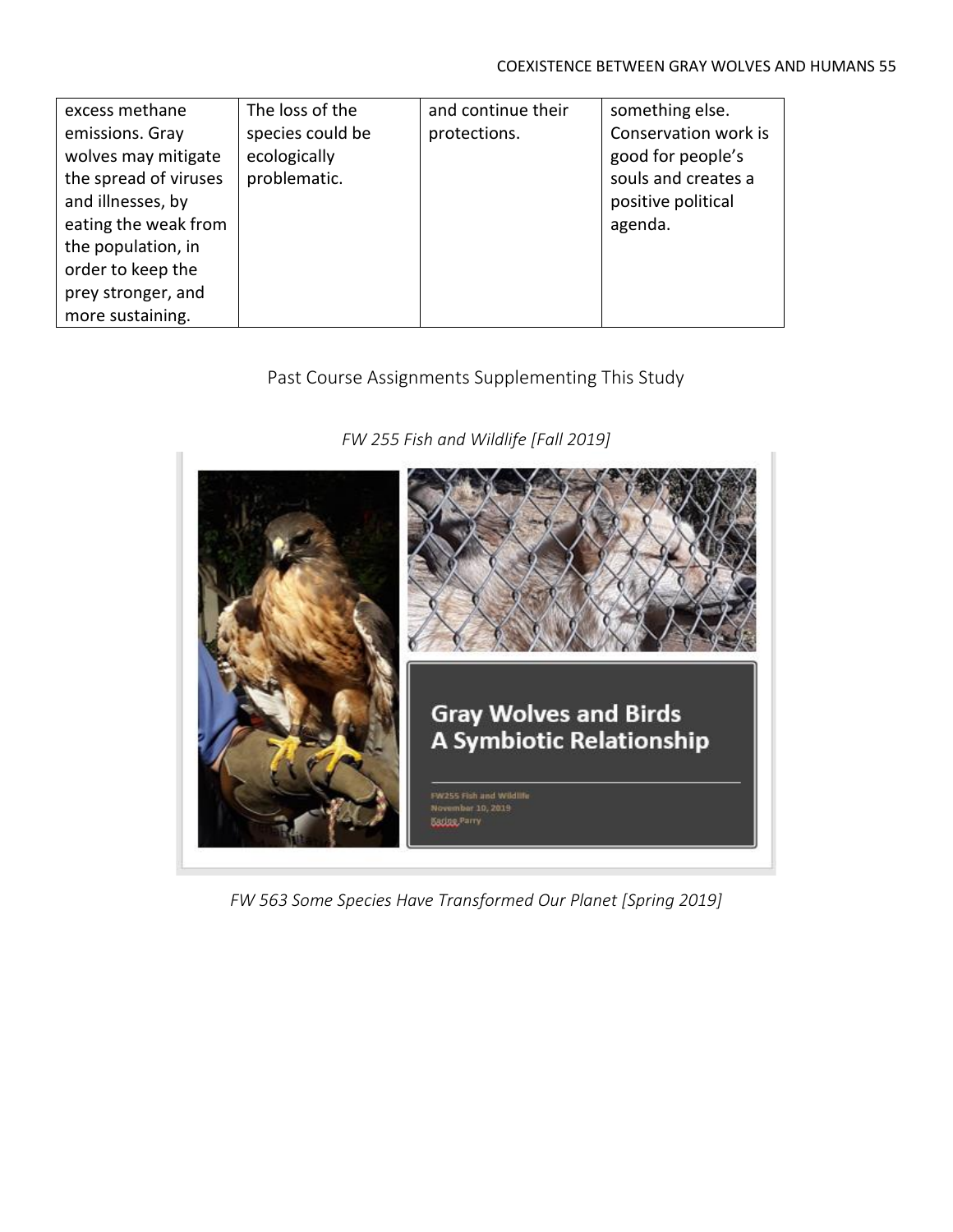| excess methane        | The loss of the  | and continue their | something else.      |
|-----------------------|------------------|--------------------|----------------------|
| emissions. Gray       | species could be | protections.       | Conservation work is |
| wolves may mitigate   | ecologically     |                    | good for people's    |
| the spread of viruses | problematic.     |                    | souls and creates a  |
| and illnesses, by     |                  |                    | positive political   |
| eating the weak from  |                  |                    | agenda.              |
| the population, in    |                  |                    |                      |
| order to keep the     |                  |                    |                      |
| prey stronger, and    |                  |                    |                      |
| more sustaining.      |                  |                    |                      |

## Past Course Assignments Supplementing This Study

*FW 255 Fish and Wildlife [Fall 2019]*



*FW 563 Some Species Have Transformed Our Planet [Spring 2019]*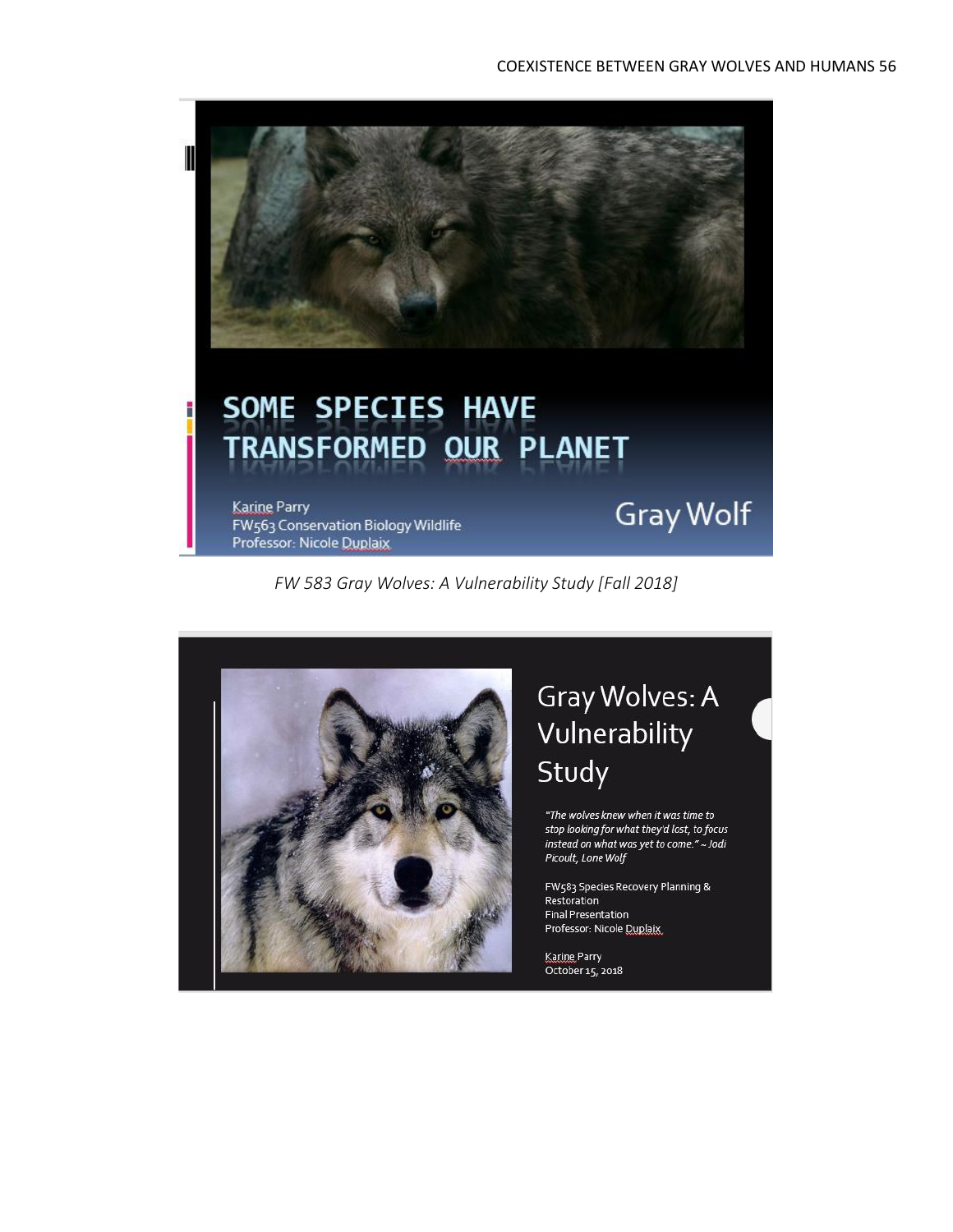

*FW 583 Gray Wolves: A Vulnerability Study [Fall 2018]*



# Gray Wolves: A Vulnerability Study

"The wolves knew when it was time to stop looking for what they'd lost, to focus instead on what was yet to come." ~ Jodi Picoult, Lone Wolf

FW583 Species Recovery Planning & Restoration **Final Presentation** Professor: Nicole Duplaix

Karine Parry October 15, 2018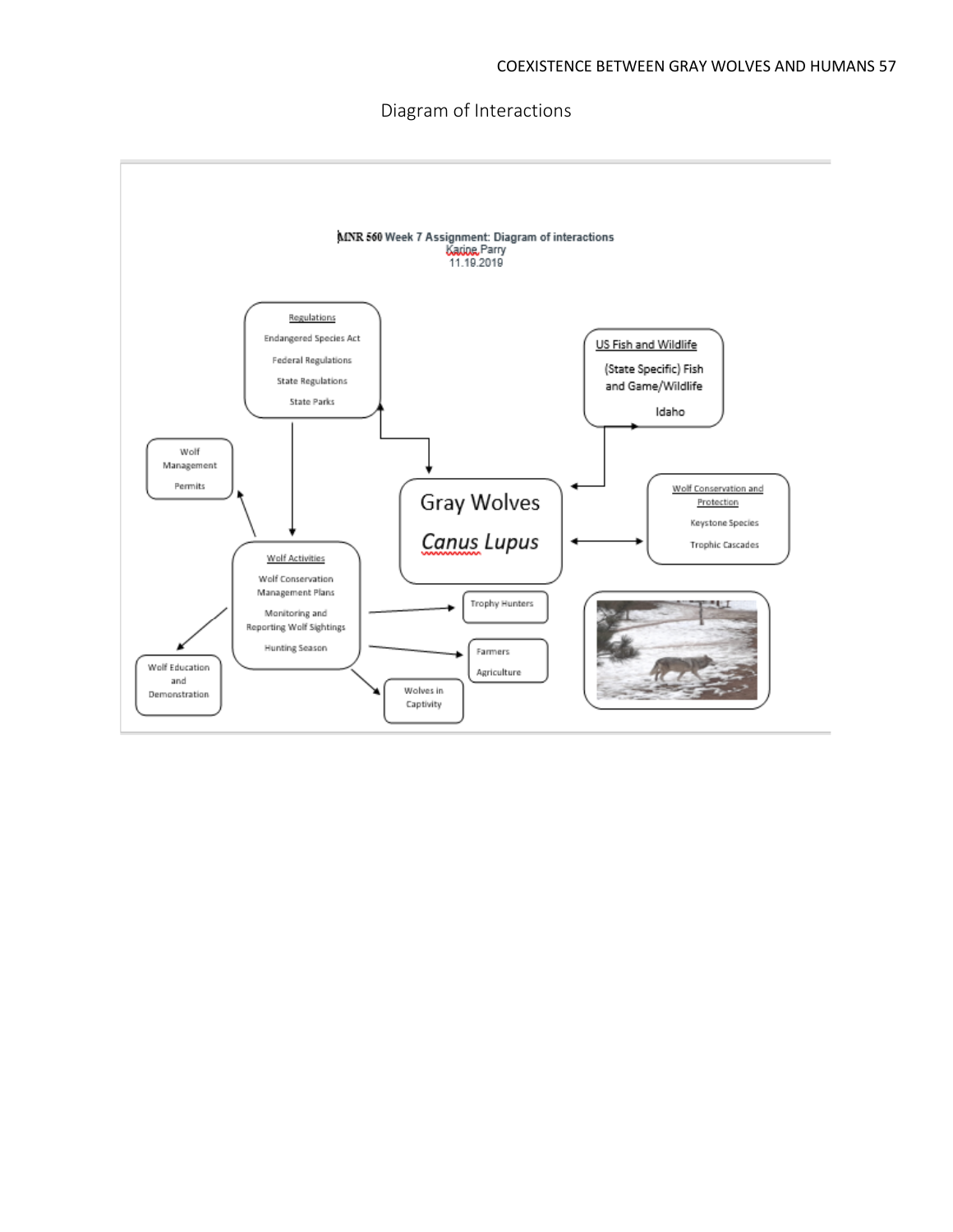Diagram of Interactions

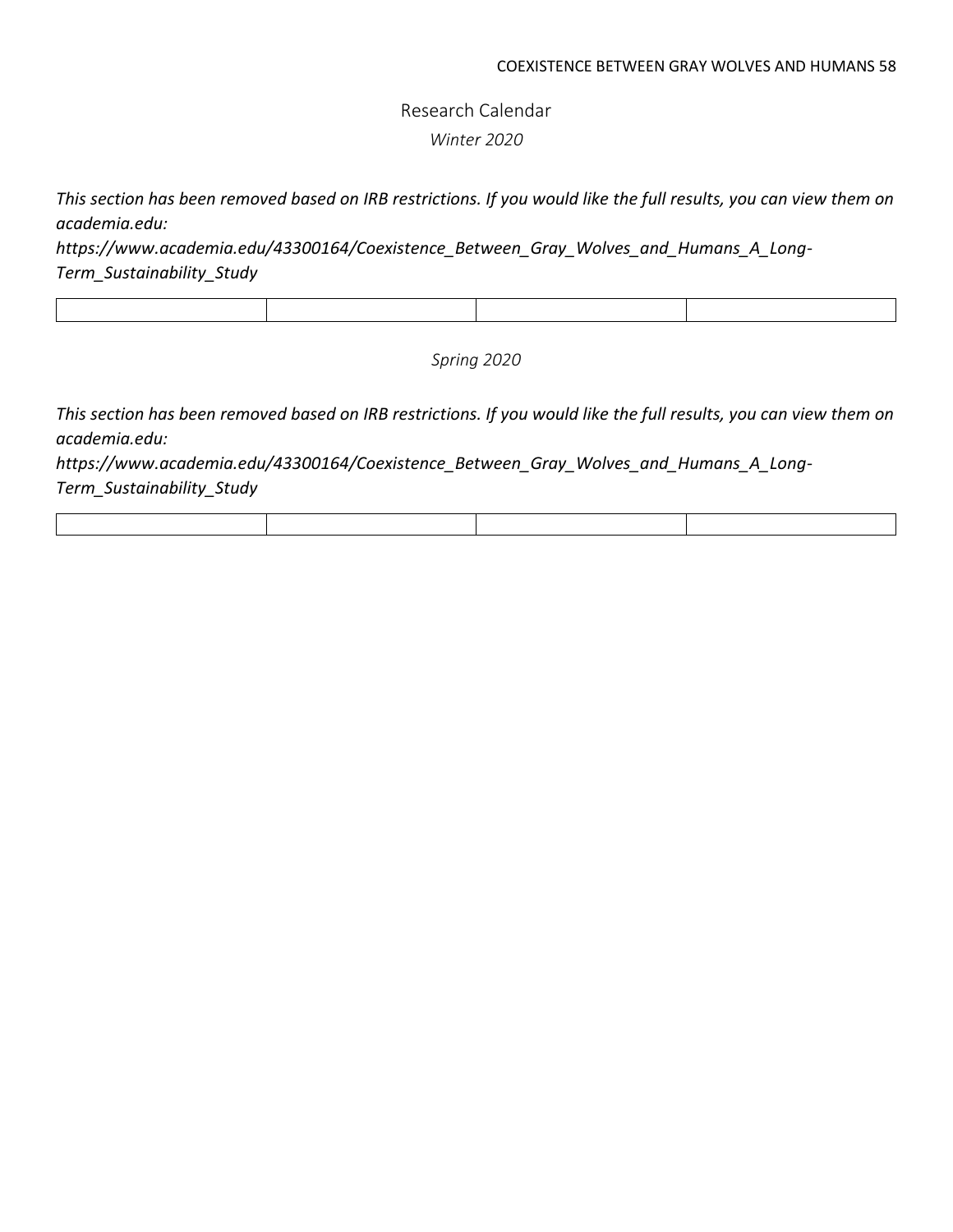Research Calendar *Winter 2020*

*This section has been removed based on IRB restrictions. If you would like the full results, you can view them on academia.edu:* 

*[https://www.academia.edu/43300164/Coexistence\\_Between\\_Gray\\_Wolves\\_and\\_Humans\\_A\\_Long-](https://www.academia.edu/43300164/Coexistence_Between_Gray_Wolves_and_Humans_A_Long-Term_Sustainability_Study)[Term\\_Sustainability\\_Study](https://www.academia.edu/43300164/Coexistence_Between_Gray_Wolves_and_Humans_A_Long-Term_Sustainability_Study)*

*Spring 2020*

*This section has been removed based on IRB restrictions. If you would like the full results, you can view them on academia.edu:*

*[https://www.academia.edu/43300164/Coexistence\\_Between\\_Gray\\_Wolves\\_and\\_Humans\\_A\\_Long-](https://www.academia.edu/43300164/Coexistence_Between_Gray_Wolves_and_Humans_A_Long-Term_Sustainability_Study)[Term\\_Sustainability\\_Study](https://www.academia.edu/43300164/Coexistence_Between_Gray_Wolves_and_Humans_A_Long-Term_Sustainability_Study)*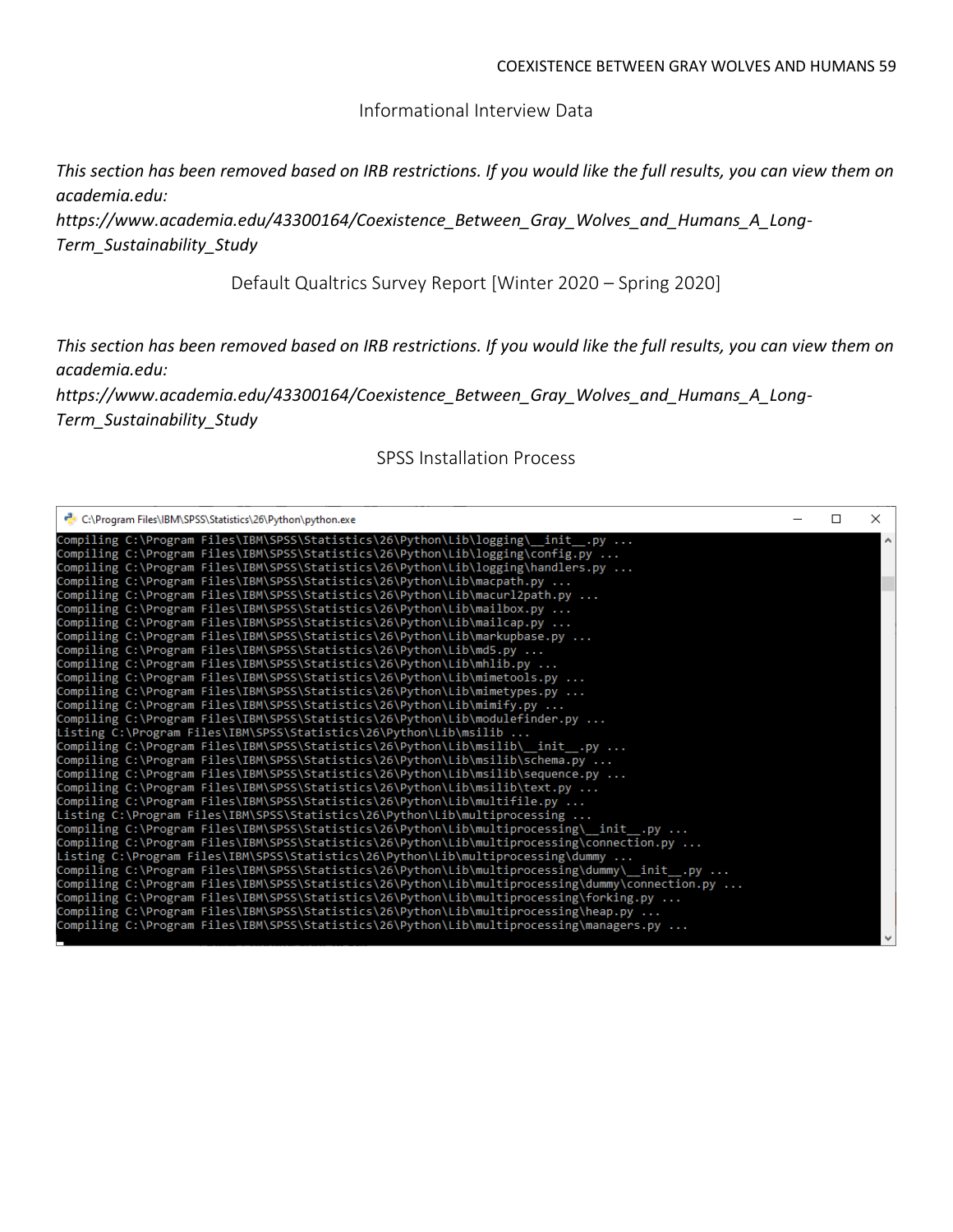Informational Interview Data

*This section has been removed based on IRB restrictions. If you would like the full results, you can view them on academia.edu:* 

*[https://www.academia.edu/43300164/Coexistence\\_Between\\_Gray\\_Wolves\\_and\\_Humans\\_A\\_Long-](https://www.academia.edu/43300164/Coexistence_Between_Gray_Wolves_and_Humans_A_Long-Term_Sustainability_Study)[Term\\_Sustainability\\_Study](https://www.academia.edu/43300164/Coexistence_Between_Gray_Wolves_and_Humans_A_Long-Term_Sustainability_Study)*

Default Qualtrics Survey Report [Winter 2020 – Spring 2020]

*This section has been removed based on IRB restrictions. If you would like the full results, you can view them on academia.edu:* 

*[https://www.academia.edu/43300164/Coexistence\\_Between\\_Gray\\_Wolves\\_and\\_Humans\\_A\\_Long-](https://www.academia.edu/43300164/Coexistence_Between_Gray_Wolves_and_Humans_A_Long-Term_Sustainability_Study)[Term\\_Sustainability\\_Study](https://www.academia.edu/43300164/Coexistence_Between_Gray_Wolves_and_Humans_A_Long-Term_Sustainability_Study)*

### SPSS Installation Process

| C:\Program Files\IBM\SPSS\Statistics\26\Python\python.exe                                        | П | $\times$ |
|--------------------------------------------------------------------------------------------------|---|----------|
| Compiling C:\Program Files\IBM\SPSS\Statistics\26\Python\Lib\logging\ init .py                   |   |          |
| Compiling C:\Program Files\IBM\SPSS\Statistics\26\Python\Lib\logging\config.py                   |   |          |
| Compiling C:\Program Files\IBM\SPSS\Statistics\26\Python\Lib\logging\handlers.py                 |   |          |
| Compiling C:\Program Files\IBM\SPSS\Statistics\26\Python\Lib\macpath.py                          |   |          |
| Compiling C:\Program Files\IBM\SPSS\Statistics\26\Python\Lib\macurl2path.py                      |   |          |
| Compiling C:\Program Files\IBM\SPSS\Statistics\26\Python\Lib\mailbox.py                          |   |          |
| Compiling C:\Program Files\IBM\SPSS\Statistics\26\Python\Lib\mailcap.py                          |   |          |
| Compiling C:\Program Files\IBM\SPSS\Statistics\26\Python\Lib\markupbase.py                       |   |          |
| Compiling C:\Program Files\IBM\SPSS\Statistics\26\Python\Lib\md5.py                              |   |          |
| Compiling C:\Program Files\IBM\SPSS\Statistics\26\Python\Lib\mhlib.py                            |   |          |
| Compiling C:\Program Files\IBM\SPSS\Statistics\26\Python\Lib\mimetools.py                        |   |          |
| Compiling C:\Program Files\IBM\SPSS\Statistics\26\Python\Lib\mimetypes.py                        |   |          |
| Compiling C:\Program Files\IBM\SPSS\Statistics\26\Python\Lib\mimify.py                           |   |          |
| Compiling C:\Program Files\IBM\SPSS\Statistics\26\Python\Lib\modulefinder.py                     |   |          |
| Listing C:\Program Files\IBM\SPSS\Statistics\26\Python\Lib\msilib                                |   |          |
| Compiling C:\Program Files\IBM\SPSS\Statistics\26\Python\Lib\msilib\ init .py                    |   |          |
| Compiling C:\Program Files\IBM\SPSS\Statistics\26\Python\Lib\msilib\schema.py                    |   |          |
| Compiling C:\Program Files\IBM\SPSS\Statistics\26\Python\Lib\msilib\sequence.py                  |   |          |
| Compiling C:\Program Files\IBM\SPSS\Statistics\26\Python\Lib\msilib\text.py                      |   |          |
| Compiling C:\Program Files\IBM\SPSS\Statistics\26\Python\Lib\multifile.py                        |   |          |
| Listing C:\Program Files\IBM\SPSS\Statistics\26\Python\Lib\multiprocessing                       |   |          |
| Compiling C:\Program Files\IBM\SPSS\Statistics\26\Python\Lib\multiprocessing\__init__.py         |   |          |
| Compiling C:\Program Files\IBM\SPSS\Statistics\26\Python\Lib\multiprocessing\connection.py       |   |          |
| Listing C:\Program Files\IBM\SPSS\Statistics\26\Python\Lib\multiprocessing\dummy                 |   |          |
| Compiling C:\Program Files\IBM\SPSS\Statistics\26\Python\Lib\multiprocessing\dummy\__init__.py   |   |          |
| Compiling C:\Program Files\IBM\SPSS\Statistics\26\Python\Lib\multiprocessing\dummy\connection.py |   |          |
| Compiling C:\Program Files\IBM\SPSS\Statistics\26\Python\Lib\multiprocessing\forking.py          |   |          |
| Compiling C:\Program Files\IBM\SPSS\Statistics\26\Python\Lib\multiprocessing\heap.py             |   |          |
| Compiling C:\Program Files\IBM\SPSS\Statistics\26\Python\Lib\multiprocessing\managers.py         |   |          |
|                                                                                                  |   |          |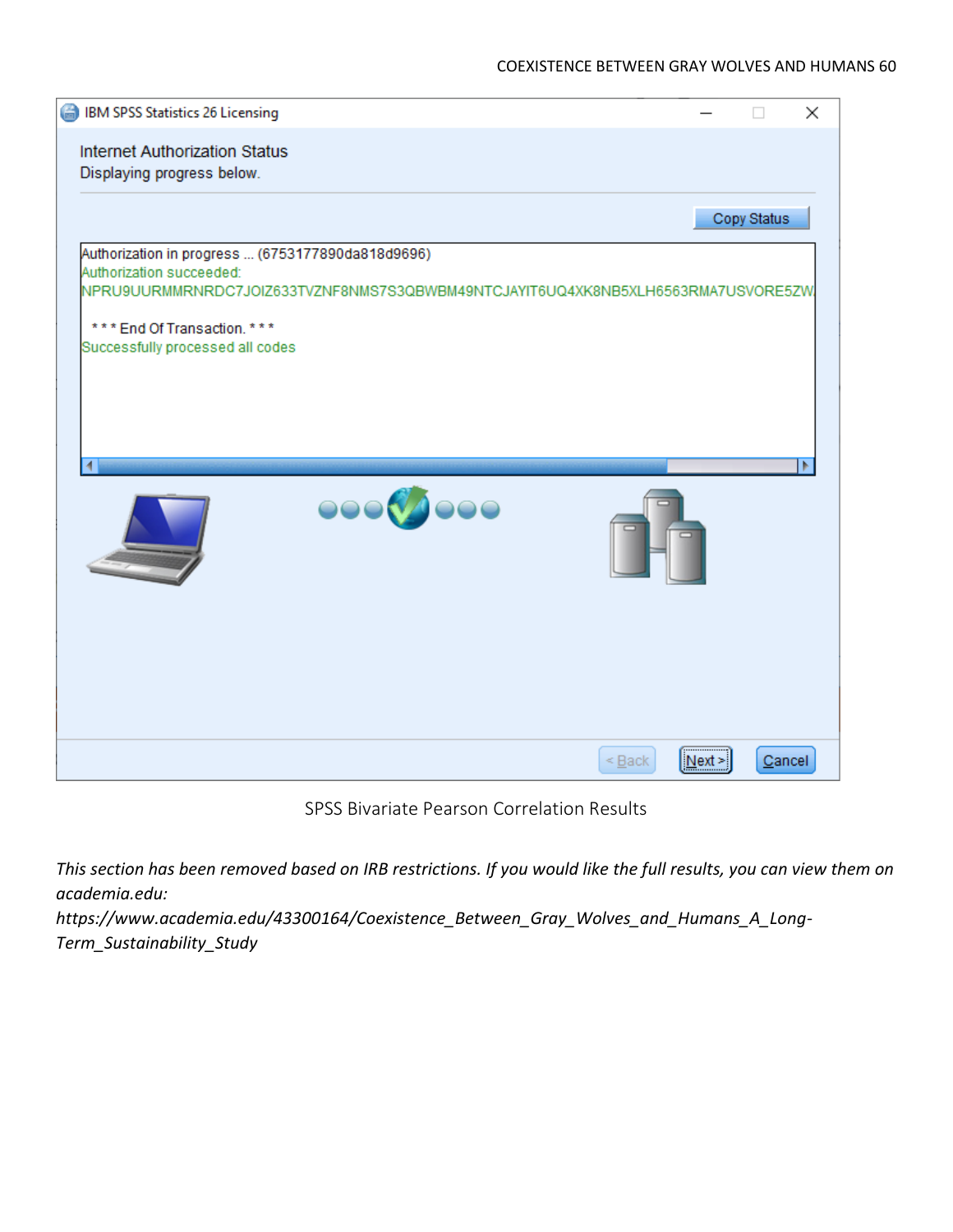

SPSS Bivariate Pearson Correlation Results

*This section has been removed based on IRB restrictions. If you would like the full results, you can view them on academia.edu:* 

*[https://www.academia.edu/43300164/Coexistence\\_Between\\_Gray\\_Wolves\\_and\\_Humans\\_A\\_Long-](https://www.academia.edu/43300164/Coexistence_Between_Gray_Wolves_and_Humans_A_Long-Term_Sustainability_Study)[Term\\_Sustainability\\_Study](https://www.academia.edu/43300164/Coexistence_Between_Gray_Wolves_and_Humans_A_Long-Term_Sustainability_Study)*